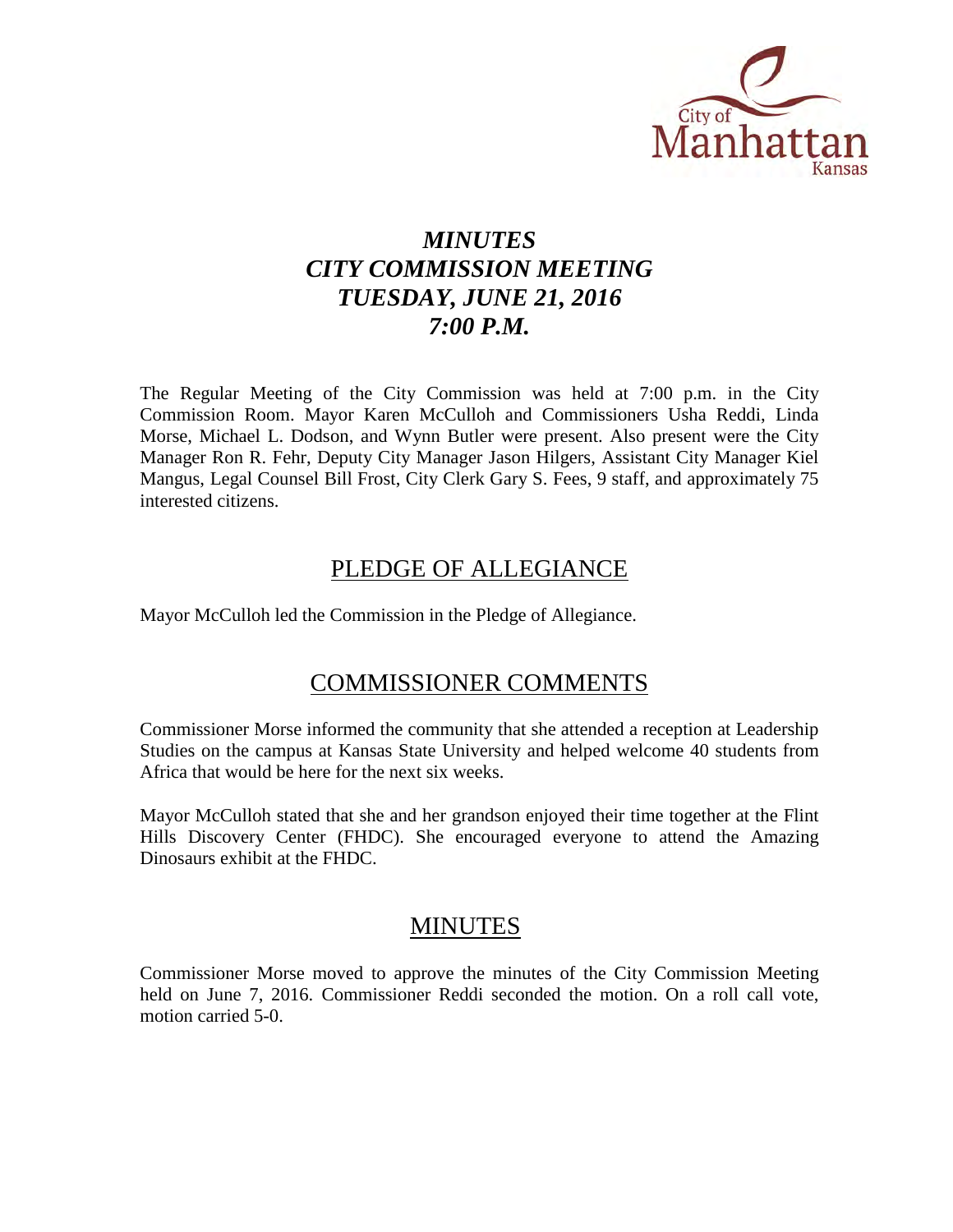

# *MINUTES CITY COMMISSION MEETING TUESDAY, JUNE 21, 2016 7:00 P.M.*

The Regular Meeting of the City Commission was held at 7:00 p.m. in the City Commission Room. Mayor Karen McCulloh and Commissioners Usha Reddi, Linda Morse, Michael L. Dodson, and Wynn Butler were present. Also present were the City Manager Ron R. Fehr, Deputy City Manager Jason Hilgers, Assistant City Manager Kiel Mangus, Legal Counsel Bill Frost, City Clerk Gary S. Fees, 9 staff, and approximately 75 interested citizens.

# PLEDGE OF ALLEGIANCE

Mayor McCulloh led the Commission in the Pledge of Allegiance.

# COMMISSIONER COMMENTS

Commissioner Morse informed the community that she attended a reception at Leadership Studies on the campus at Kansas State University and helped welcome 40 students from Africa that would be here for the next six weeks.

Mayor McCulloh stated that she and her grandson enjoyed their time together at the Flint Hills Discovery Center (FHDC). She encouraged everyone to attend the Amazing Dinosaurs exhibit at the FHDC.

# MINUTES

Commissioner Morse moved to approve the minutes of the City Commission Meeting held on June 7, 2016. Commissioner Reddi seconded the motion. On a roll call vote, motion carried 5-0.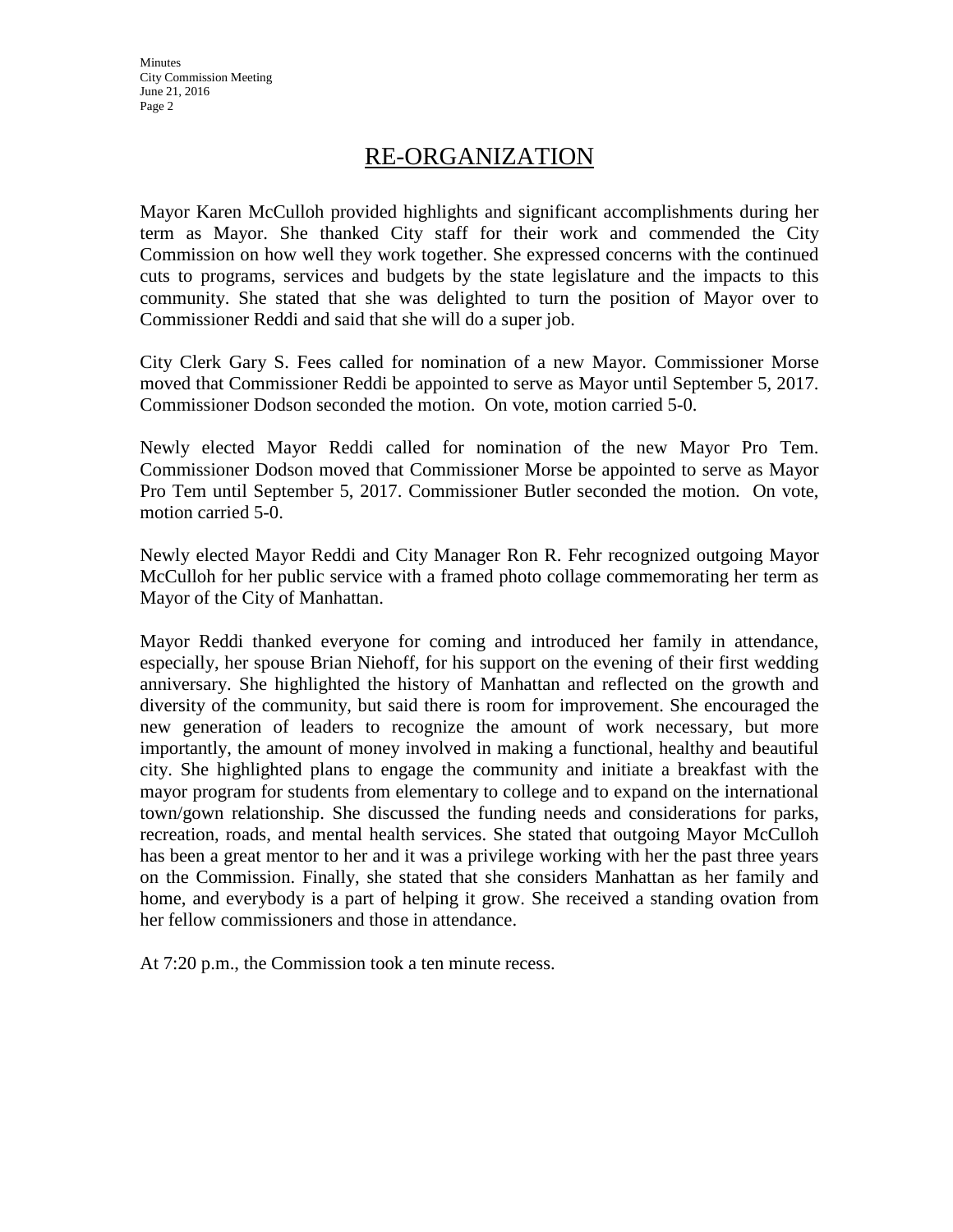# RE-ORGANIZATION

Mayor Karen McCulloh provided highlights and significant accomplishments during her term as Mayor. She thanked City staff for their work and commended the City Commission on how well they work together. She expressed concerns with the continued cuts to programs, services and budgets by the state legislature and the impacts to this community. She stated that she was delighted to turn the position of Mayor over to Commissioner Reddi and said that she will do a super job.

City Clerk Gary S. Fees called for nomination of a new Mayor. Commissioner Morse moved that Commissioner Reddi be appointed to serve as Mayor until September 5, 2017. Commissioner Dodson seconded the motion. On vote, motion carried 5-0.

Newly elected Mayor Reddi called for nomination of the new Mayor Pro Tem. Commissioner Dodson moved that Commissioner Morse be appointed to serve as Mayor Pro Tem until September 5, 2017. Commissioner Butler seconded the motion. On vote, motion carried 5-0.

Newly elected Mayor Reddi and City Manager Ron R. Fehr recognized outgoing Mayor McCulloh for her public service with a framed photo collage commemorating her term as Mayor of the City of Manhattan.

Mayor Reddi thanked everyone for coming and introduced her family in attendance, especially, her spouse Brian Niehoff, for his support on the evening of their first wedding anniversary. She highlighted the history of Manhattan and reflected on the growth and diversity of the community, but said there is room for improvement. She encouraged the new generation of leaders to recognize the amount of work necessary, but more importantly, the amount of money involved in making a functional, healthy and beautiful city. She highlighted plans to engage the community and initiate a breakfast with the mayor program for students from elementary to college and to expand on the international town/gown relationship. She discussed the funding needs and considerations for parks, recreation, roads, and mental health services. She stated that outgoing Mayor McCulloh has been a great mentor to her and it was a privilege working with her the past three years on the Commission. Finally, she stated that she considers Manhattan as her family and home, and everybody is a part of helping it grow. She received a standing ovation from her fellow commissioners and those in attendance.

At 7:20 p.m., the Commission took a ten minute recess.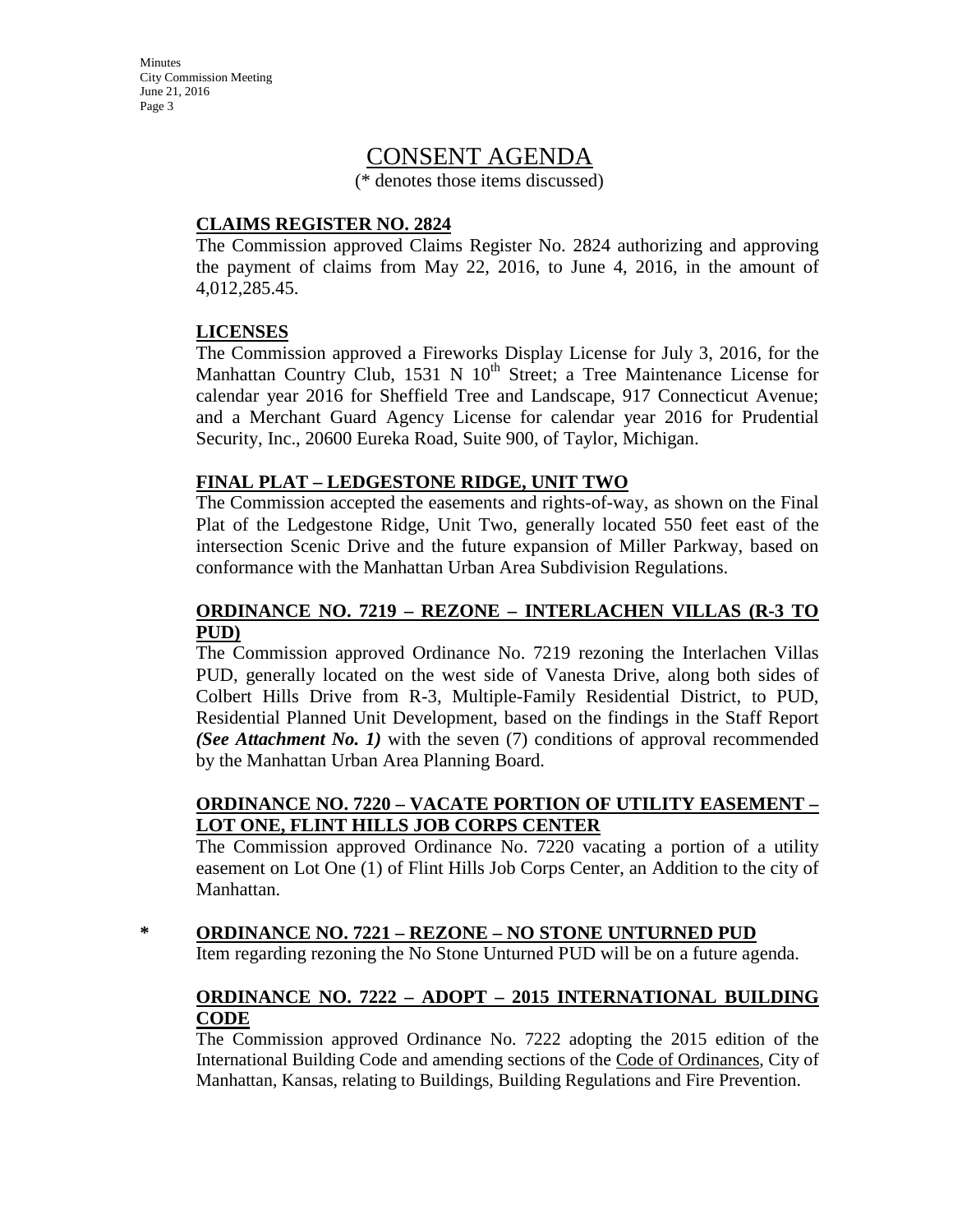**Minutes** City Commission Meeting June 21, 2016 Page 3

# CONSENT AGENDA

(\* denotes those items discussed)

#### **CLAIMS REGISTER NO. 2824**

The Commission approved Claims Register No. 2824 authorizing and approving the payment of claims from May 22, 2016, to June 4, 2016, in the amount of 4,012,285.45.

#### **LICENSES**

The Commission approved a Fireworks Display License for July 3, 2016, for the Manhattan Country Club, 1531 N 10<sup>th</sup> Street; a Tree Maintenance License for calendar year 2016 for Sheffield Tree and Landscape, 917 Connecticut Avenue; and a Merchant Guard Agency License for calendar year 2016 for Prudential Security, Inc., 20600 Eureka Road, Suite 900, of Taylor, Michigan.

#### **FINAL PLAT – LEDGESTONE RIDGE, UNIT TWO**

The Commission accepted the easements and rights-of-way, as shown on the Final Plat of the Ledgestone Ridge, Unit Two, generally located 550 feet east of the intersection Scenic Drive and the future expansion of Miller Parkway, based on conformance with the Manhattan Urban Area Subdivision Regulations.

#### **ORDINANCE NO. 7219 – REZONE – INTERLACHEN VILLAS (R-3 TO PUD)**

The Commission approved Ordinance No. 7219 rezoning the Interlachen Villas PUD, generally located on the west side of Vanesta Drive, along both sides of Colbert Hills Drive from R-3, Multiple-Family Residential District, to PUD, Residential Planned Unit Development, based on the findings in the Staff Report *(See Attachment No. 1)* with the seven (7) conditions of approval recommended by the Manhattan Urban Area Planning Board.

#### **ORDINANCE NO. 7220 – VACATE PORTION OF UTILITY EASEMENT – LOT ONE, FLINT HILLS JOB CORPS CENTER**

The Commission approved Ordinance No. 7220 vacating a portion of a utility easement on Lot One (1) of Flint Hills Job Corps Center, an Addition to the city of Manhattan.

**\* ORDINANCE NO. 7221 – REZONE – NO STONE UNTURNED PUD**

Item regarding rezoning the No Stone Unturned PUD will be on a future agenda.

#### **ORDINANCE NO. 7222 – ADOPT – 2015 INTERNATIONAL BUILDING CODE**

The Commission approved Ordinance No. 7222 adopting the 2015 edition of the International Building Code and amending sections of the Code of Ordinances, City of Manhattan, Kansas, relating to Buildings, Building Regulations and Fire Prevention.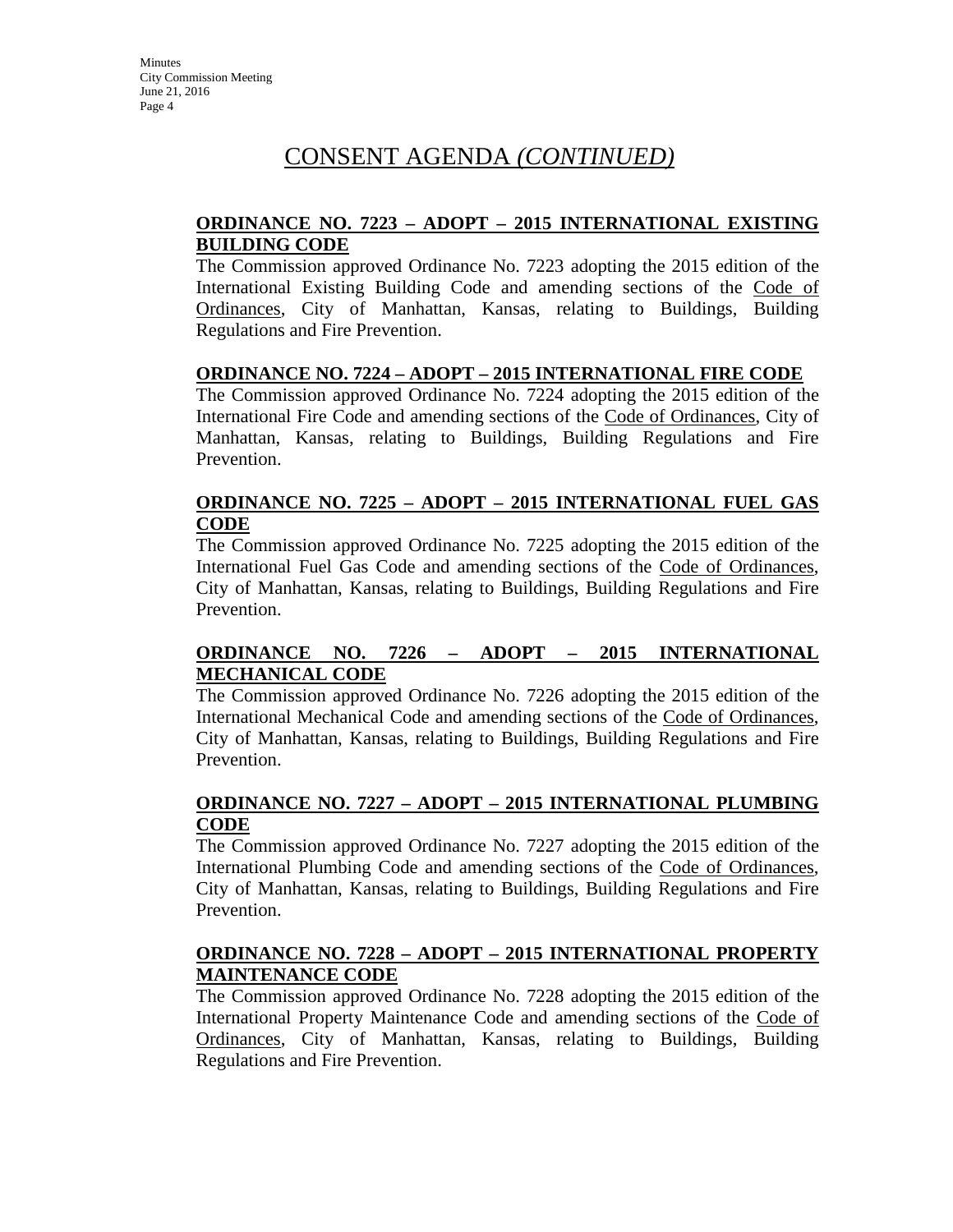#### **ORDINANCE NO. 7223 – ADOPT – 2015 INTERNATIONAL EXISTING BUILDING CODE**

The Commission approved Ordinance No. 7223 adopting the 2015 edition of the International Existing Building Code and amending sections of the Code of Ordinances, City of Manhattan, Kansas, relating to Buildings, Building Regulations and Fire Prevention.

#### **ORDINANCE NO. 7224 – ADOPT – 2015 INTERNATIONAL FIRE CODE**

The Commission approved Ordinance No. 7224 adopting the 2015 edition of the International Fire Code and amending sections of the Code of Ordinances, City of Manhattan, Kansas, relating to Buildings, Building Regulations and Fire Prevention.

#### **ORDINANCE NO. 7225 – ADOPT – 2015 INTERNATIONAL FUEL GAS CODE**

The Commission approved Ordinance No. 7225 adopting the 2015 edition of the International Fuel Gas Code and amending sections of the Code of Ordinances, City of Manhattan, Kansas, relating to Buildings, Building Regulations and Fire Prevention.

#### **ORDINANCE NO. 7226 – ADOPT – 2015 INTERNATIONAL MECHANICAL CODE**

The Commission approved Ordinance No. 7226 adopting the 2015 edition of the International Mechanical Code and amending sections of the Code of Ordinances, City of Manhattan, Kansas, relating to Buildings, Building Regulations and Fire Prevention.

#### **ORDINANCE NO. 7227 – ADOPT – 2015 INTERNATIONAL PLUMBING CODE**

The Commission approved Ordinance No. 7227 adopting the 2015 edition of the International Plumbing Code and amending sections of the Code of Ordinances, City of Manhattan, Kansas, relating to Buildings, Building Regulations and Fire Prevention.

#### **ORDINANCE NO. 7228 – ADOPT – 2015 INTERNATIONAL PROPERTY MAINTENANCE CODE**

The Commission approved Ordinance No. 7228 adopting the 2015 edition of the International Property Maintenance Code and amending sections of the Code of Ordinances, City of Manhattan, Kansas, relating to Buildings, Building Regulations and Fire Prevention.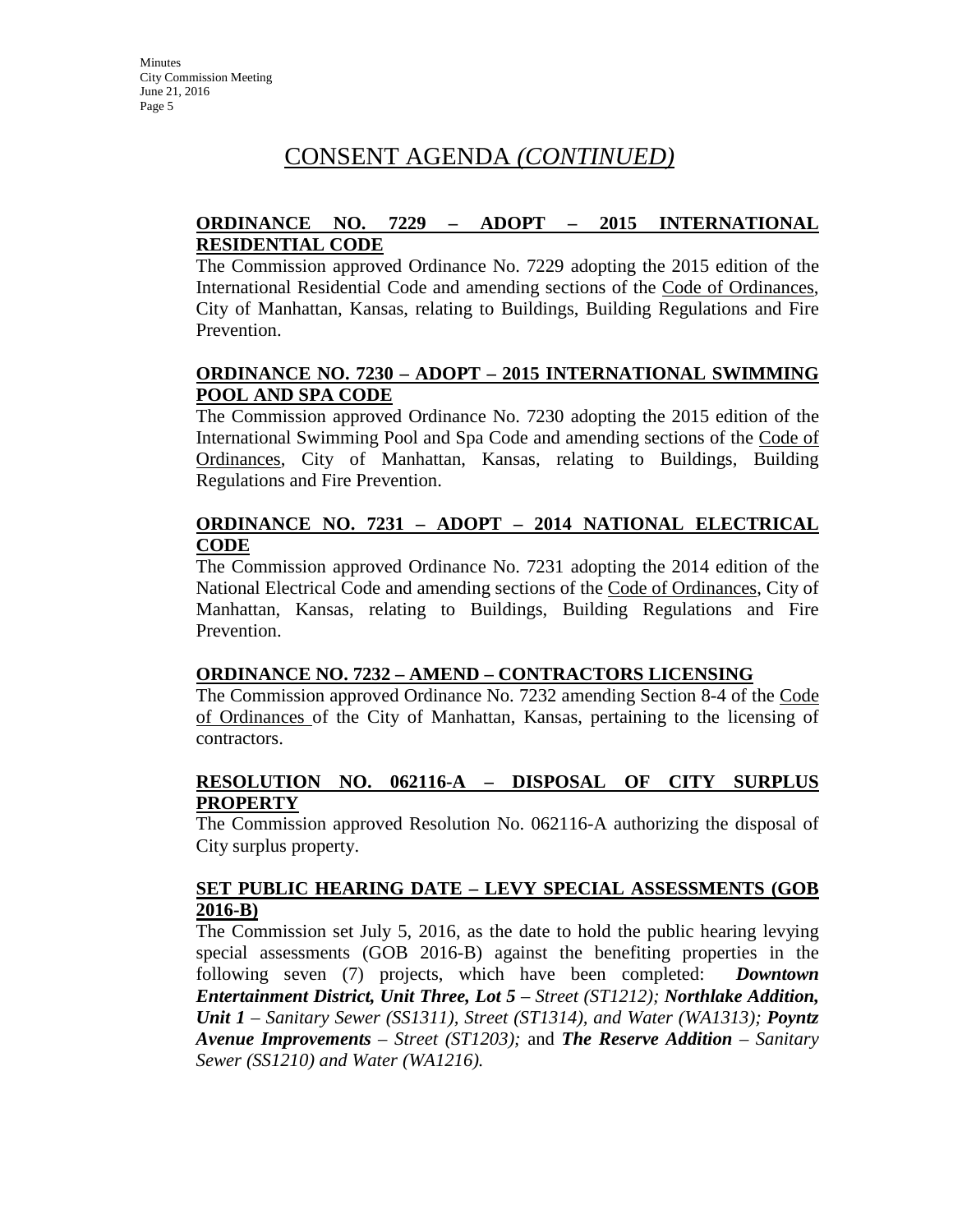#### **ORDINANCE NO. 7229 – ADOPT – 2015 INTERNATIONAL RESIDENTIAL CODE**

The Commission approved Ordinance No. 7229 adopting the 2015 edition of the International Residential Code and amending sections of the Code of Ordinances, City of Manhattan, Kansas, relating to Buildings, Building Regulations and Fire Prevention.

#### **ORDINANCE NO. 7230 – ADOPT – 2015 INTERNATIONAL SWIMMING POOL AND SPA CODE**

The Commission approved Ordinance No. 7230 adopting the 2015 edition of the International Swimming Pool and Spa Code and amending sections of the Code of Ordinances, City of Manhattan, Kansas, relating to Buildings, Building Regulations and Fire Prevention.

#### **ORDINANCE NO. 7231 – ADOPT – 2014 NATIONAL ELECTRICAL CODE**

The Commission approved Ordinance No. 7231 adopting the 2014 edition of the National Electrical Code and amending sections of the Code of Ordinances, City of Manhattan, Kansas, relating to Buildings, Building Regulations and Fire Prevention.

#### **ORDINANCE NO. 7232 – AMEND – CONTRACTORS LICENSING**

The Commission approved Ordinance No. 7232 amending Section 8-4 of the Code of Ordinances of the City of Manhattan, Kansas, pertaining to the licensing of contractors.

#### **RESOLUTION NO. 062116-A – DISPOSAL OF CITY SURPLUS PROPERTY**

The Commission approved Resolution No. 062116-A authorizing the disposal of City surplus property.

#### **SET PUBLIC HEARING DATE – LEVY SPECIAL ASSESSMENTS (GOB 2016-B)**

The Commission set July 5, 2016, as the date to hold the public hearing levying special assessments (GOB 2016-B) against the benefiting properties in the following seven (7) projects, which have been completed: *Downtown Entertainment District, Unit Three, Lot 5 – Street (ST1212); Northlake Addition, Unit 1 – Sanitary Sewer (SS1311), Street (ST1314), and Water (WA1313); Poyntz Avenue Improvements – Street (ST1203);* and *The Reserve Addition – Sanitary Sewer (SS1210) and Water (WA1216).*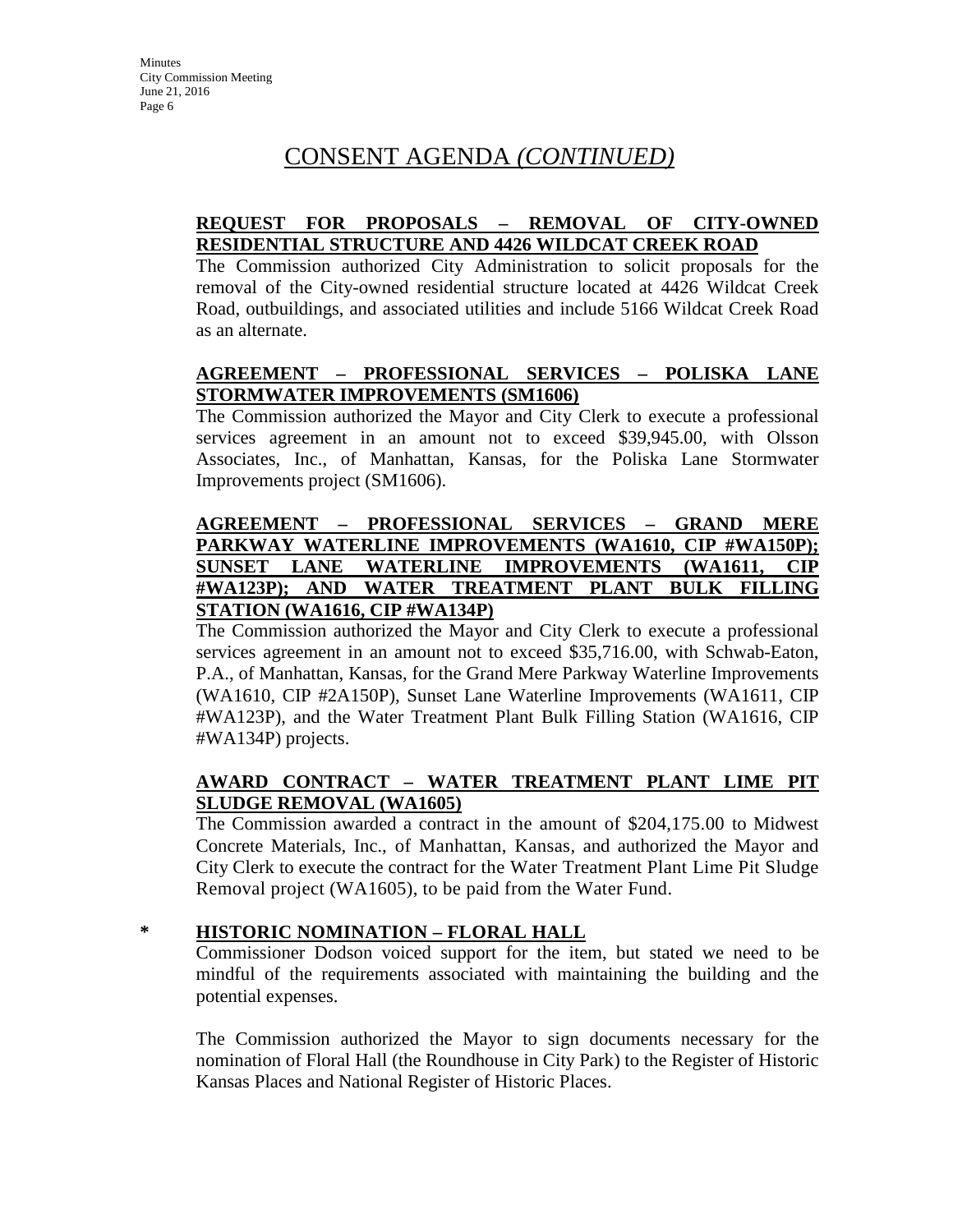#### **REQUEST FOR PROPOSALS – REMOVAL OF CITY-OWNED RESIDENTIAL STRUCTURE AND 4426 WILDCAT CREEK ROAD**

The Commission authorized City Administration to solicit proposals for the removal of the City-owned residential structure located at 4426 Wildcat Creek Road, outbuildings, and associated utilities and include 5166 Wildcat Creek Road as an alternate.

#### **AGREEMENT – PROFESSIONAL SERVICES – POLISKA LANE STORMWATER IMPROVEMENTS (SM1606)**

The Commission authorized the Mayor and City Clerk to execute a professional services agreement in an amount not to exceed \$39,945.00, with Olsson Associates, Inc., of Manhattan, Kansas, for the Poliska Lane Stormwater Improvements project (SM1606).

#### **AGREEMENT – PROFESSIONAL SERVICES – GRAND MERE PARKWAY WATERLINE IMPROVEMENTS (WA1610, CIP #WA150P); SUNSET LANE WATERLINE IMPROVEMENTS (WA1611, CIP #WA123P); AND WATER TREATMENT PLANT BULK FILLING STATION (WA1616, CIP #WA134P)**

The Commission authorized the Mayor and City Clerk to execute a professional services agreement in an amount not to exceed \$35,716.00, with Schwab-Eaton, P.A., of Manhattan, Kansas, for the Grand Mere Parkway Waterline Improvements (WA1610, CIP #2A150P), Sunset Lane Waterline Improvements (WA1611, CIP #WA123P), and the Water Treatment Plant Bulk Filling Station (WA1616, CIP #WA134P) projects.

### **AWARD CONTRACT – WATER TREATMENT PLANT LIME PIT SLUDGE REMOVAL (WA1605)**

The Commission awarded a contract in the amount of \$204,175.00 to Midwest Concrete Materials, Inc., of Manhattan, Kansas, and authorized the Mayor and City Clerk to execute the contract for the Water Treatment Plant Lime Pit Sludge Removal project (WA1605), to be paid from the Water Fund.

#### **\* HISTORIC NOMINATION – FLORAL HALL**

Commissioner Dodson voiced support for the item, but stated we need to be mindful of the requirements associated with maintaining the building and the potential expenses.

The Commission authorized the Mayor to sign documents necessary for the nomination of Floral Hall (the Roundhouse in City Park) to the Register of Historic Kansas Places and National Register of Historic Places.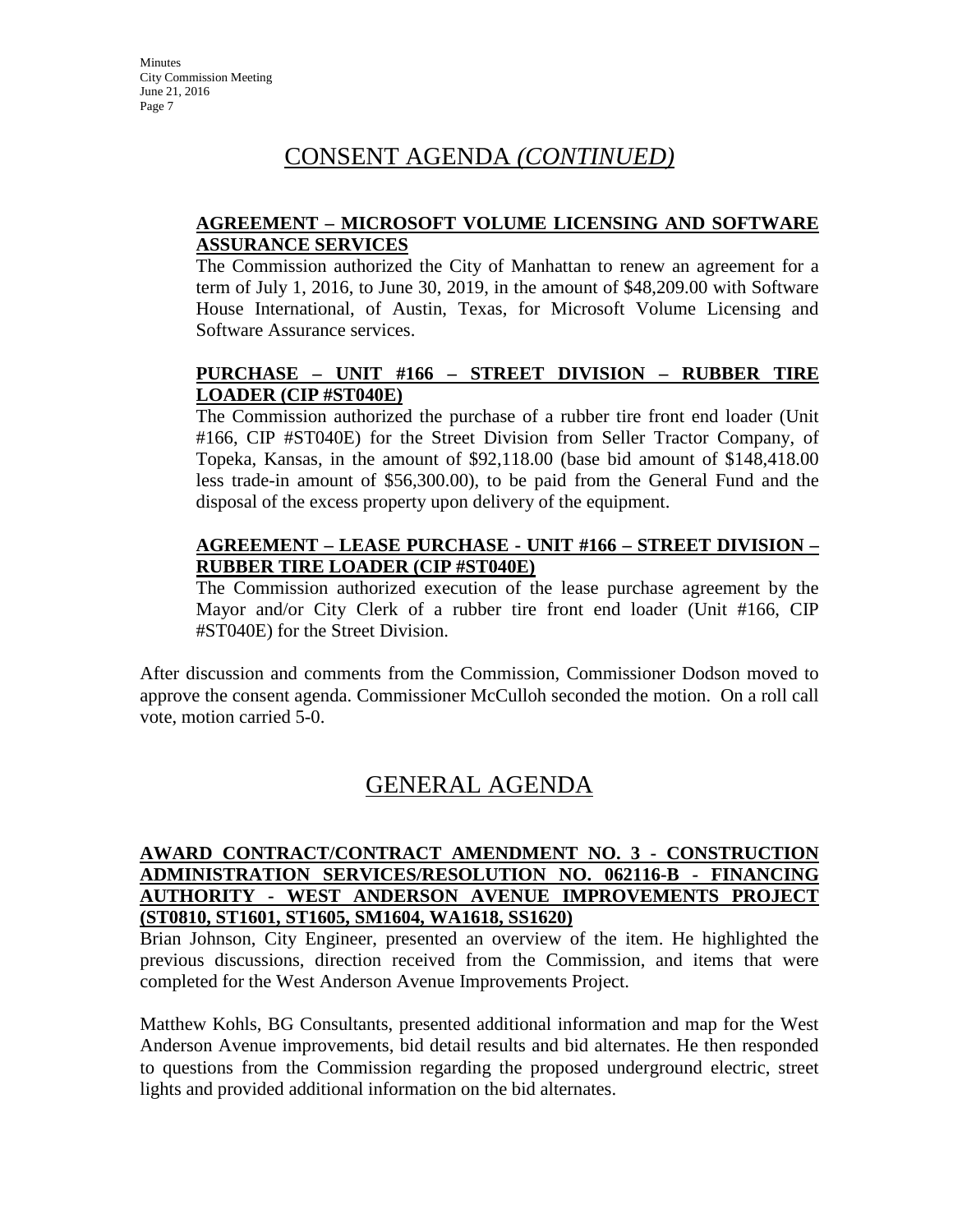#### **AGREEMENT – MICROSOFT VOLUME LICENSING AND SOFTWARE ASSURANCE SERVICES**

The Commission authorized the City of Manhattan to renew an agreement for a term of July 1, 2016, to June 30, 2019, in the amount of \$48,209.00 with Software House International, of Austin, Texas, for Microsoft Volume Licensing and Software Assurance services.

#### **PURCHASE – UNIT #166 – STREET DIVISION – RUBBER TIRE LOADER (CIP #ST040E)**

The Commission authorized the purchase of a rubber tire front end loader (Unit #166, CIP #ST040E) for the Street Division from Seller Tractor Company, of Topeka, Kansas, in the amount of \$92,118.00 (base bid amount of \$148,418.00 less trade-in amount of \$56,300.00), to be paid from the General Fund and the disposal of the excess property upon delivery of the equipment.

#### **AGREEMENT – LEASE PURCHASE - UNIT #166 – STREET DIVISION – RUBBER TIRE LOADER (CIP #ST040E)**

The Commission authorized execution of the lease purchase agreement by the Mayor and/or City Clerk of a rubber tire front end loader (Unit #166, CIP #ST040E) for the Street Division.

After discussion and comments from the Commission, Commissioner Dodson moved to approve the consent agenda. Commissioner McCulloh seconded the motion. On a roll call vote, motion carried 5-0.

# GENERAL AGENDA

#### **AWARD CONTRACT/CONTRACT AMENDMENT NO. 3 - CONSTRUCTION ADMINISTRATION SERVICES/RESOLUTION NO. 062116-B - FINANCING AUTHORITY - WEST ANDERSON AVENUE IMPROVEMENTS PROJECT (ST0810, ST1601, ST1605, SM1604, WA1618, SS1620)**

Brian Johnson, City Engineer, presented an overview of the item. He highlighted the previous discussions, direction received from the Commission, and items that were completed for the West Anderson Avenue Improvements Project.

Matthew Kohls, BG Consultants, presented additional information and map for the West Anderson Avenue improvements, bid detail results and bid alternates. He then responded to questions from the Commission regarding the proposed underground electric, street lights and provided additional information on the bid alternates.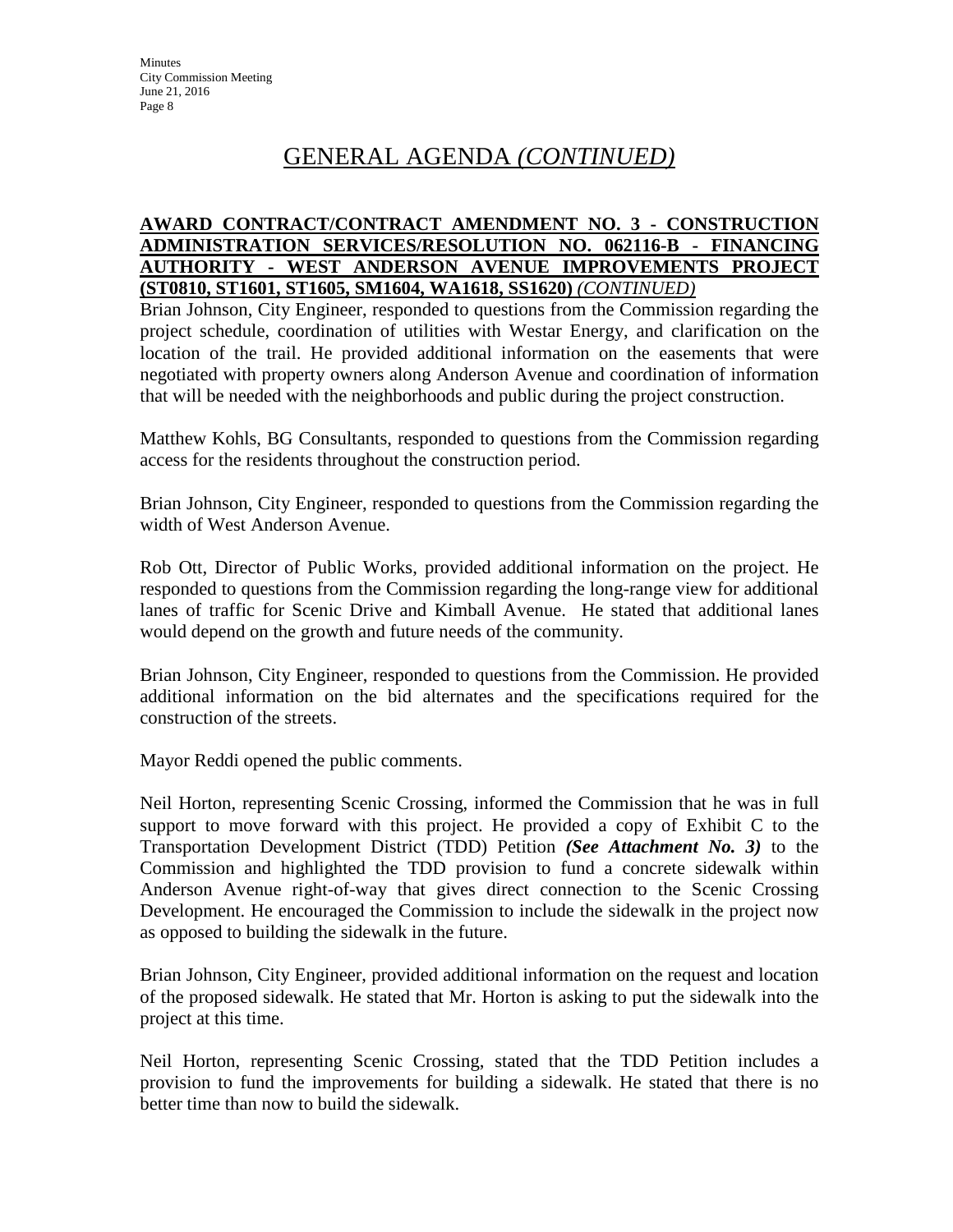# GENERAL AGENDA *(CONTINUED)*

#### **AWARD CONTRACT/CONTRACT AMENDMENT NO. 3 - CONSTRUCTION ADMINISTRATION SERVICES/RESOLUTION NO. 062116-B - FINANCING AUTHORITY - WEST ANDERSON AVENUE IMPROVEMENTS PROJECT (ST0810, ST1601, ST1605, SM1604, WA1618, SS1620)** *(CONTINUED)*

Brian Johnson, City Engineer, responded to questions from the Commission regarding the project schedule, coordination of utilities with Westar Energy, and clarification on the location of the trail. He provided additional information on the easements that were negotiated with property owners along Anderson Avenue and coordination of information that will be needed with the neighborhoods and public during the project construction.

Matthew Kohls, BG Consultants, responded to questions from the Commission regarding access for the residents throughout the construction period.

Brian Johnson, City Engineer, responded to questions from the Commission regarding the width of West Anderson Avenue.

Rob Ott, Director of Public Works, provided additional information on the project. He responded to questions from the Commission regarding the long-range view for additional lanes of traffic for Scenic Drive and Kimball Avenue. He stated that additional lanes would depend on the growth and future needs of the community.

Brian Johnson, City Engineer, responded to questions from the Commission. He provided additional information on the bid alternates and the specifications required for the construction of the streets.

Mayor Reddi opened the public comments.

Neil Horton, representing Scenic Crossing, informed the Commission that he was in full support to move forward with this project. He provided a copy of Exhibit C to the Transportation Development District (TDD) Petition *(See Attachment No. 3)* to the Commission and highlighted the TDD provision to fund a concrete sidewalk within Anderson Avenue right-of-way that gives direct connection to the Scenic Crossing Development. He encouraged the Commission to include the sidewalk in the project now as opposed to building the sidewalk in the future.

Brian Johnson, City Engineer, provided additional information on the request and location of the proposed sidewalk. He stated that Mr. Horton is asking to put the sidewalk into the project at this time.

Neil Horton, representing Scenic Crossing, stated that the TDD Petition includes a provision to fund the improvements for building a sidewalk. He stated that there is no better time than now to build the sidewalk.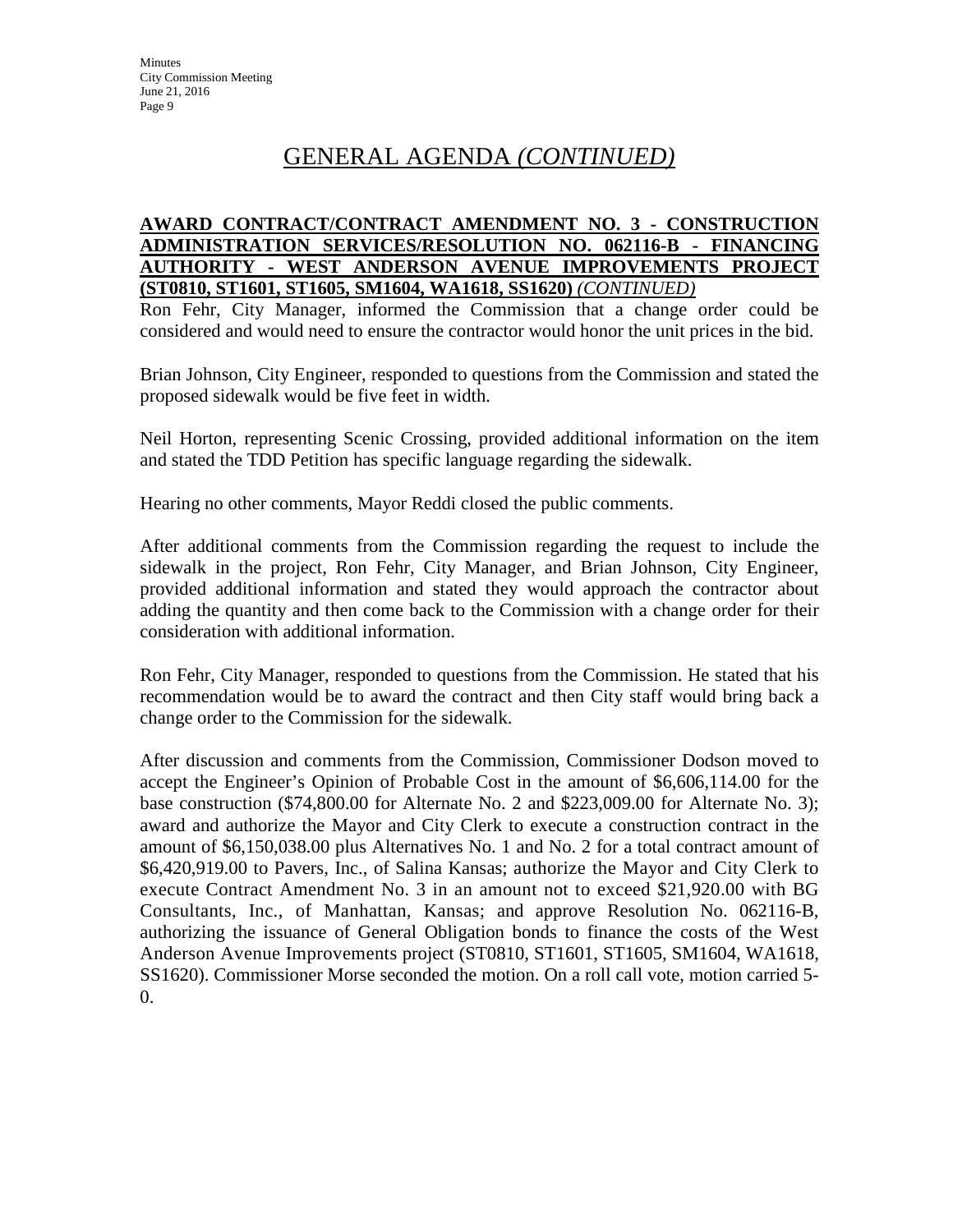# GENERAL AGENDA *(CONTINUED)*

#### **AWARD CONTRACT/CONTRACT AMENDMENT NO. 3 - CONSTRUCTION ADMINISTRATION SERVICES/RESOLUTION NO. 062116-B - FINANCING AUTHORITY - WEST ANDERSON AVENUE IMPROVEMENTS PROJECT (ST0810, ST1601, ST1605, SM1604, WA1618, SS1620)** *(CONTINUED)*

Ron Fehr, City Manager, informed the Commission that a change order could be considered and would need to ensure the contractor would honor the unit prices in the bid.

Brian Johnson, City Engineer, responded to questions from the Commission and stated the proposed sidewalk would be five feet in width.

Neil Horton, representing Scenic Crossing, provided additional information on the item and stated the TDD Petition has specific language regarding the sidewalk.

Hearing no other comments, Mayor Reddi closed the public comments.

After additional comments from the Commission regarding the request to include the sidewalk in the project, Ron Fehr, City Manager, and Brian Johnson, City Engineer, provided additional information and stated they would approach the contractor about adding the quantity and then come back to the Commission with a change order for their consideration with additional information.

Ron Fehr, City Manager, responded to questions from the Commission. He stated that his recommendation would be to award the contract and then City staff would bring back a change order to the Commission for the sidewalk.

After discussion and comments from the Commission, Commissioner Dodson moved to accept the Engineer's Opinion of Probable Cost in the amount of \$6,606,114.00 for the base construction (\$74,800.00 for Alternate No. 2 and \$223,009.00 for Alternate No. 3); award and authorize the Mayor and City Clerk to execute a construction contract in the amount of \$6,150,038.00 plus Alternatives No. 1 and No. 2 for a total contract amount of \$6,420,919.00 to Pavers, Inc., of Salina Kansas; authorize the Mayor and City Clerk to execute Contract Amendment No. 3 in an amount not to exceed \$21,920.00 with BG Consultants, Inc., of Manhattan, Kansas; and approve Resolution No. 062116-B, authorizing the issuance of General Obligation bonds to finance the costs of the West Anderson Avenue Improvements project (ST0810, ST1601, ST1605, SM1604, WA1618, SS1620). Commissioner Morse seconded the motion. On a roll call vote, motion carried 5- 0.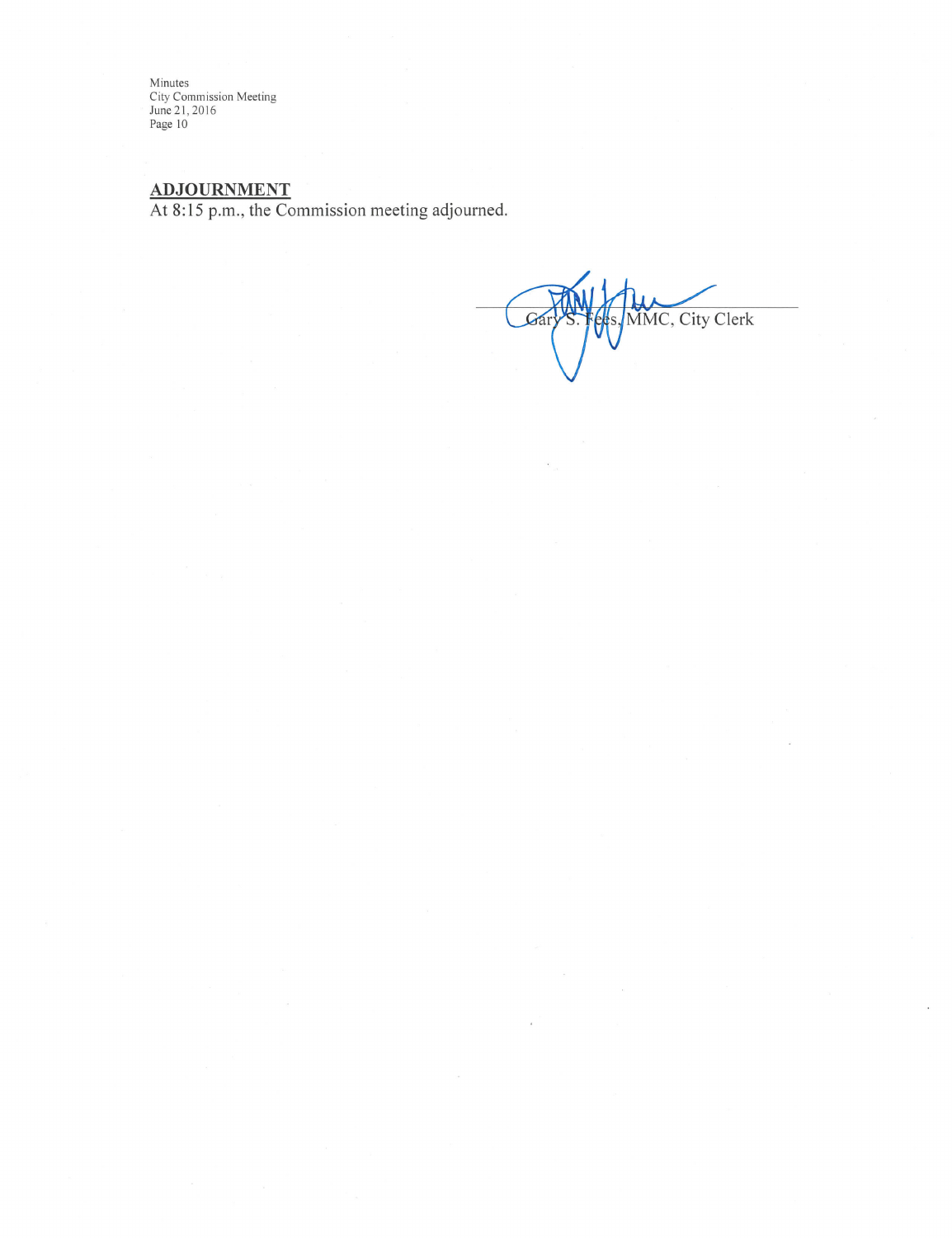Minutes<br>City Commission Meeting<br>June 21, 2016<br>Page 10

ADJOURNMENT<br>At 8:15 p.m., the Commission meeting adjourned.

MMC, City Clerk Gá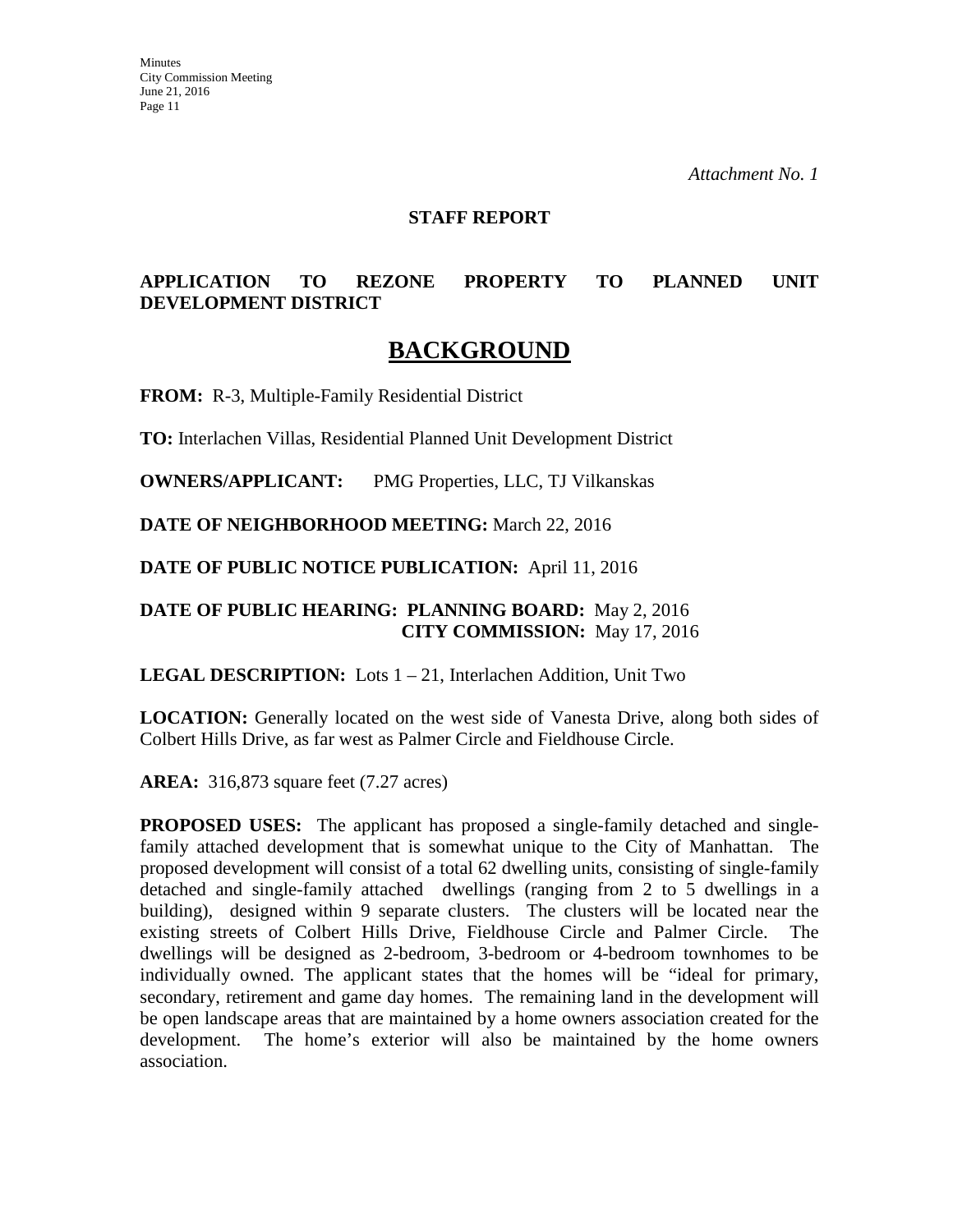#### **STAFF REPORT**

### **APPLICATION TO REZONE PROPERTY TO PLANNED UNIT DEVELOPMENT DISTRICT**

# **BACKGROUND**

**FROM:** R-3, Multiple-Family Residential District

**TO:** Interlachen Villas, Residential Planned Unit Development District

**OWNERS/APPLICANT:** PMG Properties, LLC, TJ Vilkanskas

**DATE OF NEIGHBORHOOD MEETING:** March 22, 2016

**DATE OF PUBLIC NOTICE PUBLICATION:** April 11, 2016

#### **DATE OF PUBLIC HEARING: PLANNING BOARD:** May 2, 2016 **CITY COMMISSION:** May 17, 2016

**LEGAL DESCRIPTION:** Lots 1 – 21, Interlachen Addition, Unit Two

**LOCATION:** Generally located on the west side of Vanesta Drive, along both sides of Colbert Hills Drive, as far west as Palmer Circle and Fieldhouse Circle.

**AREA:** 316,873 square feet (7.27 acres)

**PROPOSED USES:** The applicant has proposed a single-family detached and singlefamily attached development that is somewhat unique to the City of Manhattan. The proposed development will consist of a total 62 dwelling units, consisting of single-family detached and single-family attached dwellings (ranging from 2 to 5 dwellings in a building), designed within 9 separate clusters. The clusters will be located near the existing streets of Colbert Hills Drive, Fieldhouse Circle and Palmer Circle. dwellings will be designed as 2-bedroom, 3-bedroom or 4-bedroom townhomes to be individually owned. The applicant states that the homes will be "ideal for primary, secondary, retirement and game day homes. The remaining land in the development will be open landscape areas that are maintained by a home owners association created for the development. The home's exterior will also be maintained by the home owners association.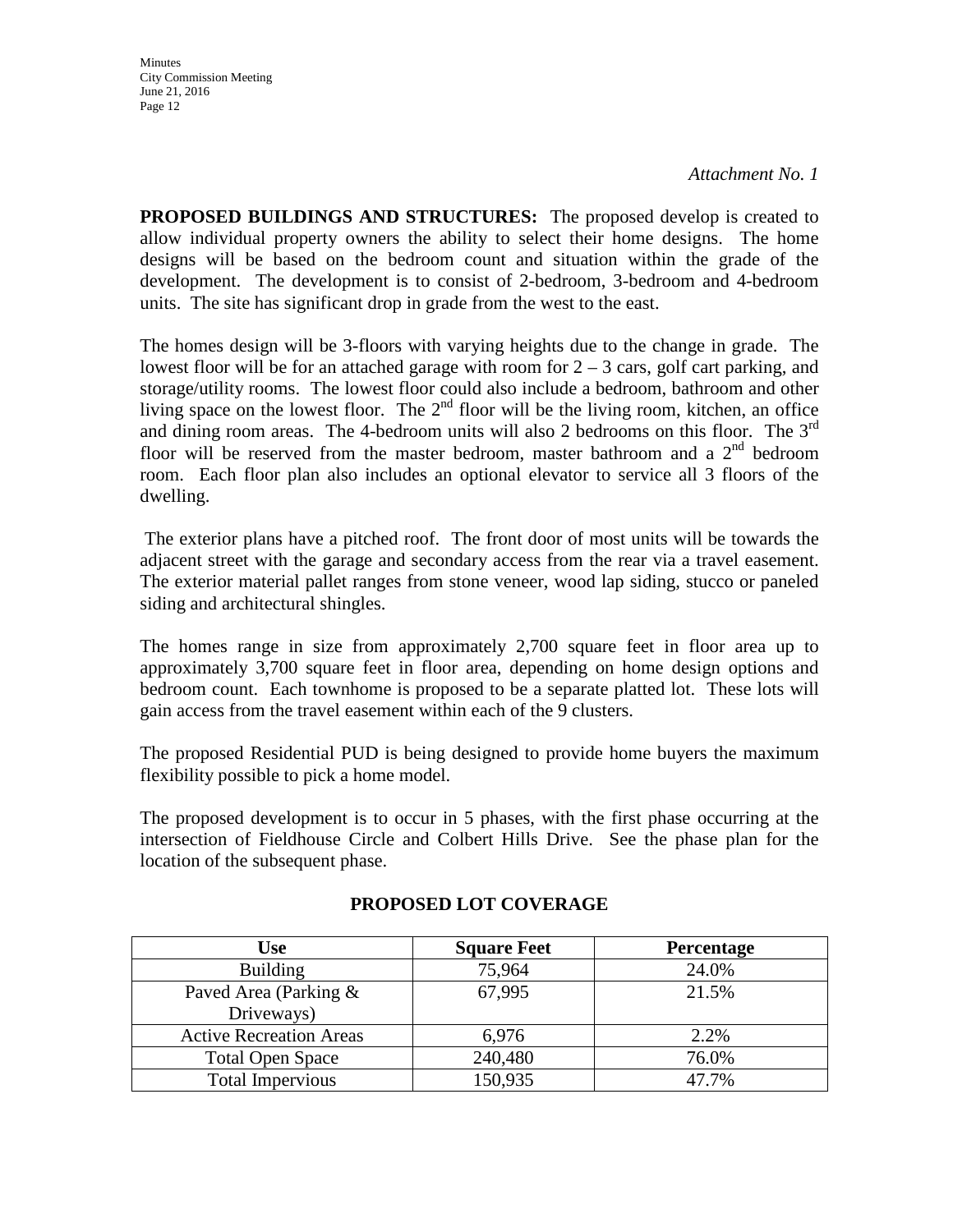**Minutes** City Commission Meeting June 21, 2016 Page 12

**PROPOSED BUILDINGS AND STRUCTURES:** The proposed develop is created to allow individual property owners the ability to select their home designs. The home designs will be based on the bedroom count and situation within the grade of the development. The development is to consist of 2-bedroom, 3-bedroom and 4-bedroom units. The site has significant drop in grade from the west to the east.

The homes design will be 3-floors with varying heights due to the change in grade. The lowest floor will be for an attached garage with room for  $2 - 3$  cars, golf cart parking, and storage/utility rooms. The lowest floor could also include a bedroom, bathroom and other living space on the lowest floor. The  $2<sup>nd</sup>$  floor will be the living room, kitchen, an office and dining room areas. The 4-bedroom units will also 2 bedrooms on this floor. The  $3<sup>rd</sup>$ floor will be reserved from the master bedroom, master bathroom and a  $2<sup>nd</sup>$  bedroom room. Each floor plan also includes an optional elevator to service all 3 floors of the dwelling.

The exterior plans have a pitched roof. The front door of most units will be towards the adjacent street with the garage and secondary access from the rear via a travel easement. The exterior material pallet ranges from stone veneer, wood lap siding, stucco or paneled siding and architectural shingles.

The homes range in size from approximately 2,700 square feet in floor area up to approximately 3,700 square feet in floor area, depending on home design options and bedroom count. Each townhome is proposed to be a separate platted lot. These lots will gain access from the travel easement within each of the 9 clusters.

The proposed Residential PUD is being designed to provide home buyers the maximum flexibility possible to pick a home model.

The proposed development is to occur in 5 phases, with the first phase occurring at the intersection of Fieldhouse Circle and Colbert Hills Drive. See the phase plan for the location of the subsequent phase.

| Use                            | <b>Square Feet</b> | <b>Percentage</b> |
|--------------------------------|--------------------|-------------------|
| <b>Building</b>                | 75,964             | 24.0%             |
| Paved Area (Parking &          | 67,995             | 21.5%             |
| Driveways)                     |                    |                   |
| <b>Active Recreation Areas</b> | 6,976              | 2.2%              |
| <b>Total Open Space</b>        | 240,480            | 76.0%             |
| <b>Total Impervious</b>        | 150,935            | 47.7%             |

#### **PROPOSED LOT COVERAGE**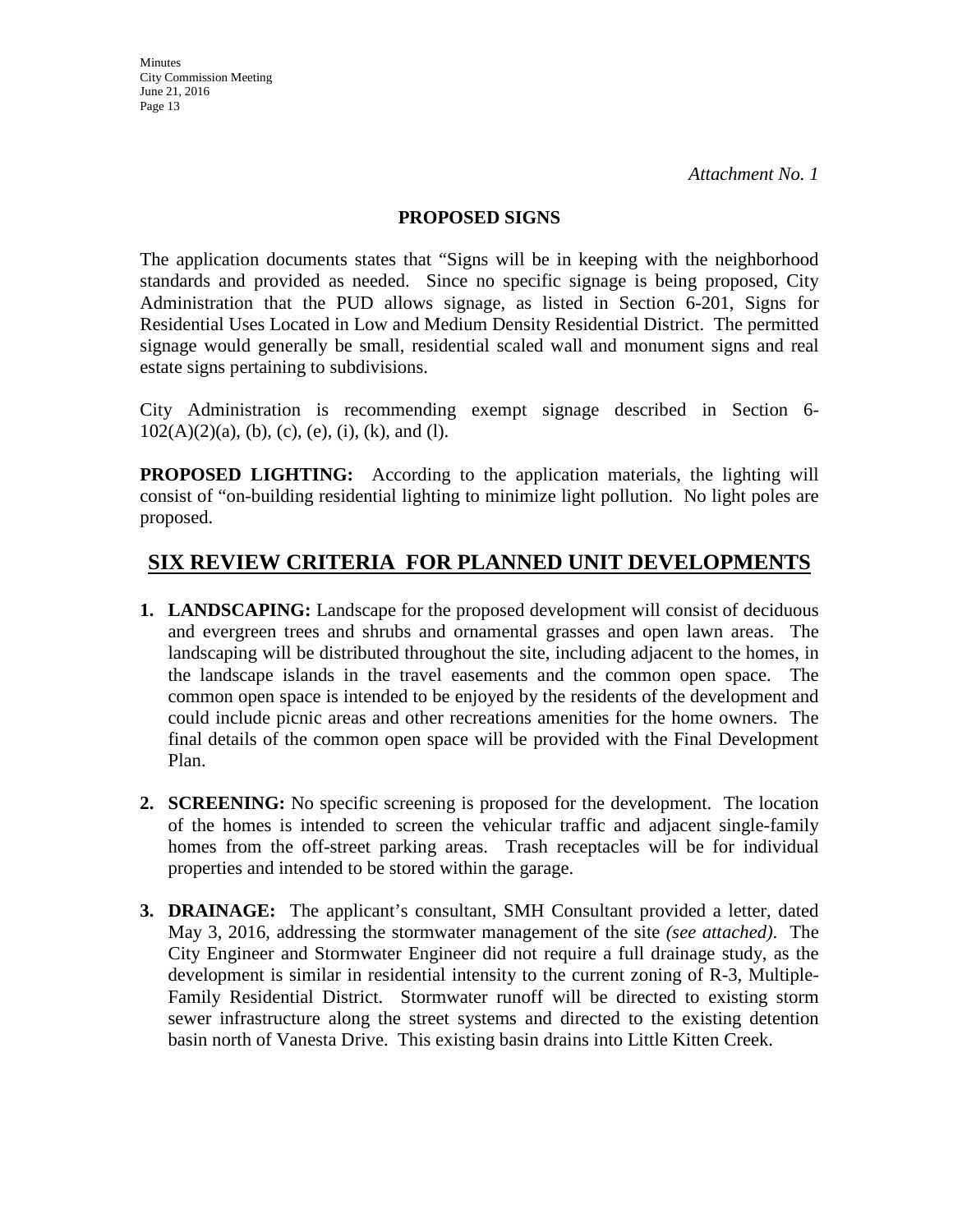#### **PROPOSED SIGNS**

The application documents states that "Signs will be in keeping with the neighborhood standards and provided as needed. Since no specific signage is being proposed, City Administration that the PUD allows signage, as listed in Section 6-201, Signs for Residential Uses Located in Low and Medium Density Residential District. The permitted signage would generally be small, residential scaled wall and monument signs and real estate signs pertaining to subdivisions.

City Administration is recommending exempt signage described in Section 6-  $102(A)(2)(a)$ , (b), (c), (e), (i), (k), and (l).

**PROPOSED LIGHTING:** According to the application materials, the lighting will consist of "on-building residential lighting to minimize light pollution. No light poles are proposed.

# **SIX REVIEW CRITERIA FOR PLANNED UNIT DEVELOPMENTS**

- **1. LANDSCAPING:** Landscape for the proposed development will consist of deciduous and evergreen trees and shrubs and ornamental grasses and open lawn areas. The landscaping will be distributed throughout the site, including adjacent to the homes, in the landscape islands in the travel easements and the common open space. The common open space is intended to be enjoyed by the residents of the development and could include picnic areas and other recreations amenities for the home owners. The final details of the common open space will be provided with the Final Development Plan.
- **2. SCREENING:** No specific screening is proposed for the development. The location of the homes is intended to screen the vehicular traffic and adjacent single-family homes from the off-street parking areas. Trash receptacles will be for individual properties and intended to be stored within the garage.
- **3. DRAINAGE:** The applicant's consultant, SMH Consultant provided a letter, dated May 3, 2016, addressing the stormwater management of the site *(see attached)*. The City Engineer and Stormwater Engineer did not require a full drainage study, as the development is similar in residential intensity to the current zoning of R-3, Multiple-Family Residential District. Stormwater runoff will be directed to existing storm sewer infrastructure along the street systems and directed to the existing detention basin north of Vanesta Drive. This existing basin drains into Little Kitten Creek.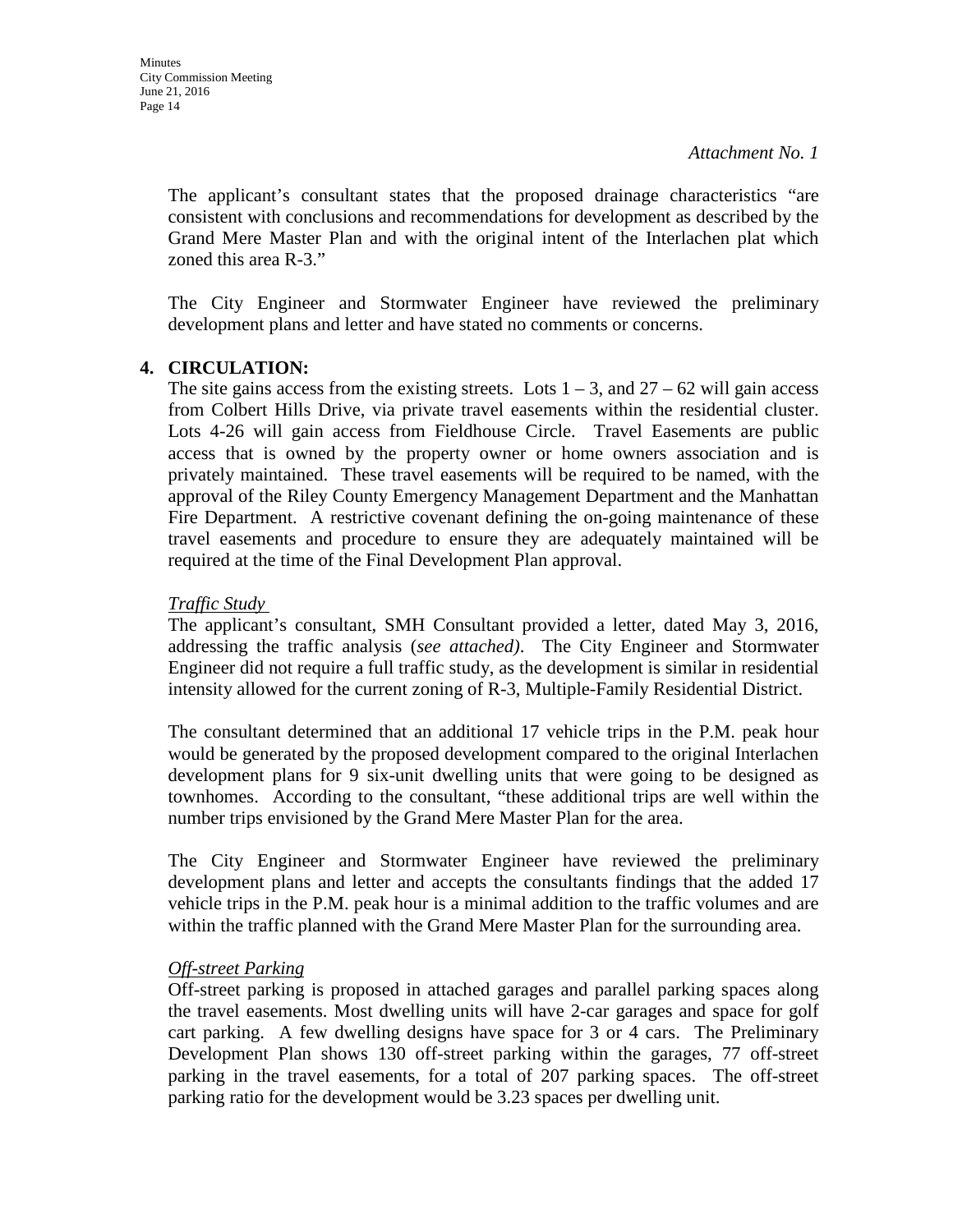The applicant's consultant states that the proposed drainage characteristics "are consistent with conclusions and recommendations for development as described by the Grand Mere Master Plan and with the original intent of the Interlachen plat which zoned this area R-3."

The City Engineer and Stormwater Engineer have reviewed the preliminary development plans and letter and have stated no comments or concerns.

#### **4. CIRCULATION:**

The site gains access from the existing streets. Lots  $1 - 3$ , and  $27 - 62$  will gain access from Colbert Hills Drive, via private travel easements within the residential cluster. Lots 4-26 will gain access from Fieldhouse Circle. Travel Easements are public access that is owned by the property owner or home owners association and is privately maintained. These travel easements will be required to be named, with the approval of the Riley County Emergency Management Department and the Manhattan Fire Department. A restrictive covenant defining the on-going maintenance of these travel easements and procedure to ensure they are adequately maintained will be required at the time of the Final Development Plan approval.

#### *Traffic Study*

The applicant's consultant, SMH Consultant provided a letter, dated May 3, 2016, addressing the traffic analysis (*see attached)*. The City Engineer and Stormwater Engineer did not require a full traffic study, as the development is similar in residential intensity allowed for the current zoning of R-3, Multiple-Family Residential District.

The consultant determined that an additional 17 vehicle trips in the P.M. peak hour would be generated by the proposed development compared to the original Interlachen development plans for 9 six-unit dwelling units that were going to be designed as townhomes. According to the consultant, "these additional trips are well within the number trips envisioned by the Grand Mere Master Plan for the area.

The City Engineer and Stormwater Engineer have reviewed the preliminary development plans and letter and accepts the consultants findings that the added 17 vehicle trips in the P.M. peak hour is a minimal addition to the traffic volumes and are within the traffic planned with the Grand Mere Master Plan for the surrounding area.

#### *Off-street Parking*

Off-street parking is proposed in attached garages and parallel parking spaces along the travel easements. Most dwelling units will have 2-car garages and space for golf cart parking. A few dwelling designs have space for 3 or 4 cars. The Preliminary Development Plan shows 130 off-street parking within the garages, 77 off-street parking in the travel easements, for a total of 207 parking spaces. The off-street parking ratio for the development would be 3.23 spaces per dwelling unit.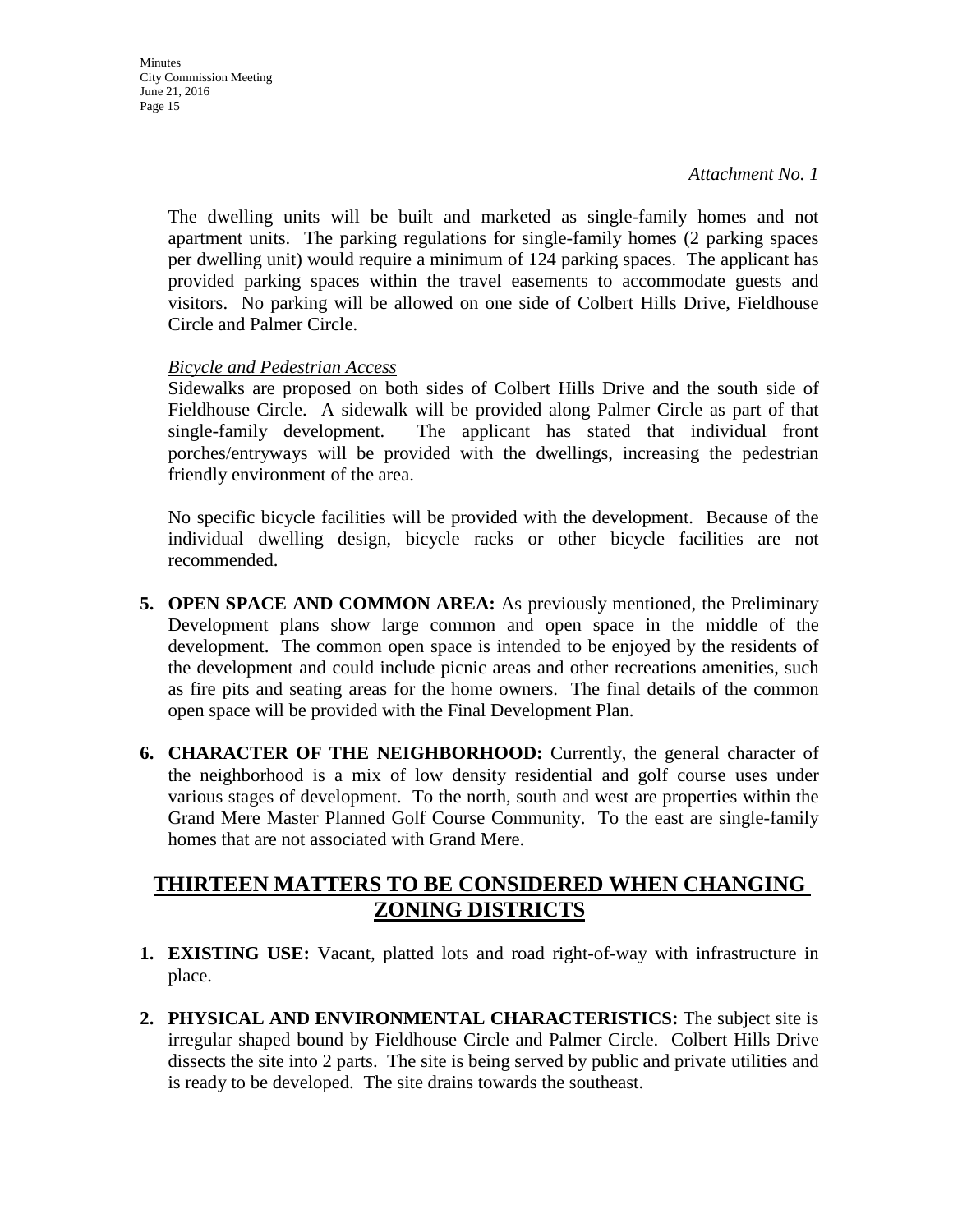The dwelling units will be built and marketed as single-family homes and not apartment units. The parking regulations for single-family homes (2 parking spaces per dwelling unit) would require a minimum of 124 parking spaces. The applicant has provided parking spaces within the travel easements to accommodate guests and visitors. No parking will be allowed on one side of Colbert Hills Drive, Fieldhouse Circle and Palmer Circle.

#### *Bicycle and Pedestrian Access*

Sidewalks are proposed on both sides of Colbert Hills Drive and the south side of Fieldhouse Circle. A sidewalk will be provided along Palmer Circle as part of that single-family development. The applicant has stated that individual front porches/entryways will be provided with the dwellings, increasing the pedestrian friendly environment of the area.

No specific bicycle facilities will be provided with the development. Because of the individual dwelling design, bicycle racks or other bicycle facilities are not recommended.

- **5. OPEN SPACE AND COMMON AREA:** As previously mentioned, the Preliminary Development plans show large common and open space in the middle of the development. The common open space is intended to be enjoyed by the residents of the development and could include picnic areas and other recreations amenities, such as fire pits and seating areas for the home owners. The final details of the common open space will be provided with the Final Development Plan.
- **6. CHARACTER OF THE NEIGHBORHOOD:** Currently, the general character of the neighborhood is a mix of low density residential and golf course uses under various stages of development. To the north, south and west are properties within the Grand Mere Master Planned Golf Course Community. To the east are single-family homes that are not associated with Grand Mere.

## **THIRTEEN MATTERS TO BE CONSIDERED WHEN CHANGING ZONING DISTRICTS**

- **1. EXISTING USE:** Vacant, platted lots and road right-of-way with infrastructure in place.
- **2. PHYSICAL AND ENVIRONMENTAL CHARACTERISTICS:** The subject site is irregular shaped bound by Fieldhouse Circle and Palmer Circle. Colbert Hills Drive dissects the site into 2 parts. The site is being served by public and private utilities and is ready to be developed. The site drains towards the southeast.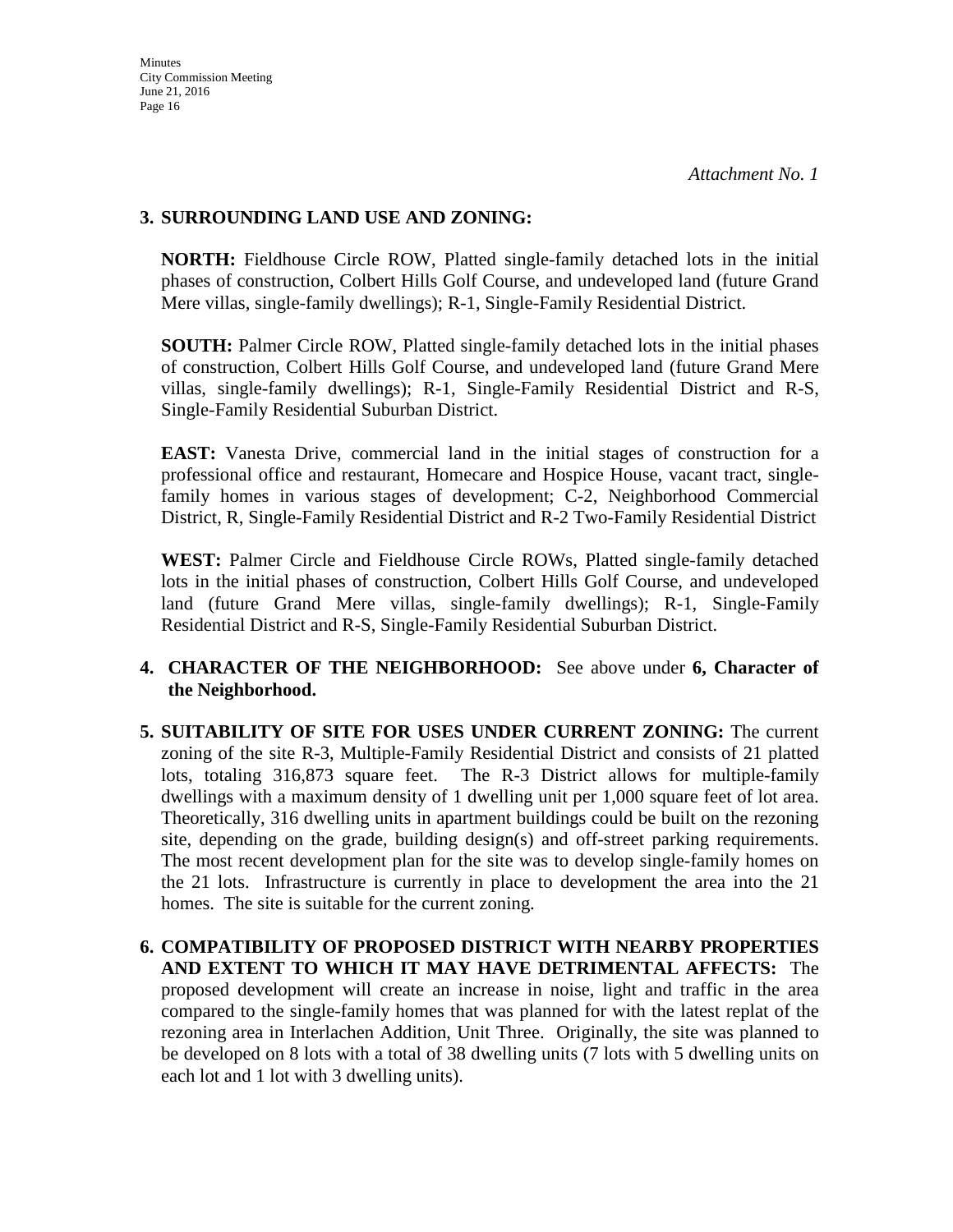#### **3. SURROUNDING LAND USE AND ZONING:**

**NORTH:** Fieldhouse Circle ROW, Platted single-family detached lots in the initial phases of construction, Colbert Hills Golf Course, and undeveloped land (future Grand Mere villas, single-family dwellings); R-1, Single-Family Residential District.

**SOUTH:** Palmer Circle ROW, Platted single-family detached lots in the initial phases of construction, Colbert Hills Golf Course, and undeveloped land (future Grand Mere villas, single-family dwellings); R-1, Single-Family Residential District and R-S, Single-Family Residential Suburban District.

**EAST:** Vanesta Drive, commercial land in the initial stages of construction for a professional office and restaurant, Homecare and Hospice House, vacant tract, singlefamily homes in various stages of development; C-2, Neighborhood Commercial District, R, Single-Family Residential District and R-2 Two-Family Residential District

**WEST:** Palmer Circle and Fieldhouse Circle ROWs, Platted single-family detached lots in the initial phases of construction, Colbert Hills Golf Course, and undeveloped land (future Grand Mere villas, single-family dwellings); R-1, Single-Family Residential District and R-S, Single-Family Residential Suburban District.

#### **4. CHARACTER OF THE NEIGHBORHOOD:** See above under **6, Character of the Neighborhood.**

- **5. SUITABILITY OF SITE FOR USES UNDER CURRENT ZONING:** The current zoning of the site R-3, Multiple-Family Residential District and consists of 21 platted lots, totaling 316,873 square feet. The R-3 District allows for multiple-family dwellings with a maximum density of 1 dwelling unit per 1,000 square feet of lot area. Theoretically, 316 dwelling units in apartment buildings could be built on the rezoning site, depending on the grade, building design(s) and off-street parking requirements. The most recent development plan for the site was to develop single-family homes on the 21 lots. Infrastructure is currently in place to development the area into the 21 homes. The site is suitable for the current zoning.
- **6. COMPATIBILITY OF PROPOSED DISTRICT WITH NEARBY PROPERTIES AND EXTENT TO WHICH IT MAY HAVE DETRIMENTAL AFFECTS:** The proposed development will create an increase in noise, light and traffic in the area compared to the single-family homes that was planned for with the latest replat of the rezoning area in Interlachen Addition, Unit Three. Originally, the site was planned to be developed on 8 lots with a total of 38 dwelling units (7 lots with 5 dwelling units on each lot and 1 lot with 3 dwelling units).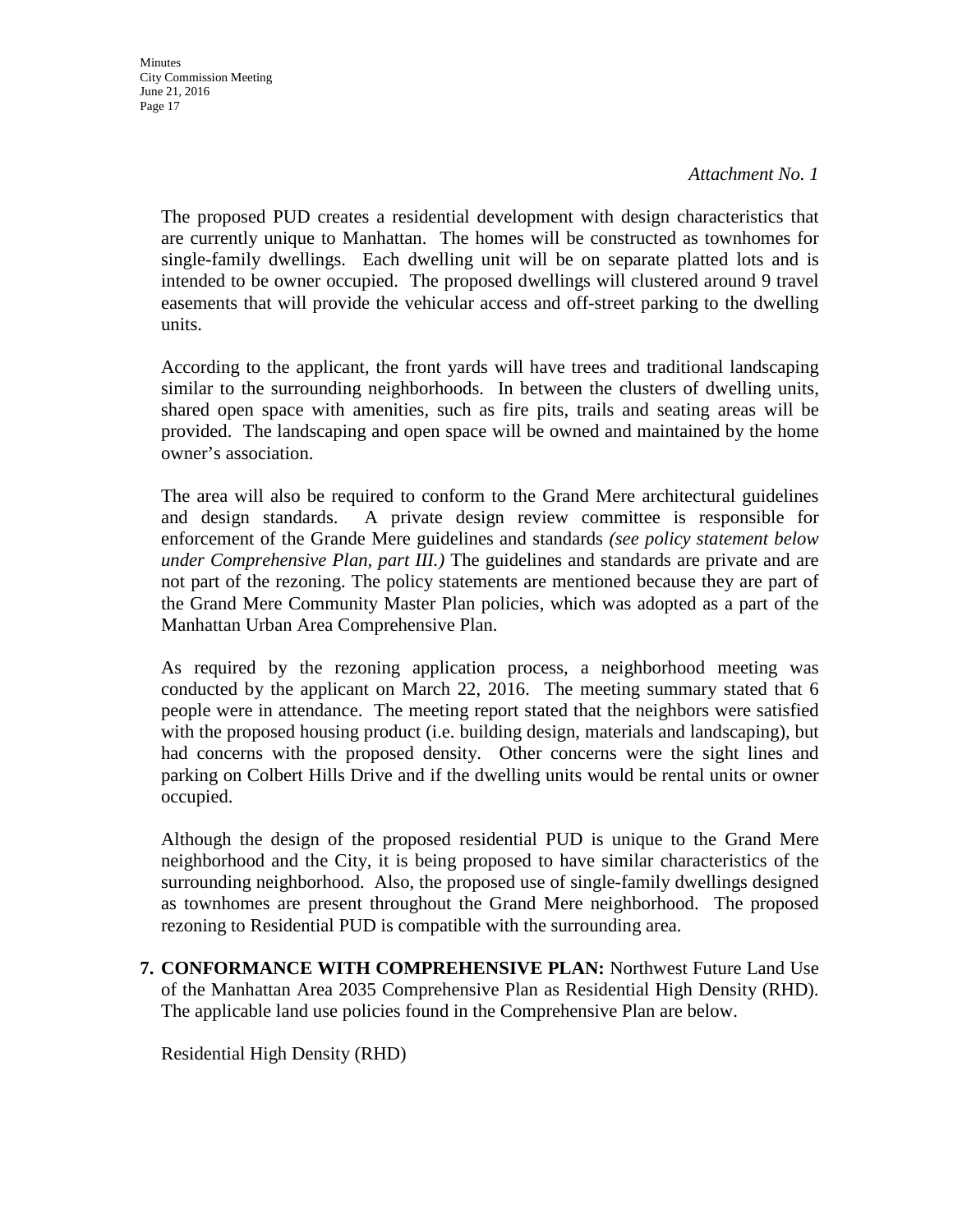**Minutes** City Commission Meeting June 21, 2016 Page 17

#### *Attachment No. 1*

The proposed PUD creates a residential development with design characteristics that are currently unique to Manhattan. The homes will be constructed as townhomes for single-family dwellings. Each dwelling unit will be on separate platted lots and is intended to be owner occupied. The proposed dwellings will clustered around 9 travel easements that will provide the vehicular access and off-street parking to the dwelling units.

According to the applicant, the front yards will have trees and traditional landscaping similar to the surrounding neighborhoods. In between the clusters of dwelling units, shared open space with amenities, such as fire pits, trails and seating areas will be provided. The landscaping and open space will be owned and maintained by the home owner's association.

The area will also be required to conform to the Grand Mere architectural guidelines and design standards. A private design review committee is responsible for enforcement of the Grande Mere guidelines and standards *(see policy statement below under Comprehensive Plan, part III.)* The guidelines and standards are private and are not part of the rezoning. The policy statements are mentioned because they are part of the Grand Mere Community Master Plan policies, which was adopted as a part of the Manhattan Urban Area Comprehensive Plan.

As required by the rezoning application process, a neighborhood meeting was conducted by the applicant on March 22, 2016. The meeting summary stated that 6 people were in attendance. The meeting report stated that the neighbors were satisfied with the proposed housing product (i.e. building design, materials and landscaping), but had concerns with the proposed density. Other concerns were the sight lines and parking on Colbert Hills Drive and if the dwelling units would be rental units or owner occupied.

Although the design of the proposed residential PUD is unique to the Grand Mere neighborhood and the City, it is being proposed to have similar characteristics of the surrounding neighborhood. Also, the proposed use of single-family dwellings designed as townhomes are present throughout the Grand Mere neighborhood. The proposed rezoning to Residential PUD is compatible with the surrounding area.

**7. CONFORMANCE WITH COMPREHENSIVE PLAN:** Northwest Future Land Use of the Manhattan Area 2035 Comprehensive Plan as Residential High Density (RHD). The applicable land use policies found in the Comprehensive Plan are below.

Residential High Density (RHD)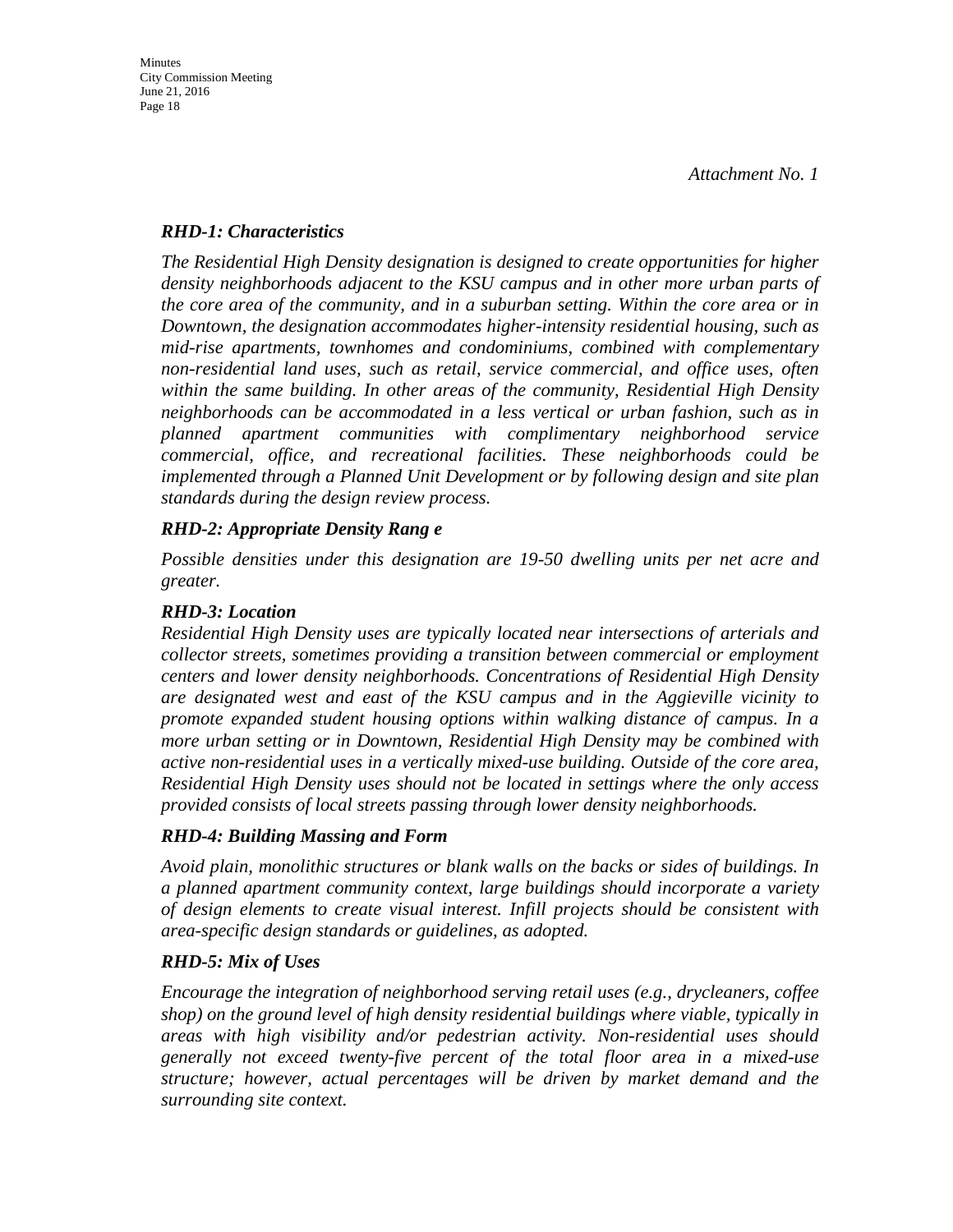#### *RHD-1: Characteristics*

*The Residential High Density designation is designed to create opportunities for higher density neighborhoods adjacent to the KSU campus and in other more urban parts of the core area of the community, and in a suburban setting. Within the core area or in Downtown, the designation accommodates higher-intensity residential housing, such as mid-rise apartments, townhomes and condominiums, combined with complementary non-residential land uses, such as retail, service commercial, and office uses, often within the same building. In other areas of the community, Residential High Density neighborhoods can be accommodated in a less vertical or urban fashion, such as in planned apartment communities with complimentary neighborhood service commercial, office, and recreational facilities. These neighborhoods could be implemented through a Planned Unit Development or by following design and site plan standards during the design review process.* 

#### *RHD-2: Appropriate Density Rang e*

*Possible densities under this designation are 19-50 dwelling units per net acre and greater.* 

#### *RHD-3: Location*

*Residential High Density uses are typically located near intersections of arterials and collector streets, sometimes providing a transition between commercial or employment centers and lower density neighborhoods. Concentrations of Residential High Density are designated west and east of the KSU campus and in the Aggieville vicinity to promote expanded student housing options within walking distance of campus. In a more urban setting or in Downtown, Residential High Density may be combined with active non-residential uses in a vertically mixed-use building. Outside of the core area, Residential High Density uses should not be located in settings where the only access provided consists of local streets passing through lower density neighborhoods.* 

#### *RHD-4: Building Massing and Form*

*Avoid plain, monolithic structures or blank walls on the backs or sides of buildings. In a planned apartment community context, large buildings should incorporate a variety of design elements to create visual interest. Infill projects should be consistent with area-specific design standards or guidelines, as adopted.* 

#### *RHD-5: Mix of Uses*

*Encourage the integration of neighborhood serving retail uses (e.g., drycleaners, coffee shop) on the ground level of high density residential buildings where viable, typically in areas with high visibility and/or pedestrian activity. Non-residential uses should generally not exceed twenty-five percent of the total floor area in a mixed-use structure; however, actual percentages will be driven by market demand and the surrounding site context.*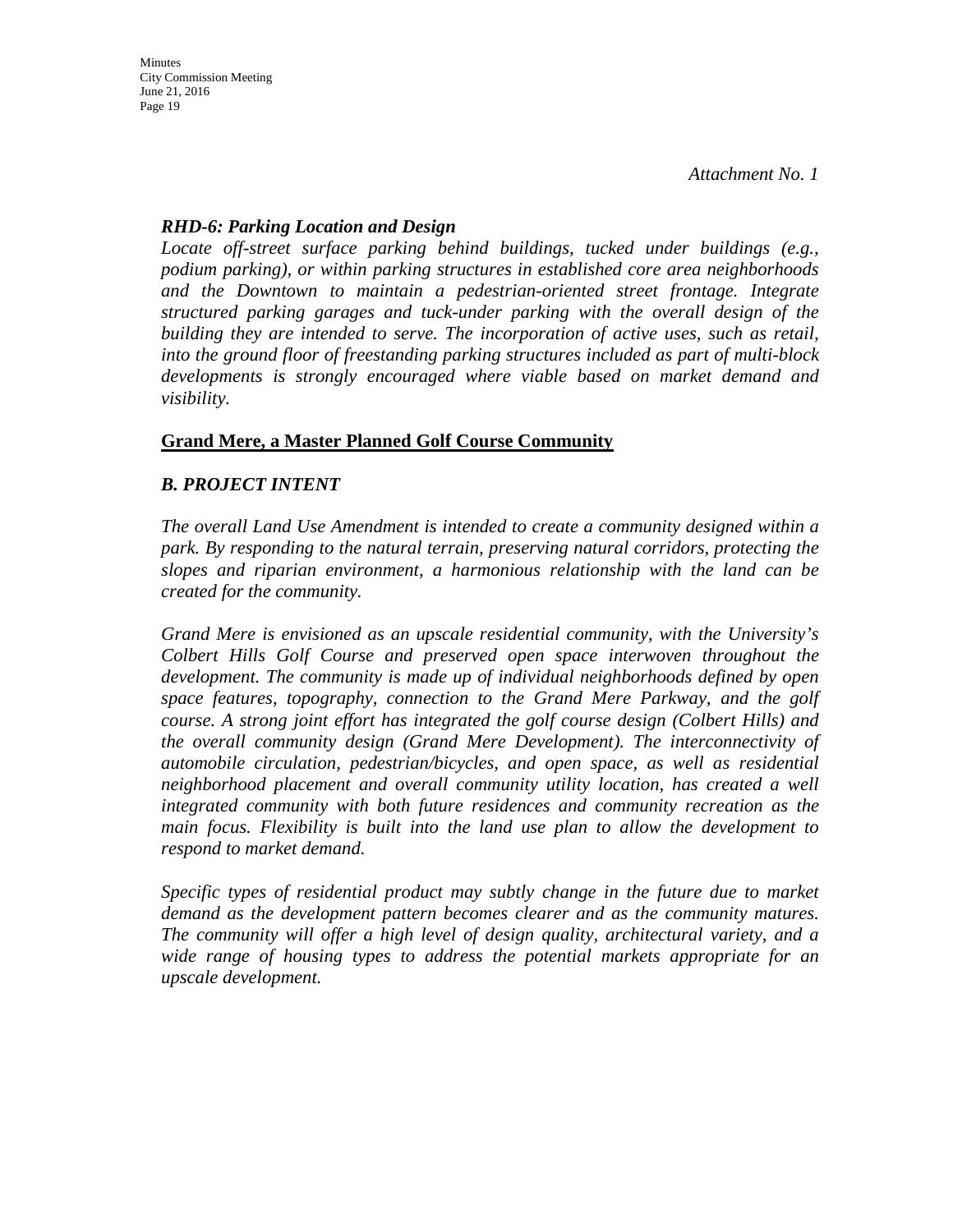#### *RHD-6: Parking Location and Design*

*Locate off-street surface parking behind buildings, tucked under buildings (e.g., podium parking), or within parking structures in established core area neighborhoods and the Downtown to maintain a pedestrian-oriented street frontage. Integrate structured parking garages and tuck-under parking with the overall design of the building they are intended to serve. The incorporation of active uses, such as retail, into the ground floor of freestanding parking structures included as part of multi-block developments is strongly encouraged where viable based on market demand and visibility.*

#### **Grand Mere, a Master Planned Golf Course Community**

#### *B. PROJECT INTENT*

*The overall Land Use Amendment is intended to create a community designed within a park. By responding to the natural terrain, preserving natural corridors, protecting the slopes and riparian environment, a harmonious relationship with the land can be created for the community.* 

*Grand Mere is envisioned as an upscale residential community, with the University's Colbert Hills Golf Course and preserved open space interwoven throughout the development. The community is made up of individual neighborhoods defined by open space features, topography, connection to the Grand Mere Parkway, and the golf course. A strong joint effort has integrated the golf course design (Colbert Hills) and the overall community design (Grand Mere Development). The interconnectivity of automobile circulation, pedestrian/bicycles, and open space, as well as residential neighborhood placement and overall community utility location, has created a well integrated community with both future residences and community recreation as the main focus. Flexibility is built into the land use plan to allow the development to respond to market demand.* 

*Specific types of residential product may subtly change in the future due to market demand as the development pattern becomes clearer and as the community matures. The community will offer a high level of design quality, architectural variety, and a wide range of housing types to address the potential markets appropriate for an upscale development.*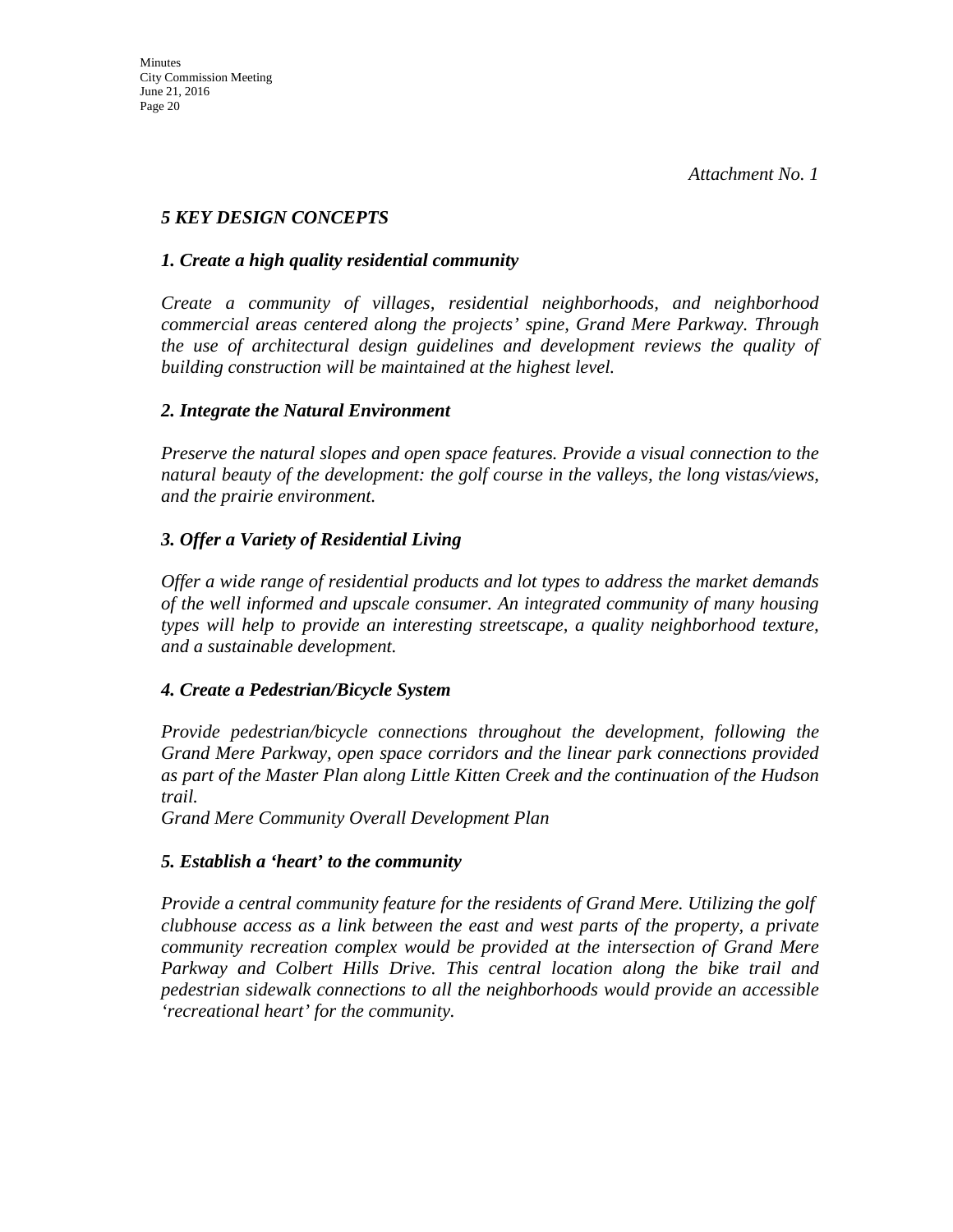### *5 KEY DESIGN CONCEPTS*

#### *1. Create a high quality residential community*

*Create a community of villages, residential neighborhoods, and neighborhood commercial areas centered along the projects' spine, Grand Mere Parkway. Through the use of architectural design guidelines and development reviews the quality of building construction will be maintained at the highest level.* 

#### *2. Integrate the Natural Environment*

*Preserve the natural slopes and open space features. Provide a visual connection to the natural beauty of the development: the golf course in the valleys, the long vistas/views, and the prairie environment.* 

#### *3. Offer a Variety of Residential Living*

*Offer a wide range of residential products and lot types to address the market demands of the well informed and upscale consumer. An integrated community of many housing types will help to provide an interesting streetscape, a quality neighborhood texture, and a sustainable development.* 

#### *4. Create a Pedestrian/Bicycle System*

*Provide pedestrian/bicycle connections throughout the development, following the Grand Mere Parkway, open space corridors and the linear park connections provided as part of the Master Plan along Little Kitten Creek and the continuation of the Hudson trail.*

*Grand Mere Community Overall Development Plan* 

#### *5. Establish a 'heart' to the community*

*Provide a central community feature for the residents of Grand Mere. Utilizing the golf clubhouse access as a link between the east and west parts of the property, a private community recreation complex would be provided at the intersection of Grand Mere Parkway and Colbert Hills Drive. This central location along the bike trail and pedestrian sidewalk connections to all the neighborhoods would provide an accessible 'recreational heart' for the community.*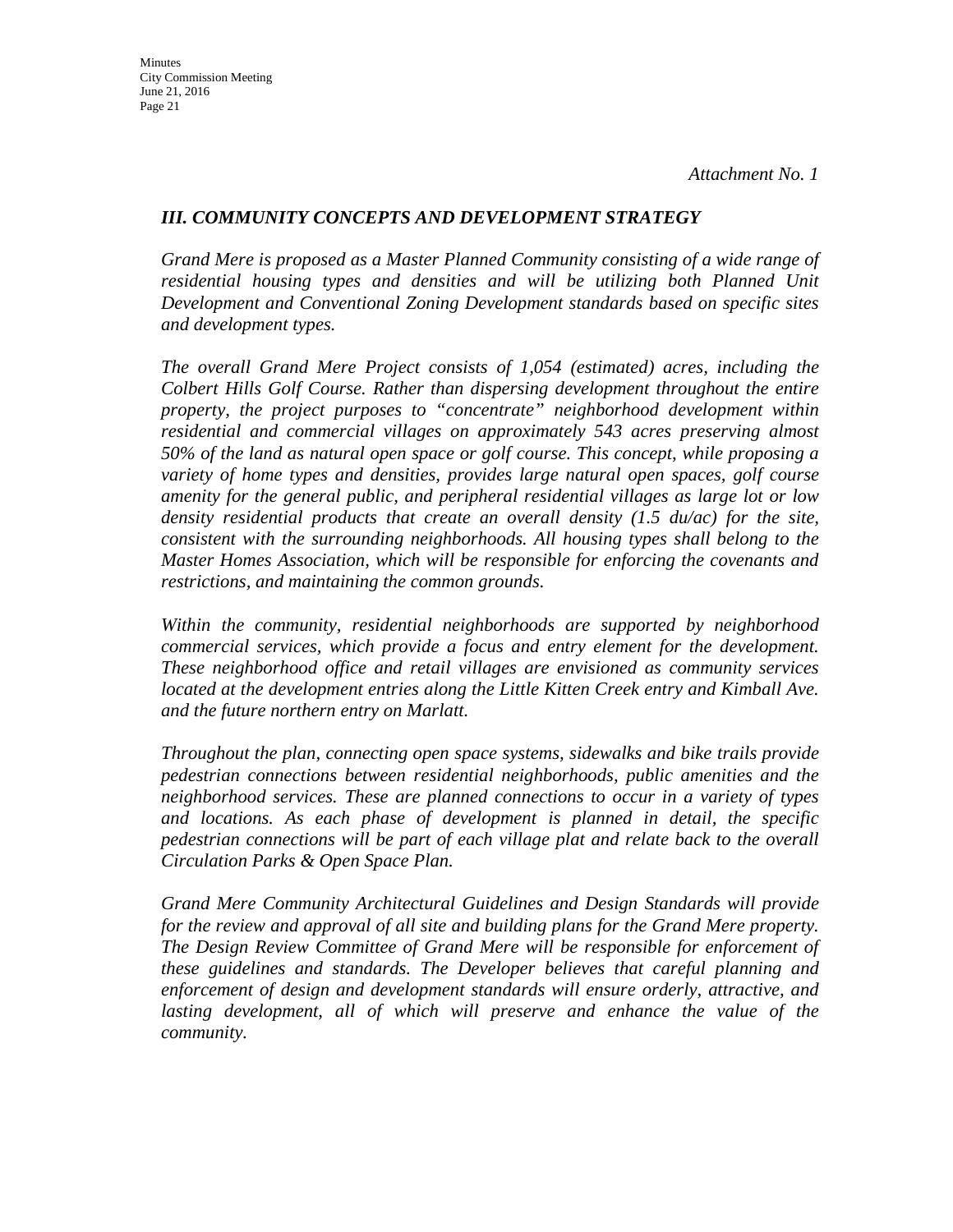#### *III. COMMUNITY CONCEPTS AND DEVELOPMENT STRATEGY*

*Grand Mere is proposed as a Master Planned Community consisting of a wide range of residential housing types and densities and will be utilizing both Planned Unit Development and Conventional Zoning Development standards based on specific sites and development types.* 

*The overall Grand Mere Project consists of 1,054 (estimated) acres, including the Colbert Hills Golf Course. Rather than dispersing development throughout the entire property, the project purposes to "concentrate" neighborhood development within residential and commercial villages on approximately 543 acres preserving almost 50% of the land as natural open space or golf course. This concept, while proposing a variety of home types and densities, provides large natural open spaces, golf course amenity for the general public, and peripheral residential villages as large lot or low density residential products that create an overall density (1.5 du/ac) for the site, consistent with the surrounding neighborhoods. All housing types shall belong to the Master Homes Association, which will be responsible for enforcing the covenants and restrictions, and maintaining the common grounds.* 

*Within the community, residential neighborhoods are supported by neighborhood commercial services, which provide a focus and entry element for the development. These neighborhood office and retail villages are envisioned as community services located at the development entries along the Little Kitten Creek entry and Kimball Ave. and the future northern entry on Marlatt.* 

*Throughout the plan, connecting open space systems, sidewalks and bike trails provide pedestrian connections between residential neighborhoods, public amenities and the neighborhood services. These are planned connections to occur in a variety of types and locations. As each phase of development is planned in detail, the specific pedestrian connections will be part of each village plat and relate back to the overall Circulation Parks & Open Space Plan.* 

*Grand Mere Community Architectural Guidelines and Design Standards will provide for the review and approval of all site and building plans for the Grand Mere property. The Design Review Committee of Grand Mere will be responsible for enforcement of these guidelines and standards. The Developer believes that careful planning and enforcement of design and development standards will ensure orderly, attractive, and*  lasting development, all of which will preserve and enhance the value of the *community.*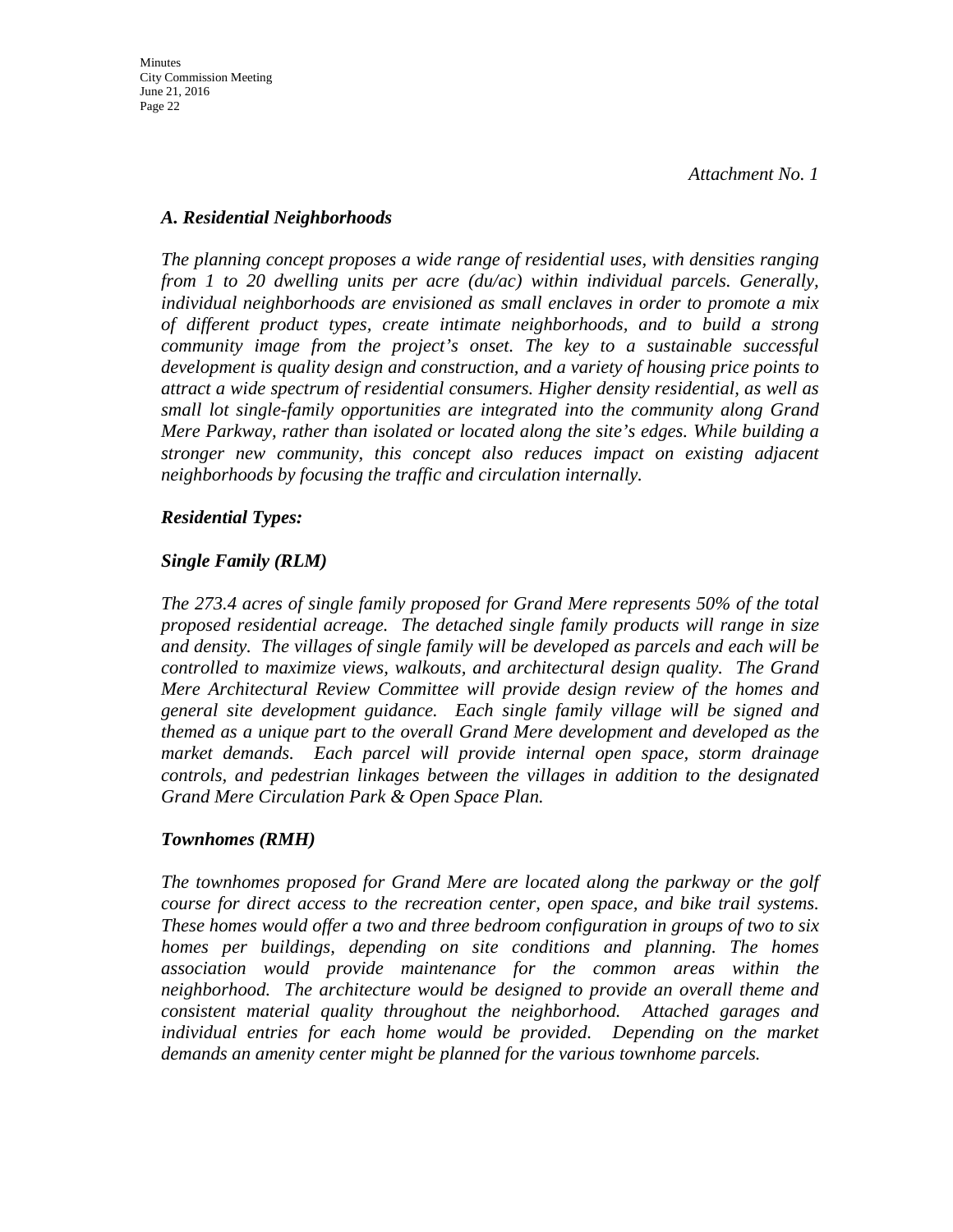#### *A. Residential Neighborhoods*

*The planning concept proposes a wide range of residential uses, with densities ranging from 1 to 20 dwelling units per acre (du/ac) within individual parcels. Generally, individual neighborhoods are envisioned as small enclaves in order to promote a mix of different product types, create intimate neighborhoods, and to build a strong community image from the project's onset. The key to a sustainable successful development is quality design and construction, and a variety of housing price points to attract a wide spectrum of residential consumers. Higher density residential, as well as small lot single-family opportunities are integrated into the community along Grand Mere Parkway, rather than isolated or located along the site's edges. While building a stronger new community, this concept also reduces impact on existing adjacent neighborhoods by focusing the traffic and circulation internally.* 

#### *Residential Types:*

#### *Single Family (RLM)*

*The 273.4 acres of single family proposed for Grand Mere represents 50% of the total proposed residential acreage. The detached single family products will range in size and density. The villages of single family will be developed as parcels and each will be controlled to maximize views, walkouts, and architectural design quality. The Grand Mere Architectural Review Committee will provide design review of the homes and general site development guidance. Each single family village will be signed and themed as a unique part to the overall Grand Mere development and developed as the market demands. Each parcel will provide internal open space, storm drainage controls, and pedestrian linkages between the villages in addition to the designated Grand Mere Circulation Park & Open Space Plan.* 

#### *Townhomes (RMH)*

*The townhomes proposed for Grand Mere are located along the parkway or the golf course for direct access to the recreation center, open space, and bike trail systems. These homes would offer a two and three bedroom configuration in groups of two to six homes per buildings, depending on site conditions and planning. The homes association would provide maintenance for the common areas within the neighborhood. The architecture would be designed to provide an overall theme and consistent material quality throughout the neighborhood. Attached garages and individual entries for each home would be provided. Depending on the market demands an amenity center might be planned for the various townhome parcels.*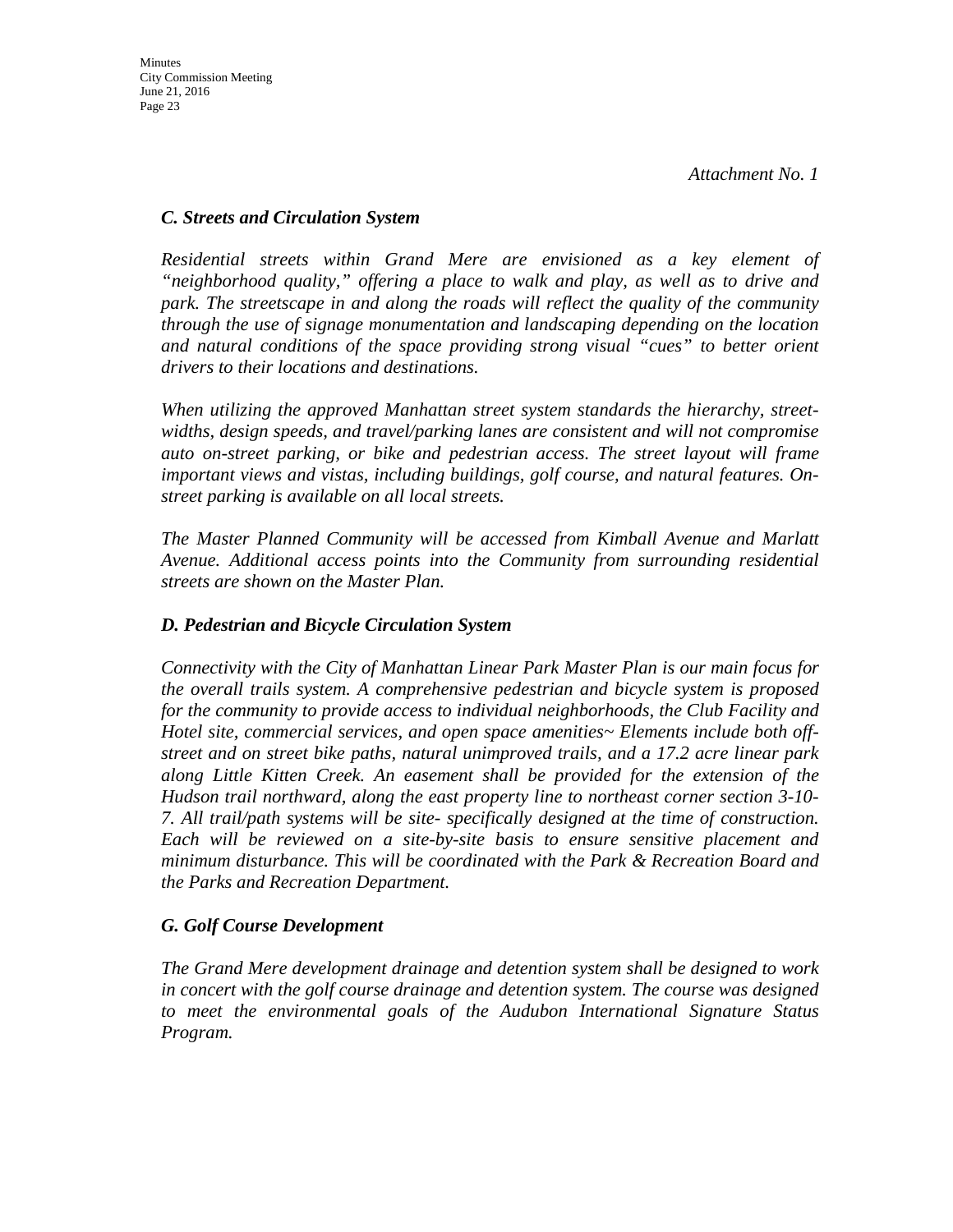#### *C. Streets and Circulation System*

*Residential streets within Grand Mere are envisioned as a key element of "neighborhood quality," offering a place to walk and play, as well as to drive and park. The streetscape in and along the roads will reflect the quality of the community through the use of signage monumentation and landscaping depending on the location and natural conditions of the space providing strong visual "cues" to better orient drivers to their locations and destinations.* 

*When utilizing the approved Manhattan street system standards the hierarchy, streetwidths, design speeds, and travel/parking lanes are consistent and will not compromise auto on-street parking, or bike and pedestrian access. The street layout will frame important views and vistas, including buildings, golf course, and natural features. Onstreet parking is available on all local streets.* 

*The Master Planned Community will be accessed from Kimball Avenue and Marlatt Avenue. Additional access points into the Community from surrounding residential streets are shown on the Master Plan.* 

#### *D. Pedestrian and Bicycle Circulation System*

*Connectivity with the City of Manhattan Linear Park Master Plan is our main focus for the overall trails system. A comprehensive pedestrian and bicycle system is proposed for the community to provide access to individual neighborhoods, the Club Facility and Hotel site, commercial services, and open space amenities~ Elements include both offstreet and on street bike paths, natural unimproved trails, and a 17.2 acre linear park along Little Kitten Creek. An easement shall be provided for the extension of the Hudson trail northward, along the east property line to northeast corner section 3-10- 7. All trail/path systems will be site- specifically designed at the time of construction. Each will be reviewed on a site-by-site basis to ensure sensitive placement and minimum disturbance. This will be coordinated with the Park & Recreation Board and the Parks and Recreation Department.* 

#### *G. Golf Course Development*

*The Grand Mere development drainage and detention system shall be designed to work in concert with the golf course drainage and detention system. The course was designed to meet the environmental goals of the Audubon International Signature Status Program.*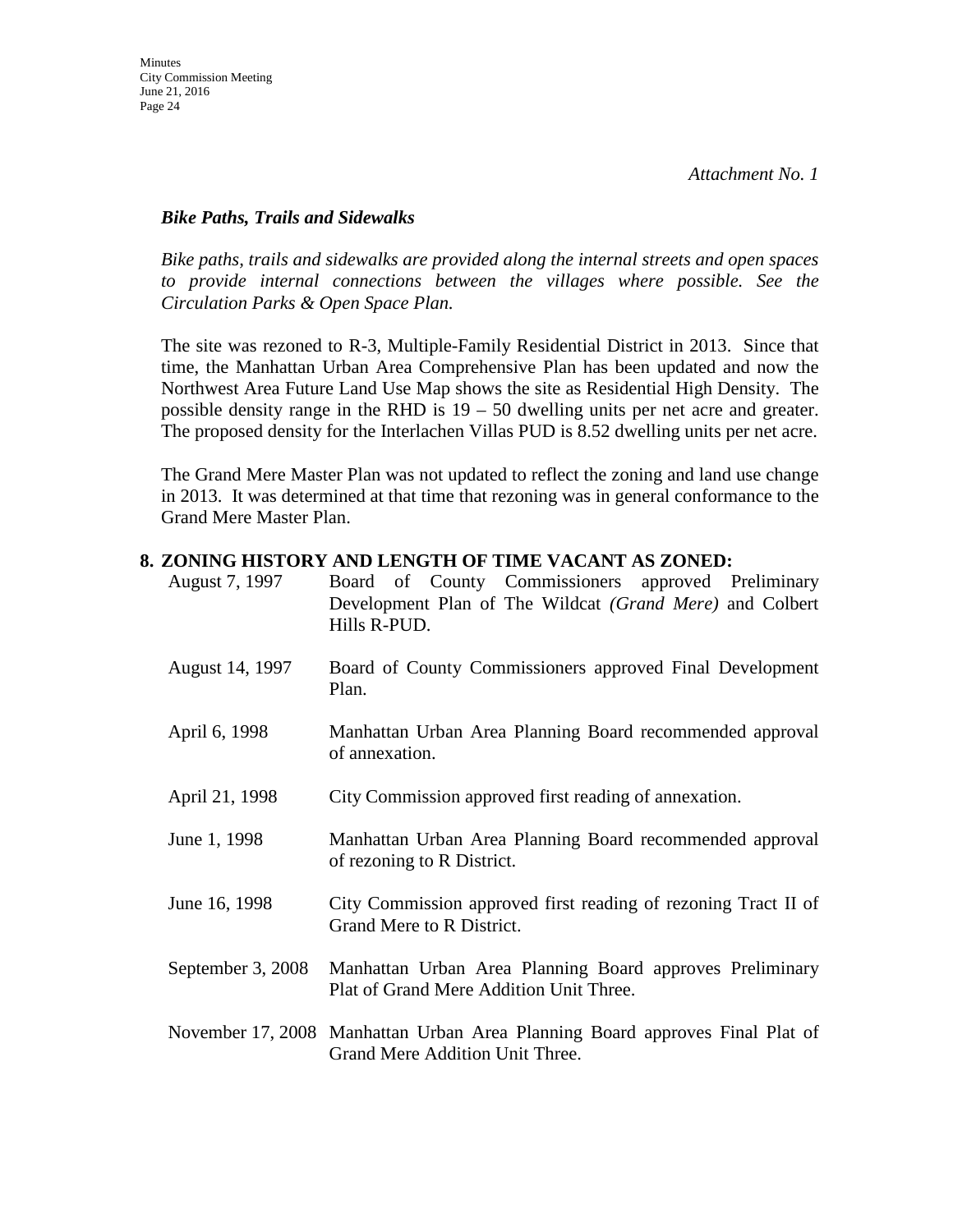#### *Bike Paths, Trails and Sidewalks*

*Bike paths, trails and sidewalks are provided along the internal streets and open spaces*  to provide internal connections between the villages where possible. See the *Circulation Parks & Open Space Plan.* 

The site was rezoned to R-3, Multiple-Family Residential District in 2013. Since that time, the Manhattan Urban Area Comprehensive Plan has been updated and now the Northwest Area Future Land Use Map shows the site as Residential High Density. The possible density range in the RHD is 19 – 50 dwelling units per net acre and greater. The proposed density for the Interlachen Villas PUD is 8.52 dwelling units per net acre.

The Grand Mere Master Plan was not updated to reflect the zoning and land use change in 2013. It was determined at that time that rezoning was in general conformance to the Grand Mere Master Plan.

#### **8. ZONING HISTORY AND LENGTH OF TIME VACANT AS ZONED:**

| August 7, 1997    | Board of County Commissioners approved Preliminary<br>Development Plan of The Wildcat (Grand Mere) and Colbert<br>Hills R-PUD. |
|-------------------|--------------------------------------------------------------------------------------------------------------------------------|
| August 14, 1997   | Board of County Commissioners approved Final Development<br>Plan.                                                              |
| April 6, 1998     | Manhattan Urban Area Planning Board recommended approval<br>of annexation.                                                     |
| April 21, 1998    | City Commission approved first reading of annexation.                                                                          |
| June 1, 1998      | Manhattan Urban Area Planning Board recommended approval<br>of rezoning to R District.                                         |
| June 16, 1998     | City Commission approved first reading of rezoning Tract II of<br>Grand Mere to R District.                                    |
| September 3, 2008 | Manhattan Urban Area Planning Board approves Preliminary<br>Plat of Grand Mere Addition Unit Three.                            |
|                   | November 17, 2008 Manhattan Urban Area Planning Board approves Final Plat of<br>Grand Mere Addition Unit Three.                |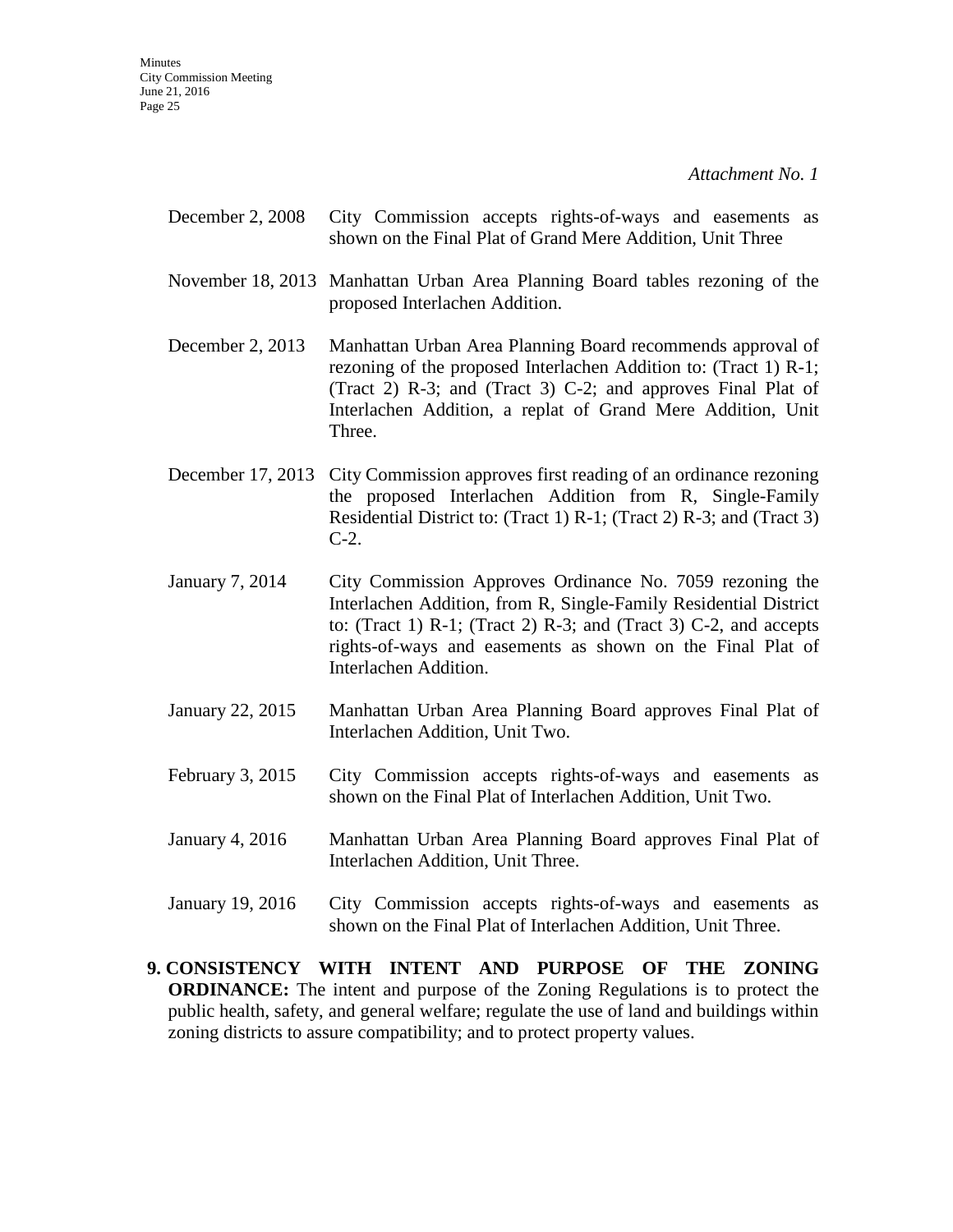- December 2, 2008 City Commission accepts rights-of-ways and easements as shown on the Final Plat of Grand Mere Addition, Unit Three
- November 18, 2013 Manhattan Urban Area Planning Board tables rezoning of the proposed Interlachen Addition.
- December 2, 2013 Manhattan Urban Area Planning Board recommends approval of rezoning of the proposed Interlachen Addition to: (Tract 1) R-1; (Tract 2) R-3; and (Tract 3) C-2; and approves Final Plat of Interlachen Addition, a replat of Grand Mere Addition, Unit Three.
- December 17, 2013 City Commission approves first reading of an ordinance rezoning the proposed Interlachen Addition from R, Single-Family Residential District to: (Tract 1) R-1; (Tract 2) R-3; and (Tract 3) C-2.
- January 7, 2014 City Commission Approves Ordinance No. 7059 rezoning the Interlachen Addition, from R, Single-Family Residential District to: (Tract 1)  $R-1$ ; (Tract 2)  $R-3$ ; and (Tract 3)  $C-2$ , and accepts rights-of-ways and easements as shown on the Final Plat of Interlachen Addition.
- January 22, 2015 Manhattan Urban Area Planning Board approves Final Plat of Interlachen Addition, Unit Two.
- February 3, 2015 City Commission accepts rights-of-ways and easements as shown on the Final Plat of Interlachen Addition, Unit Two.
- January 4, 2016 Manhattan Urban Area Planning Board approves Final Plat of Interlachen Addition, Unit Three.
- January 19, 2016 City Commission accepts rights-of-ways and easements as shown on the Final Plat of Interlachen Addition, Unit Three.
- **9. CONSISTENCY WITH INTENT AND PURPOSE OF THE ZONING ORDINANCE:** The intent and purpose of the Zoning Regulations is to protect the public health, safety, and general welfare; regulate the use of land and buildings within zoning districts to assure compatibility; and to protect property values.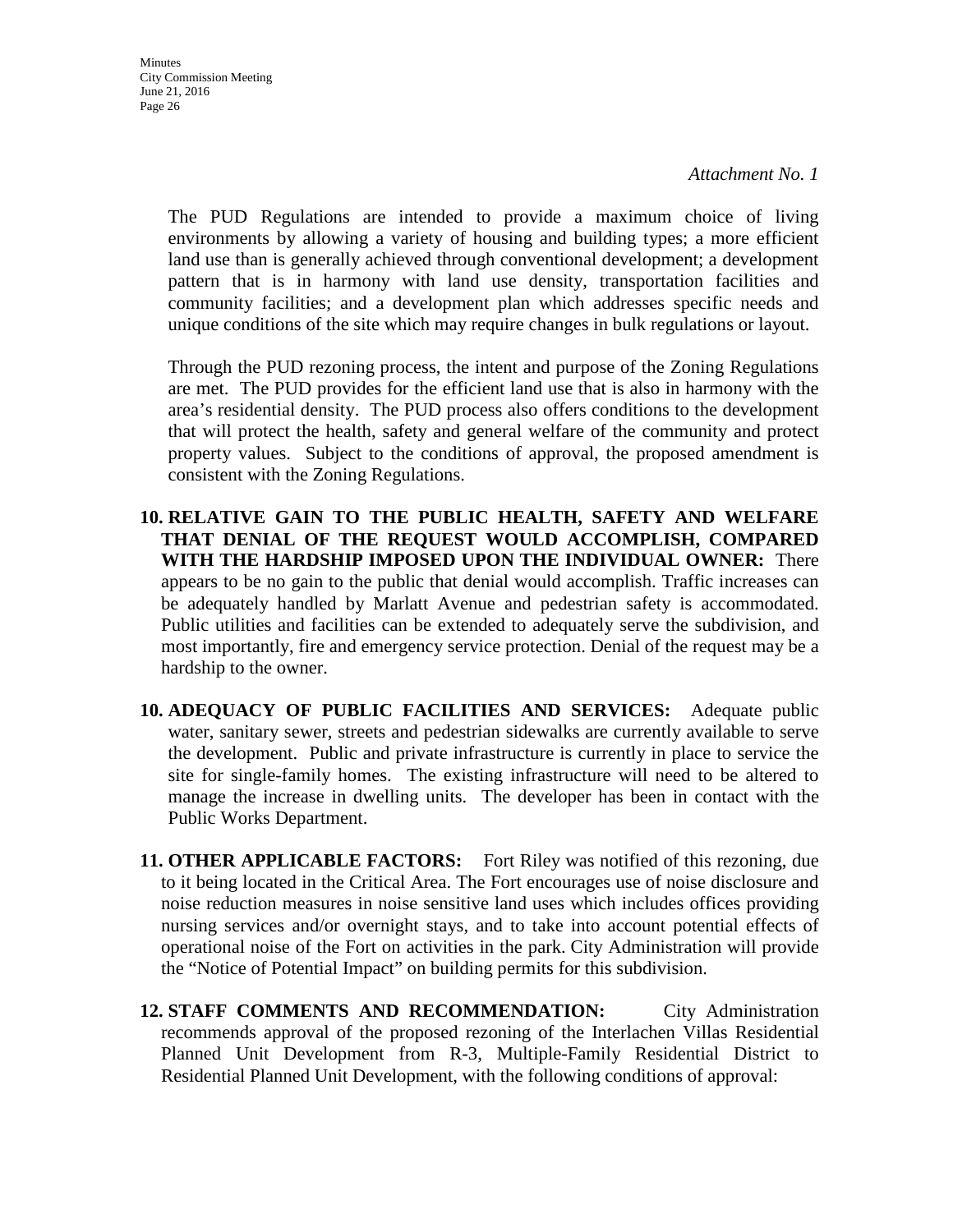**Minutes** City Commission Meeting June 21, 2016 Page 26

> The PUD Regulations are intended to provide a maximum choice of living environments by allowing a variety of housing and building types; a more efficient land use than is generally achieved through conventional development; a development pattern that is in harmony with land use density, transportation facilities and community facilities; and a development plan which addresses specific needs and unique conditions of the site which may require changes in bulk regulations or layout.

> Through the PUD rezoning process, the intent and purpose of the Zoning Regulations are met. The PUD provides for the efficient land use that is also in harmony with the area's residential density. The PUD process also offers conditions to the development that will protect the health, safety and general welfare of the community and protect property values. Subject to the conditions of approval, the proposed amendment is consistent with the Zoning Regulations.

**10. RELATIVE GAIN TO THE PUBLIC HEALTH, SAFETY AND WELFARE THAT DENIAL OF THE REQUEST WOULD ACCOMPLISH, COMPARED WITH THE HARDSHIP IMPOSED UPON THE INDIVIDUAL OWNER:** There appears to be no gain to the public that denial would accomplish. Traffic increases can be adequately handled by Marlatt Avenue and pedestrian safety is accommodated. Public utilities and facilities can be extended to adequately serve the subdivision, and most importantly, fire and emergency service protection. Denial of the request may be a hardship to the owner.

- **10. ADEQUACY OF PUBLIC FACILITIES AND SERVICES:** Adequate public water, sanitary sewer, streets and pedestrian sidewalks are currently available to serve the development. Public and private infrastructure is currently in place to service the site for single-family homes. The existing infrastructure will need to be altered to manage the increase in dwelling units. The developer has been in contact with the Public Works Department.
- **11. OTHER APPLICABLE FACTORS:** Fort Riley was notified of this rezoning, due to it being located in the Critical Area. The Fort encourages use of noise disclosure and noise reduction measures in noise sensitive land uses which includes offices providing nursing services and/or overnight stays, and to take into account potential effects of operational noise of the Fort on activities in the park. City Administration will provide the "Notice of Potential Impact" on building permits for this subdivision.
- **12. STAFF COMMENTS AND RECOMMENDATION:** City Administration recommends approval of the proposed rezoning of the Interlachen Villas Residential Planned Unit Development from R-3, Multiple-Family Residential District to Residential Planned Unit Development, with the following conditions of approval: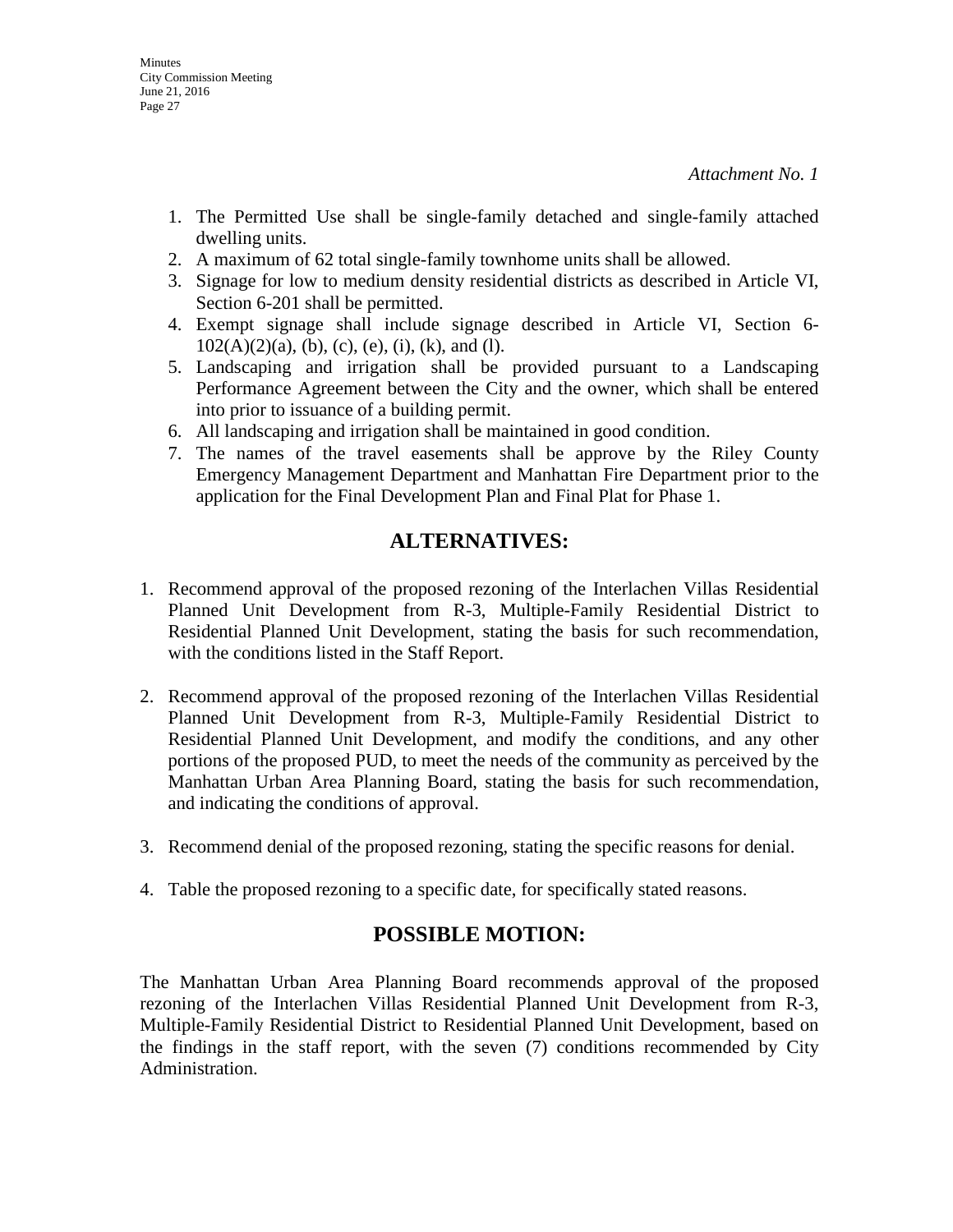- 1. The Permitted Use shall be single-family detached and single-family attached dwelling units.
- 2. A maximum of 62 total single-family townhome units shall be allowed.
- 3. Signage for low to medium density residential districts as described in Article VI, Section 6-201 shall be permitted.
- 4. Exempt signage shall include signage described in Article VI, Section 6-  $102(A)(2)(a)$ , (b), (c), (e), (i), (k), and (1).
- 5. Landscaping and irrigation shall be provided pursuant to a Landscaping Performance Agreement between the City and the owner, which shall be entered into prior to issuance of a building permit.
- 6. All landscaping and irrigation shall be maintained in good condition.
- 7. The names of the travel easements shall be approve by the Riley County Emergency Management Department and Manhattan Fire Department prior to the application for the Final Development Plan and Final Plat for Phase 1.

## **ALTERNATIVES:**

- 1. Recommend approval of the proposed rezoning of the Interlachen Villas Residential Planned Unit Development from R-3, Multiple-Family Residential District to Residential Planned Unit Development, stating the basis for such recommendation, with the conditions listed in the Staff Report.
- 2. Recommend approval of the proposed rezoning of the Interlachen Villas Residential Planned Unit Development from R-3, Multiple-Family Residential District to Residential Planned Unit Development, and modify the conditions, and any other portions of the proposed PUD, to meet the needs of the community as perceived by the Manhattan Urban Area Planning Board, stating the basis for such recommendation, and indicating the conditions of approval.
- 3. Recommend denial of the proposed rezoning, stating the specific reasons for denial.
- 4. Table the proposed rezoning to a specific date, for specifically stated reasons.

## **POSSIBLE MOTION:**

The Manhattan Urban Area Planning Board recommends approval of the proposed rezoning of the Interlachen Villas Residential Planned Unit Development from R-3, Multiple-Family Residential District to Residential Planned Unit Development, based on the findings in the staff report, with the seven (7) conditions recommended by City Administration.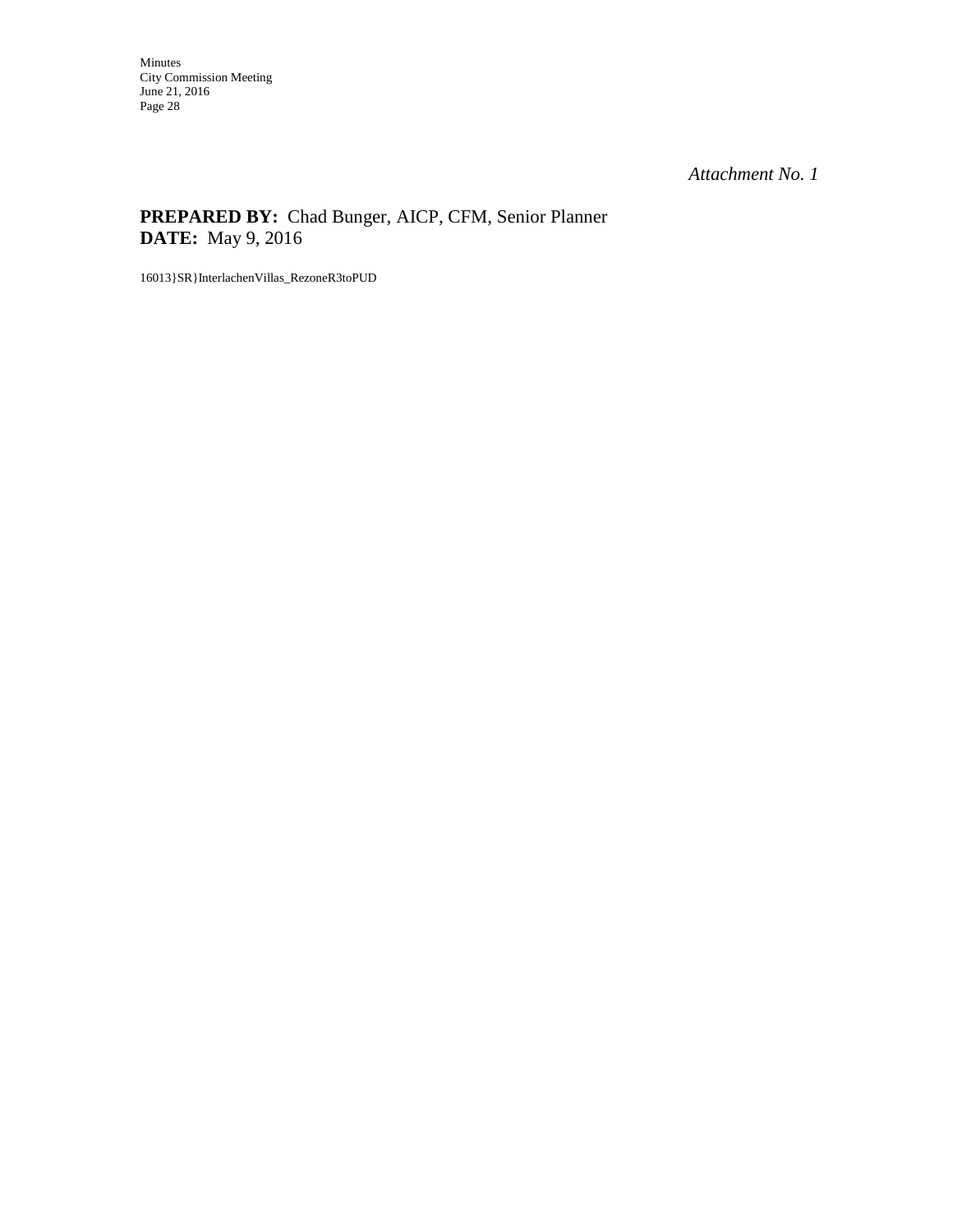### **PREPARED BY:** Chad Bunger, AICP, CFM, Senior Planner **DATE:** May 9, 2016

16013}SR}InterlachenVillas\_RezoneR3toPUD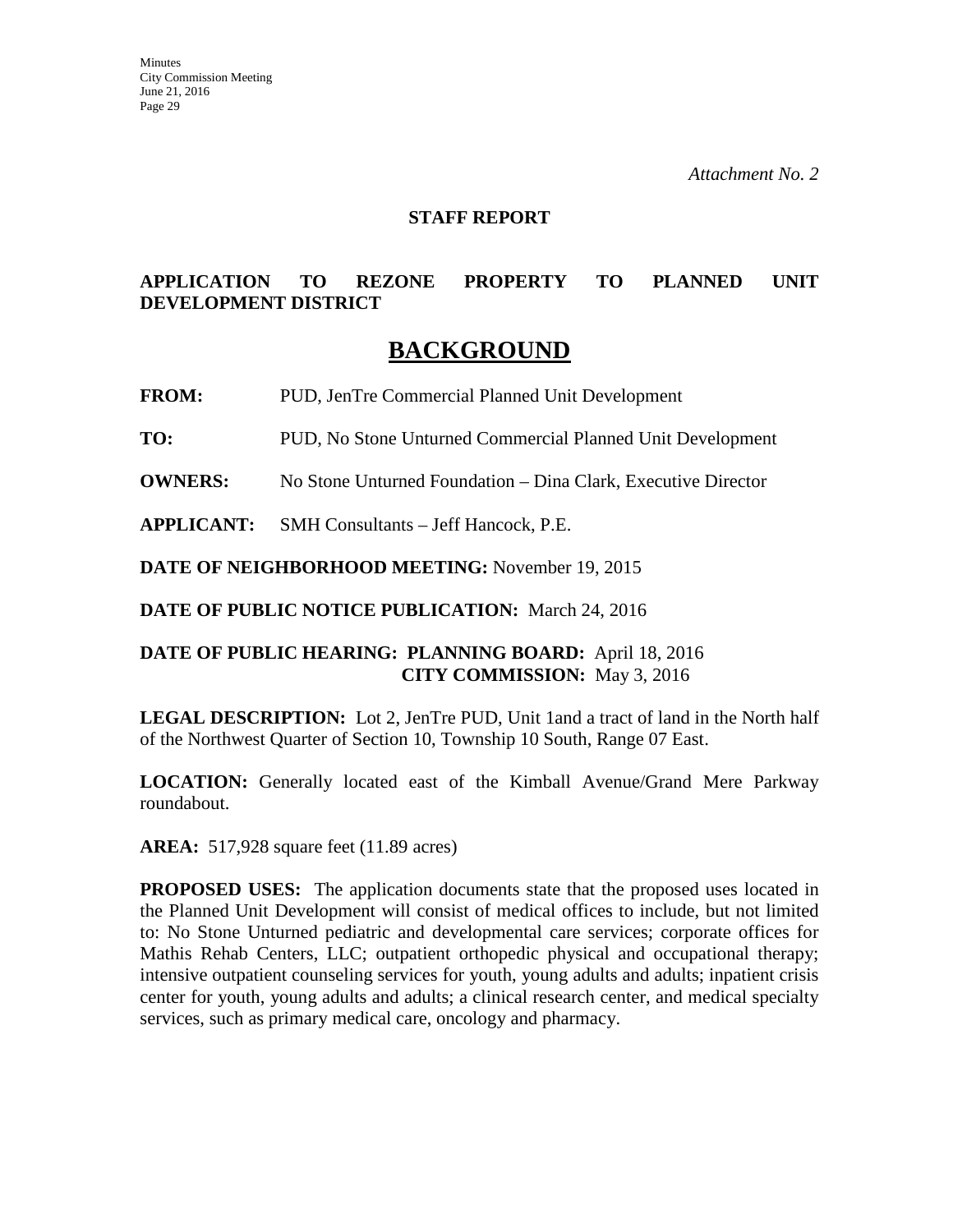#### **STAFF REPORT**

#### **APPLICATION TO REZONE PROPERTY TO PLANNED UNIT DEVELOPMENT DISTRICT**

# **BACKGROUND**

**FROM:** PUD, JenTre Commercial Planned Unit Development

**TO:** PUD, No Stone Unturned Commercial Planned Unit Development

**OWNERS:** No Stone Unturned Foundation – Dina Clark, Executive Director

**APPLICANT:** SMH Consultants – Jeff Hancock, P.E.

**DATE OF NEIGHBORHOOD MEETING:** November 19, 2015

**DATE OF PUBLIC NOTICE PUBLICATION:** March 24, 2016

#### **DATE OF PUBLIC HEARING: PLANNING BOARD:** April 18, 2016 **CITY COMMISSION:** May 3, 2016

**LEGAL DESCRIPTION:** Lot 2, JenTre PUD, Unit 1and a tract of land in the North half of the Northwest Quarter of Section 10, Township 10 South, Range 07 East.

**LOCATION:** Generally located east of the Kimball Avenue/Grand Mere Parkway roundabout.

**AREA:** 517,928 square feet (11.89 acres)

**PROPOSED USES:** The application documents state that the proposed uses located in the Planned Unit Development will consist of medical offices to include, but not limited to: No Stone Unturned pediatric and developmental care services; corporate offices for Mathis Rehab Centers, LLC; outpatient orthopedic physical and occupational therapy; intensive outpatient counseling services for youth, young adults and adults; inpatient crisis center for youth, young adults and adults; a clinical research center, and medical specialty services, such as primary medical care, oncology and pharmacy.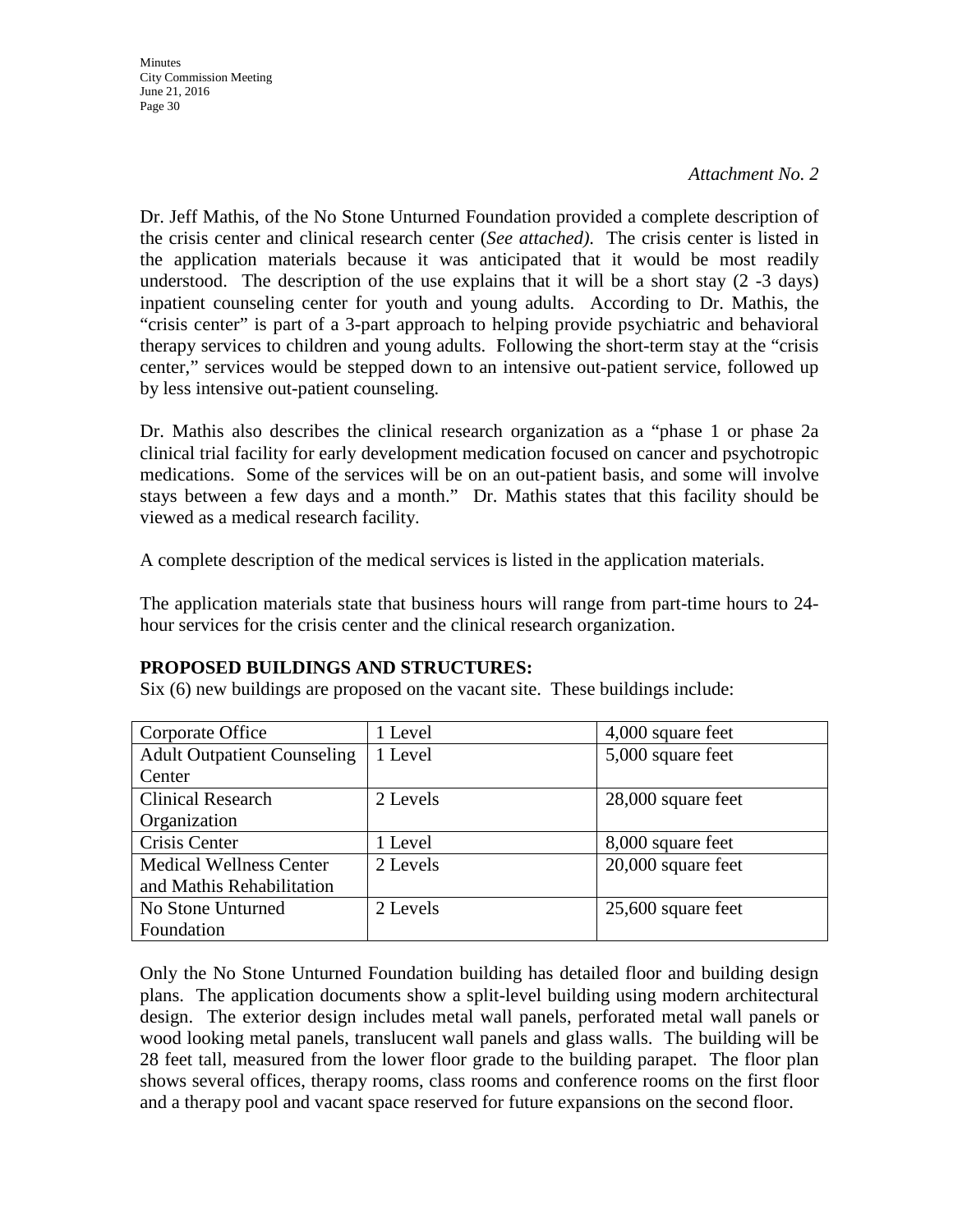Dr. Jeff Mathis, of the No Stone Unturned Foundation provided a complete description of the crisis center and clinical research center (*See attached)*. The crisis center is listed in the application materials because it was anticipated that it would be most readily understood. The description of the use explains that it will be a short stay  $(2 -3)$  days) inpatient counseling center for youth and young adults. According to Dr. Mathis, the "crisis center" is part of a 3-part approach to helping provide psychiatric and behavioral therapy services to children and young adults. Following the short-term stay at the "crisis center," services would be stepped down to an intensive out-patient service, followed up by less intensive out-patient counseling.

Dr. Mathis also describes the clinical research organization as a "phase 1 or phase 2a clinical trial facility for early development medication focused on cancer and psychotropic medications. Some of the services will be on an out-patient basis, and some will involve stays between a few days and a month." Dr. Mathis states that this facility should be viewed as a medical research facility.

A complete description of the medical services is listed in the application materials.

The application materials state that business hours will range from part-time hours to 24 hour services for the crisis center and the clinical research organization.

#### **PROPOSED BUILDINGS AND STRUCTURES:**

Six (6) new buildings are proposed on the vacant site. These buildings include:

| Corporate Office                   | 1 Level  | 4,000 square feet    |
|------------------------------------|----------|----------------------|
| <b>Adult Outpatient Counseling</b> | 1 Level  | 5,000 square feet    |
| Center                             |          |                      |
| <b>Clinical Research</b>           | 2 Levels | 28,000 square feet   |
| Organization                       |          |                      |
| Crisis Center                      | 1 Level  | 8,000 square feet    |
| <b>Medical Wellness Center</b>     | 2 Levels | $20,000$ square feet |
| and Mathis Rehabilitation          |          |                      |
| No Stone Unturned                  | 2 Levels | $25,600$ square feet |
| Foundation                         |          |                      |

Only the No Stone Unturned Foundation building has detailed floor and building design plans. The application documents show a split-level building using modern architectural design. The exterior design includes metal wall panels, perforated metal wall panels or wood looking metal panels, translucent wall panels and glass walls. The building will be 28 feet tall, measured from the lower floor grade to the building parapet. The floor plan shows several offices, therapy rooms, class rooms and conference rooms on the first floor and a therapy pool and vacant space reserved for future expansions on the second floor.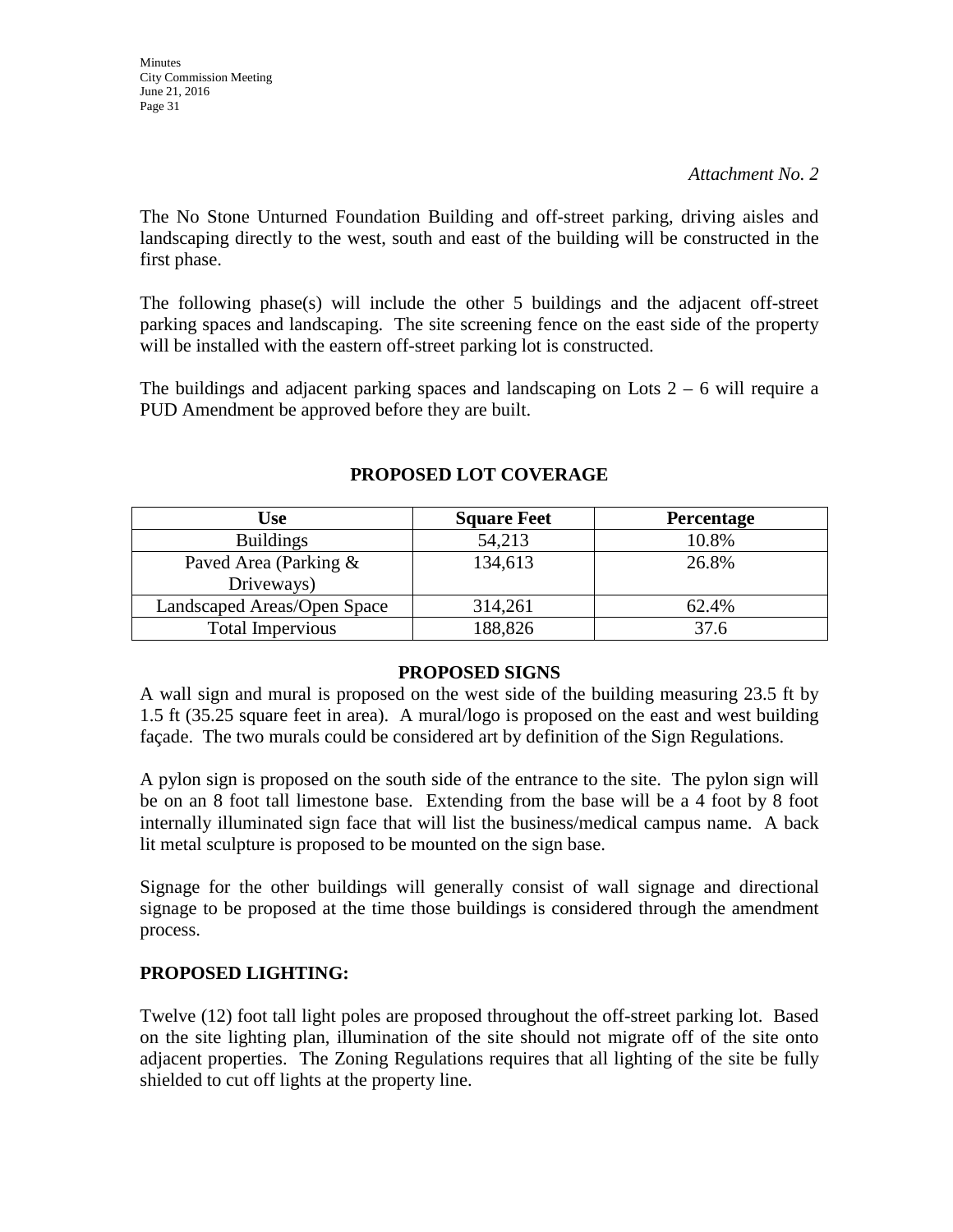**Minutes** City Commission Meeting June 21, 2016 Page 31

#### *Attachment No. 2*

The No Stone Unturned Foundation Building and off-street parking, driving aisles and landscaping directly to the west, south and east of the building will be constructed in the first phase.

The following phase(s) will include the other 5 buildings and the adjacent off-street parking spaces and landscaping. The site screening fence on the east side of the property will be installed with the eastern off-street parking lot is constructed.

The buildings and adjacent parking spaces and landscaping on Lots  $2 - 6$  will require a PUD Amendment be approved before they are built.

| <b>Use</b>                  | <b>Square Feet</b> | <b>Percentage</b> |
|-----------------------------|--------------------|-------------------|
| <b>Buildings</b>            | 54,213             | 10.8%             |
| Paved Area (Parking &       | 134,613            | 26.8%             |
| Driveways)                  |                    |                   |
| Landscaped Areas/Open Space | 314,261            | 62.4%             |
| <b>Total Impervious</b>     | 188,826            | 37.6              |

#### **PROPOSED LOT COVERAGE**

#### **PROPOSED SIGNS**

A wall sign and mural is proposed on the west side of the building measuring 23.5 ft by 1.5 ft (35.25 square feet in area). A mural/logo is proposed on the east and west building façade. The two murals could be considered art by definition of the Sign Regulations.

A pylon sign is proposed on the south side of the entrance to the site. The pylon sign will be on an 8 foot tall limestone base. Extending from the base will be a 4 foot by 8 foot internally illuminated sign face that will list the business/medical campus name. A back lit metal sculpture is proposed to be mounted on the sign base.

Signage for the other buildings will generally consist of wall signage and directional signage to be proposed at the time those buildings is considered through the amendment process.

#### **PROPOSED LIGHTING:**

Twelve (12) foot tall light poles are proposed throughout the off-street parking lot. Based on the site lighting plan, illumination of the site should not migrate off of the site onto adjacent properties. The Zoning Regulations requires that all lighting of the site be fully shielded to cut off lights at the property line.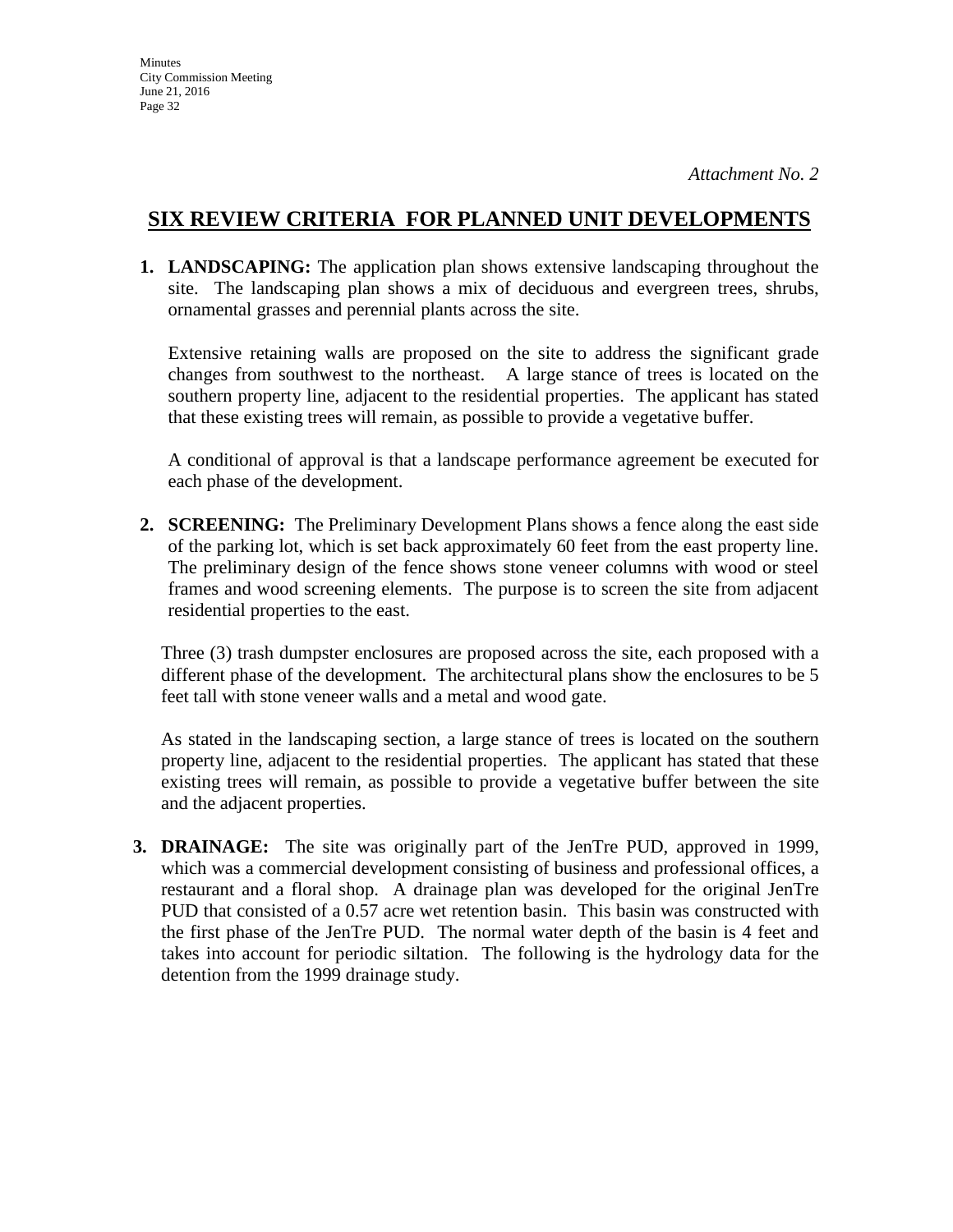## **SIX REVIEW CRITERIA FOR PLANNED UNIT DEVELOPMENTS**

**1. LANDSCAPING:** The application plan shows extensive landscaping throughout the site. The landscaping plan shows a mix of deciduous and evergreen trees, shrubs, ornamental grasses and perennial plants across the site.

Extensive retaining walls are proposed on the site to address the significant grade changes from southwest to the northeast. A large stance of trees is located on the southern property line, adjacent to the residential properties. The applicant has stated that these existing trees will remain, as possible to provide a vegetative buffer.

A conditional of approval is that a landscape performance agreement be executed for each phase of the development.

**2. SCREENING:** The Preliminary Development Plans shows a fence along the east side of the parking lot, which is set back approximately 60 feet from the east property line. The preliminary design of the fence shows stone veneer columns with wood or steel frames and wood screening elements. The purpose is to screen the site from adjacent residential properties to the east.

Three (3) trash dumpster enclosures are proposed across the site, each proposed with a different phase of the development. The architectural plans show the enclosures to be 5 feet tall with stone veneer walls and a metal and wood gate.

As stated in the landscaping section, a large stance of trees is located on the southern property line, adjacent to the residential properties. The applicant has stated that these existing trees will remain, as possible to provide a vegetative buffer between the site and the adjacent properties.

**3. DRAINAGE:** The site was originally part of the JenTre PUD, approved in 1999, which was a commercial development consisting of business and professional offices, a restaurant and a floral shop. A drainage plan was developed for the original JenTre PUD that consisted of a 0.57 acre wet retention basin. This basin was constructed with the first phase of the JenTre PUD. The normal water depth of the basin is 4 feet and takes into account for periodic siltation. The following is the hydrology data for the detention from the 1999 drainage study.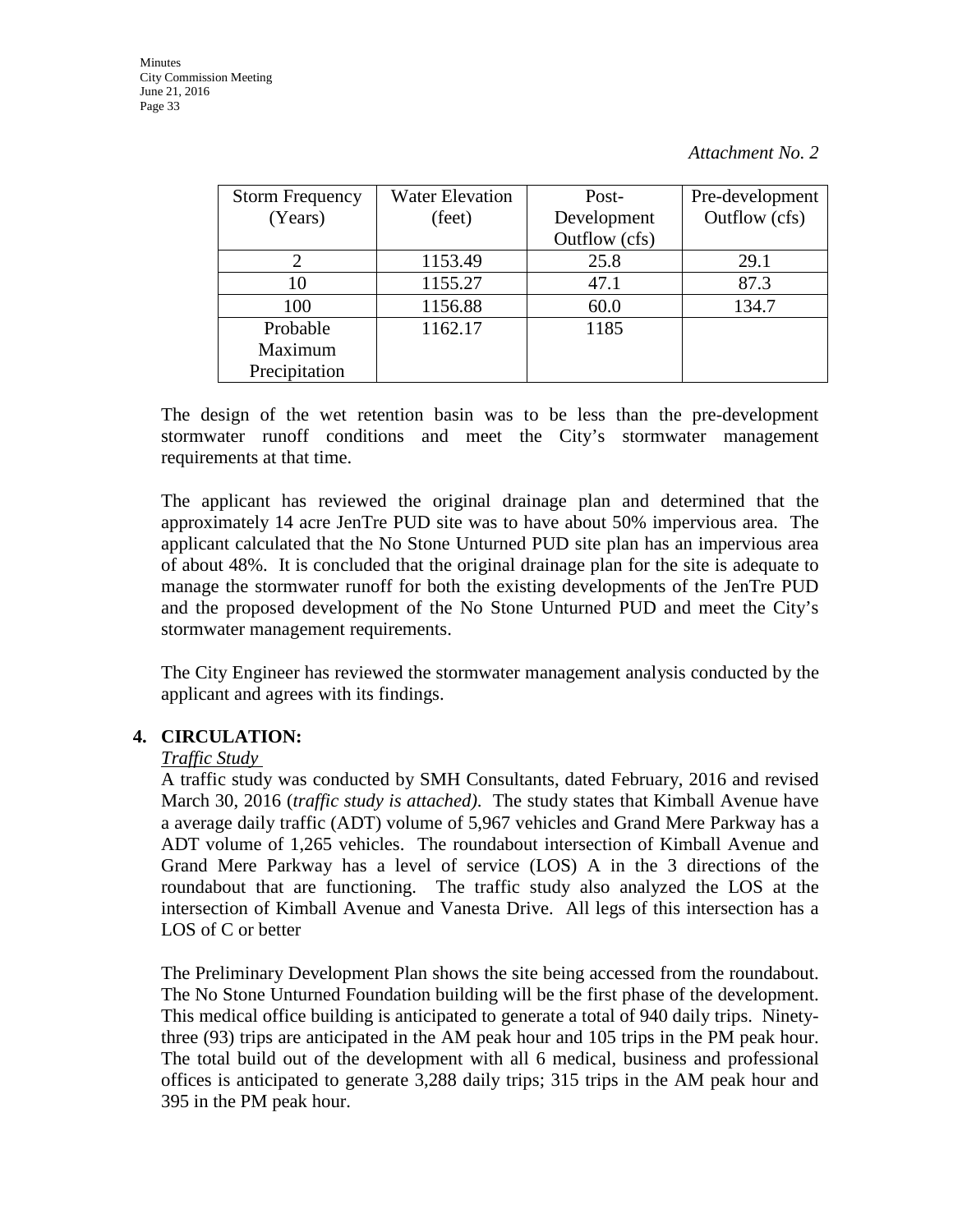| <b>Storm Frequency</b> | <b>Water Elevation</b> | Post-         | Pre-development |
|------------------------|------------------------|---------------|-----------------|
| (Years)                | (feet)                 | Development   | Outflow (cfs)   |
|                        |                        | Outflow (cfs) |                 |
|                        | 1153.49                | 25.8          | 29.1            |
| 10                     | 1155.27                | 47.1          | 87.3            |
| 100                    | 1156.88                | 60.0          | 134.7           |
| Probable               | 1162.17                | 1185          |                 |
| Maximum                |                        |               |                 |
| Precipitation          |                        |               |                 |

The design of the wet retention basin was to be less than the pre-development stormwater runoff conditions and meet the City's stormwater management requirements at that time.

The applicant has reviewed the original drainage plan and determined that the approximately 14 acre JenTre PUD site was to have about 50% impervious area. The applicant calculated that the No Stone Unturned PUD site plan has an impervious area of about 48%. It is concluded that the original drainage plan for the site is adequate to manage the stormwater runoff for both the existing developments of the JenTre PUD and the proposed development of the No Stone Unturned PUD and meet the City's stormwater management requirements.

The City Engineer has reviewed the stormwater management analysis conducted by the applicant and agrees with its findings.

#### **4. CIRCULATION:**

#### *Traffic Study*

A traffic study was conducted by SMH Consultants, dated February, 2016 and revised March 30, 2016 (*traffic study is attached)*. The study states that Kimball Avenue have a average daily traffic (ADT) volume of 5,967 vehicles and Grand Mere Parkway has a ADT volume of 1,265 vehicles. The roundabout intersection of Kimball Avenue and Grand Mere Parkway has a level of service (LOS) A in the 3 directions of the roundabout that are functioning. The traffic study also analyzed the LOS at the intersection of Kimball Avenue and Vanesta Drive. All legs of this intersection has a LOS of C or better

The Preliminary Development Plan shows the site being accessed from the roundabout. The No Stone Unturned Foundation building will be the first phase of the development. This medical office building is anticipated to generate a total of 940 daily trips. Ninetythree (93) trips are anticipated in the AM peak hour and 105 trips in the PM peak hour. The total build out of the development with all 6 medical, business and professional offices is anticipated to generate 3,288 daily trips; 315 trips in the AM peak hour and 395 in the PM peak hour.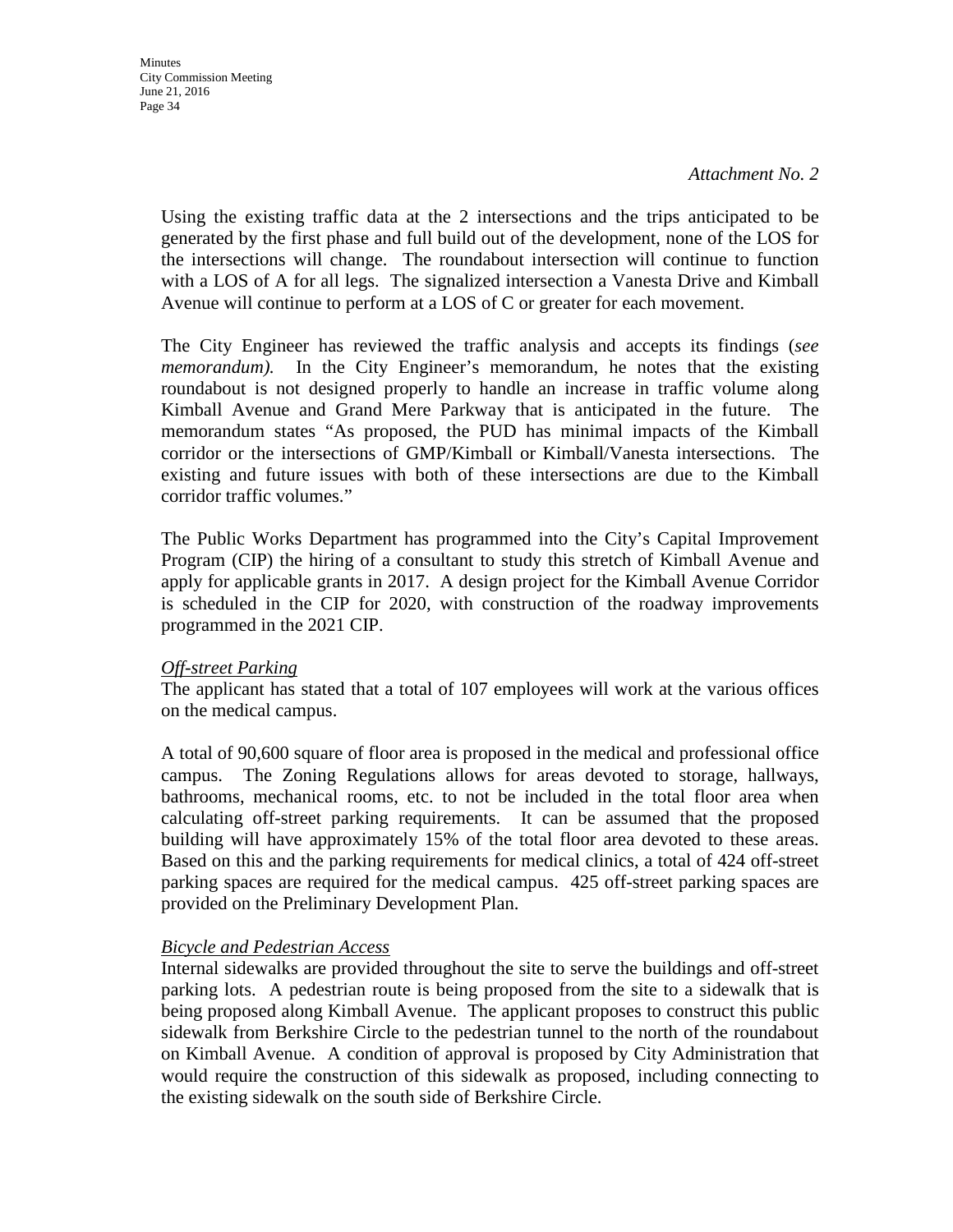Using the existing traffic data at the 2 intersections and the trips anticipated to be generated by the first phase and full build out of the development, none of the LOS for the intersections will change. The roundabout intersection will continue to function with a LOS of A for all legs. The signalized intersection a Vanesta Drive and Kimball Avenue will continue to perform at a LOS of C or greater for each movement.

The City Engineer has reviewed the traffic analysis and accepts its findings (*see memorandum*). In the City Engineer's memorandum, he notes that the existing roundabout is not designed properly to handle an increase in traffic volume along Kimball Avenue and Grand Mere Parkway that is anticipated in the future. The memorandum states "As proposed, the PUD has minimal impacts of the Kimball corridor or the intersections of GMP/Kimball or Kimball/Vanesta intersections. The existing and future issues with both of these intersections are due to the Kimball corridor traffic volumes."

The Public Works Department has programmed into the City's Capital Improvement Program (CIP) the hiring of a consultant to study this stretch of Kimball Avenue and apply for applicable grants in 2017. A design project for the Kimball Avenue Corridor is scheduled in the CIP for 2020, with construction of the roadway improvements programmed in the 2021 CIP.

#### *Off-street Parking*

The applicant has stated that a total of 107 employees will work at the various offices on the medical campus.

A total of 90,600 square of floor area is proposed in the medical and professional office campus. The Zoning Regulations allows for areas devoted to storage, hallways, bathrooms, mechanical rooms, etc. to not be included in the total floor area when calculating off-street parking requirements. It can be assumed that the proposed building will have approximately 15% of the total floor area devoted to these areas. Based on this and the parking requirements for medical clinics, a total of 424 off-street parking spaces are required for the medical campus. 425 off-street parking spaces are provided on the Preliminary Development Plan.

#### *Bicycle and Pedestrian Access*

Internal sidewalks are provided throughout the site to serve the buildings and off-street parking lots. A pedestrian route is being proposed from the site to a sidewalk that is being proposed along Kimball Avenue. The applicant proposes to construct this public sidewalk from Berkshire Circle to the pedestrian tunnel to the north of the roundabout on Kimball Avenue. A condition of approval is proposed by City Administration that would require the construction of this sidewalk as proposed, including connecting to the existing sidewalk on the south side of Berkshire Circle.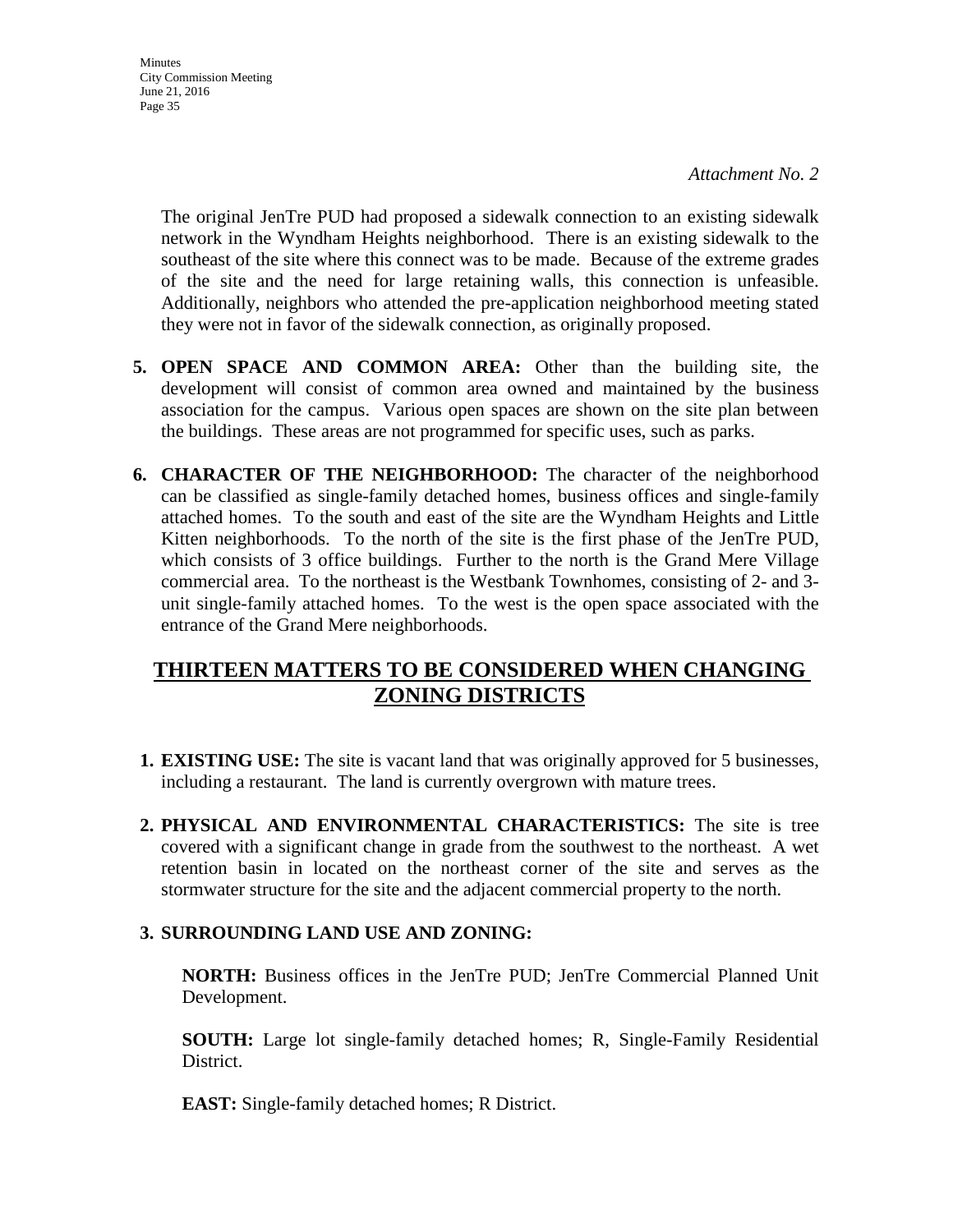**Minutes** City Commission Meeting June 21, 2016 Page 35

> The original JenTre PUD had proposed a sidewalk connection to an existing sidewalk network in the Wyndham Heights neighborhood. There is an existing sidewalk to the southeast of the site where this connect was to be made. Because of the extreme grades of the site and the need for large retaining walls, this connection is unfeasible. Additionally, neighbors who attended the pre-application neighborhood meeting stated they were not in favor of the sidewalk connection, as originally proposed.

- **5. OPEN SPACE AND COMMON AREA:** Other than the building site, the development will consist of common area owned and maintained by the business association for the campus. Various open spaces are shown on the site plan between the buildings. These areas are not programmed for specific uses, such as parks.
- **6. CHARACTER OF THE NEIGHBORHOOD:** The character of the neighborhood can be classified as single-family detached homes, business offices and single-family attached homes. To the south and east of the site are the Wyndham Heights and Little Kitten neighborhoods. To the north of the site is the first phase of the JenTre PUD, which consists of 3 office buildings. Further to the north is the Grand Mere Village commercial area. To the northeast is the Westbank Townhomes, consisting of 2- and 3 unit single-family attached homes. To the west is the open space associated with the entrance of the Grand Mere neighborhoods.

# **THIRTEEN MATTERS TO BE CONSIDERED WHEN CHANGING ZONING DISTRICTS**

- **1. EXISTING USE:** The site is vacant land that was originally approved for 5 businesses, including a restaurant. The land is currently overgrown with mature trees.
- **2. PHYSICAL AND ENVIRONMENTAL CHARACTERISTICS:** The site is tree covered with a significant change in grade from the southwest to the northeast. A wet retention basin in located on the northeast corner of the site and serves as the stormwater structure for the site and the adjacent commercial property to the north.

#### **3. SURROUNDING LAND USE AND ZONING:**

**NORTH:** Business offices in the JenTre PUD; JenTre Commercial Planned Unit Development.

**SOUTH:** Large lot single-family detached homes; R, Single-Family Residential District.

**EAST:** Single-family detached homes; R District.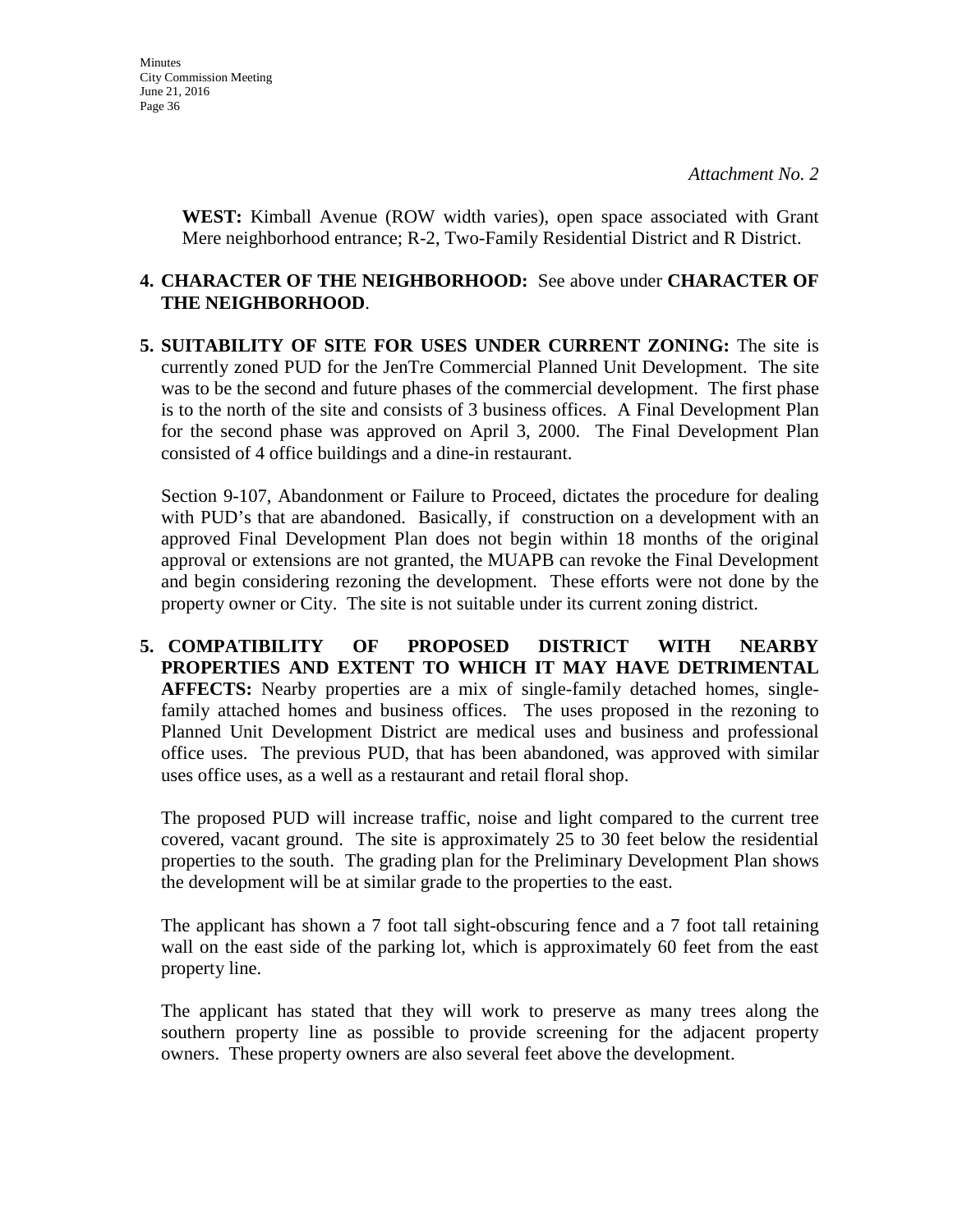**WEST:** Kimball Avenue (ROW width varies), open space associated with Grant Mere neighborhood entrance; R-2, Two-Family Residential District and R District.

#### **4. CHARACTER OF THE NEIGHBORHOOD:** See above under **CHARACTER OF THE NEIGHBORHOOD**.

**5. SUITABILITY OF SITE FOR USES UNDER CURRENT ZONING:** The site is currently zoned PUD for the JenTre Commercial Planned Unit Development. The site was to be the second and future phases of the commercial development. The first phase is to the north of the site and consists of 3 business offices. A Final Development Plan for the second phase was approved on April 3, 2000. The Final Development Plan consisted of 4 office buildings and a dine-in restaurant.

Section 9-107, Abandonment or Failure to Proceed, dictates the procedure for dealing with PUD's that are abandoned. Basically, if construction on a development with an approved Final Development Plan does not begin within 18 months of the original approval or extensions are not granted, the MUAPB can revoke the Final Development and begin considering rezoning the development. These efforts were not done by the property owner or City. The site is not suitable under its current zoning district.

**5. COMPATIBILITY OF PROPOSED DISTRICT WITH NEARBY PROPERTIES AND EXTENT TO WHICH IT MAY HAVE DETRIMENTAL AFFECTS:** Nearby properties are a mix of single-family detached homes, singlefamily attached homes and business offices. The uses proposed in the rezoning to Planned Unit Development District are medical uses and business and professional office uses. The previous PUD, that has been abandoned, was approved with similar uses office uses, as a well as a restaurant and retail floral shop.

The proposed PUD will increase traffic, noise and light compared to the current tree covered, vacant ground. The site is approximately 25 to 30 feet below the residential properties to the south. The grading plan for the Preliminary Development Plan shows the development will be at similar grade to the properties to the east.

The applicant has shown a 7 foot tall sight-obscuring fence and a 7 foot tall retaining wall on the east side of the parking lot, which is approximately 60 feet from the east property line.

The applicant has stated that they will work to preserve as many trees along the southern property line as possible to provide screening for the adjacent property owners. These property owners are also several feet above the development.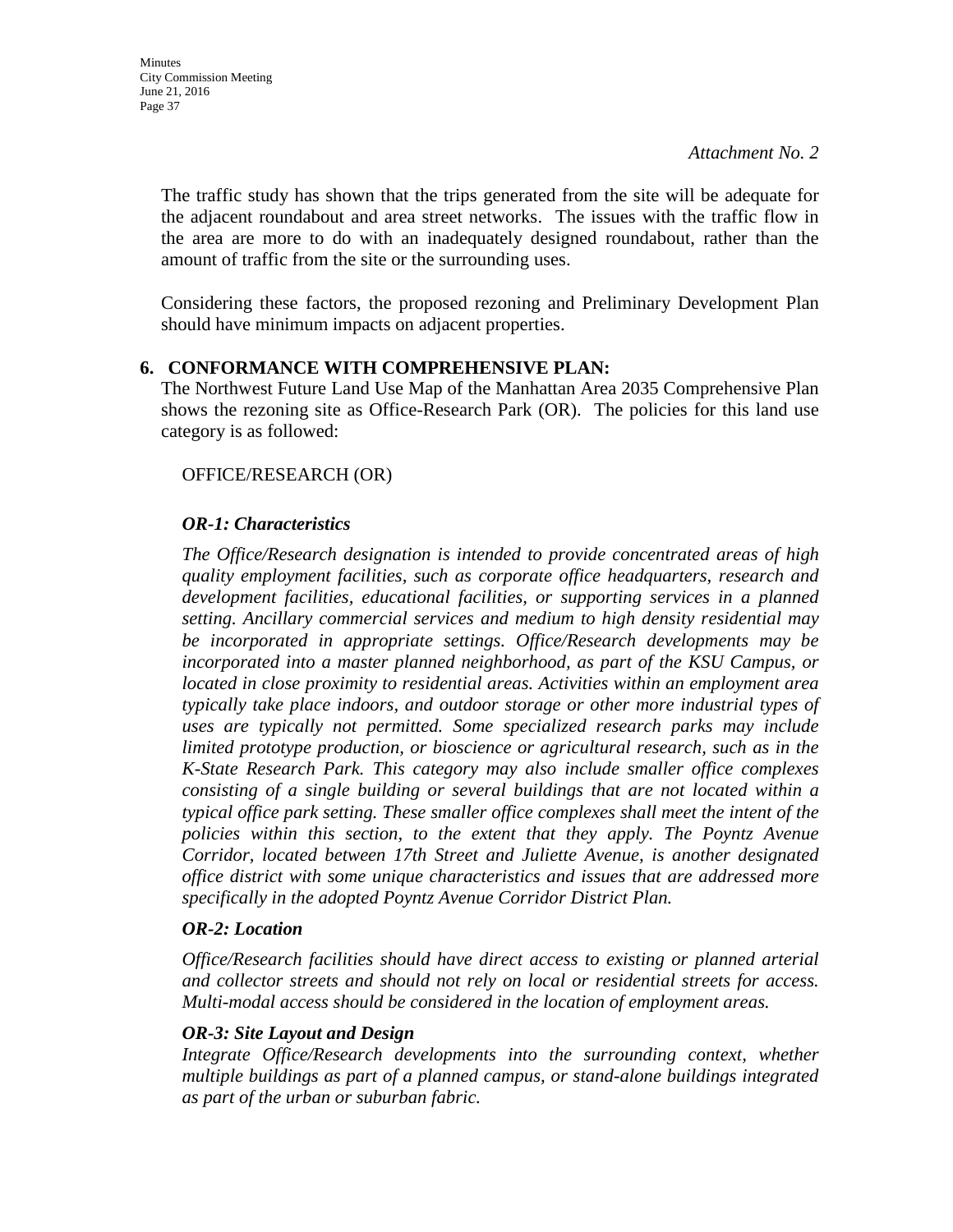The traffic study has shown that the trips generated from the site will be adequate for the adjacent roundabout and area street networks. The issues with the traffic flow in the area are more to do with an inadequately designed roundabout, rather than the amount of traffic from the site or the surrounding uses.

Considering these factors, the proposed rezoning and Preliminary Development Plan should have minimum impacts on adjacent properties.

### **6. CONFORMANCE WITH COMPREHENSIVE PLAN:**

The Northwest Future Land Use Map of the Manhattan Area 2035 Comprehensive Plan shows the rezoning site as Office-Research Park (OR). The policies for this land use category is as followed:

### OFFICE/RESEARCH (OR)

### *OR-1: Characteristics*

*The Office/Research designation is intended to provide concentrated areas of high quality employment facilities, such as corporate office headquarters, research and development facilities, educational facilities, or supporting services in a planned setting. Ancillary commercial services and medium to high density residential may be incorporated in appropriate settings. Office/Research developments may be incorporated into a master planned neighborhood, as part of the KSU Campus, or located in close proximity to residential areas. Activities within an employment area typically take place indoors, and outdoor storage or other more industrial types of uses are typically not permitted. Some specialized research parks may include limited prototype production, or bioscience or agricultural research, such as in the K-State Research Park. This category may also include smaller office complexes consisting of a single building or several buildings that are not located within a typical office park setting. These smaller office complexes shall meet the intent of the policies within this section, to the extent that they apply. The Poyntz Avenue Corridor, located between 17th Street and Juliette Avenue, is another designated office district with some unique characteristics and issues that are addressed more specifically in the adopted Poyntz Avenue Corridor District Plan.* 

#### *OR-2: Location*

*Office/Research facilities should have direct access to existing or planned arterial and collector streets and should not rely on local or residential streets for access. Multi-modal access should be considered in the location of employment areas.* 

#### *OR-3: Site Layout and Design*

*Integrate Office/Research developments into the surrounding context, whether multiple buildings as part of a planned campus, or stand-alone buildings integrated as part of the urban or suburban fabric.*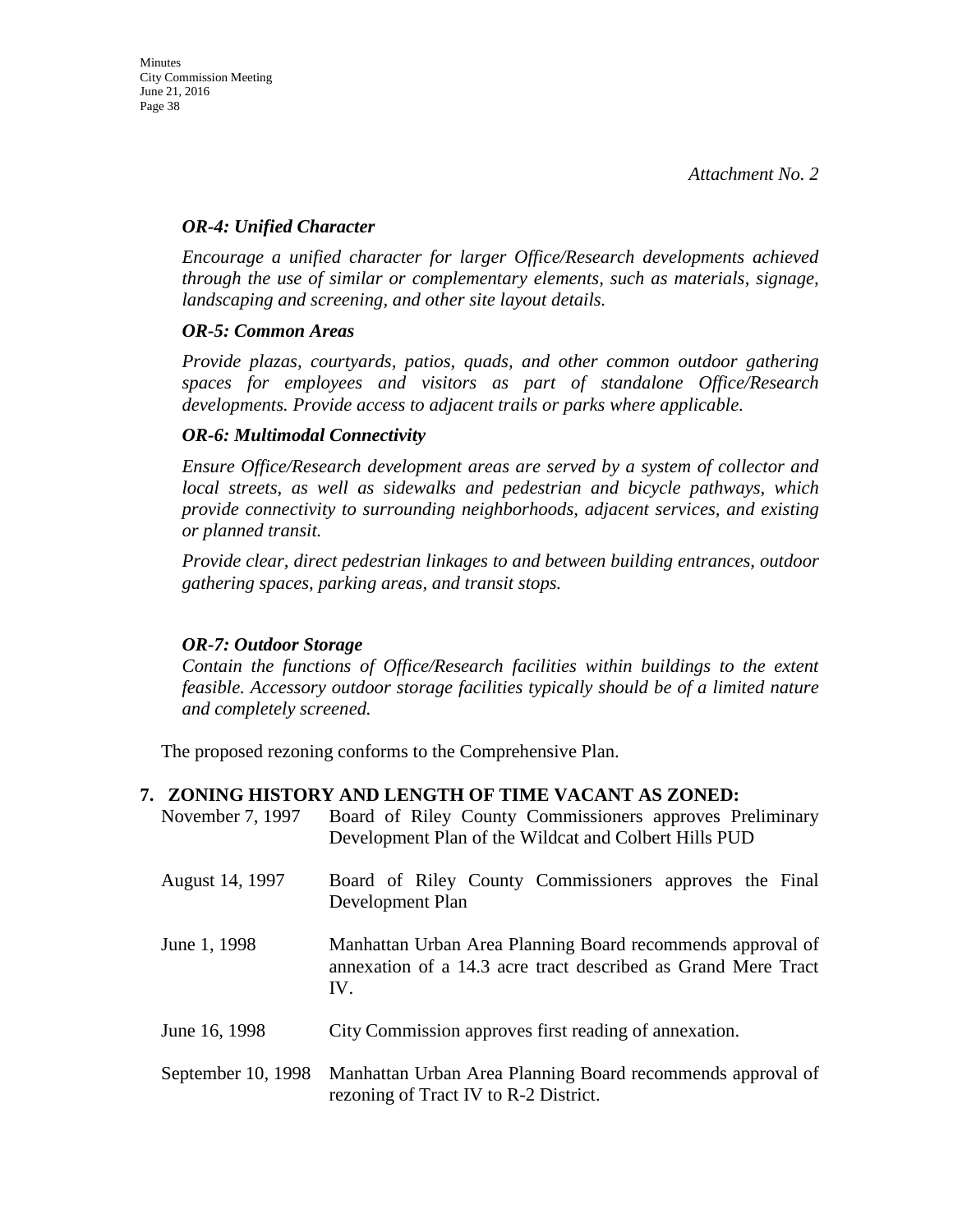#### *OR-4: Unified Character*

*Encourage a unified character for larger Office/Research developments achieved through the use of similar or complementary elements, such as materials, signage, landscaping and screening, and other site layout details.* 

#### *OR-5: Common Areas*

*Provide plazas, courtyards, patios, quads, and other common outdoor gathering spaces for employees and visitors as part of standalone Office/Research developments. Provide access to adjacent trails or parks where applicable.* 

#### *OR-6: Multimodal Connectivity*

*Ensure Office/Research development areas are served by a system of collector and local streets, as well as sidewalks and pedestrian and bicycle pathways, which provide connectivity to surrounding neighborhoods, adjacent services, and existing or planned transit.* 

*Provide clear, direct pedestrian linkages to and between building entrances, outdoor gathering spaces, parking areas, and transit stops.* 

#### *OR-7: Outdoor Storage*

*Contain the functions of Office/Research facilities within buildings to the extent feasible. Accessory outdoor storage facilities typically should be of a limited nature and completely screened.*

The proposed rezoning conforms to the Comprehensive Plan.

#### **7. ZONING HISTORY AND LENGTH OF TIME VACANT AS ZONED:**

| November 7, 1997   | Board of Riley County Commissioners approves Preliminary<br>Development Plan of the Wildcat and Colbert Hills PUD                  |
|--------------------|------------------------------------------------------------------------------------------------------------------------------------|
| August 14, 1997    | Board of Riley County Commissioners approves the Final<br>Development Plan                                                         |
| June 1, 1998       | Manhattan Urban Area Planning Board recommends approval of<br>annexation of a 14.3 acre tract described as Grand Mere Tract<br>IV. |
| June 16, 1998      | City Commission approves first reading of annexation.                                                                              |
| September 10, 1998 | Manhattan Urban Area Planning Board recommends approval of<br>rezoning of Tract IV to R-2 District.                                |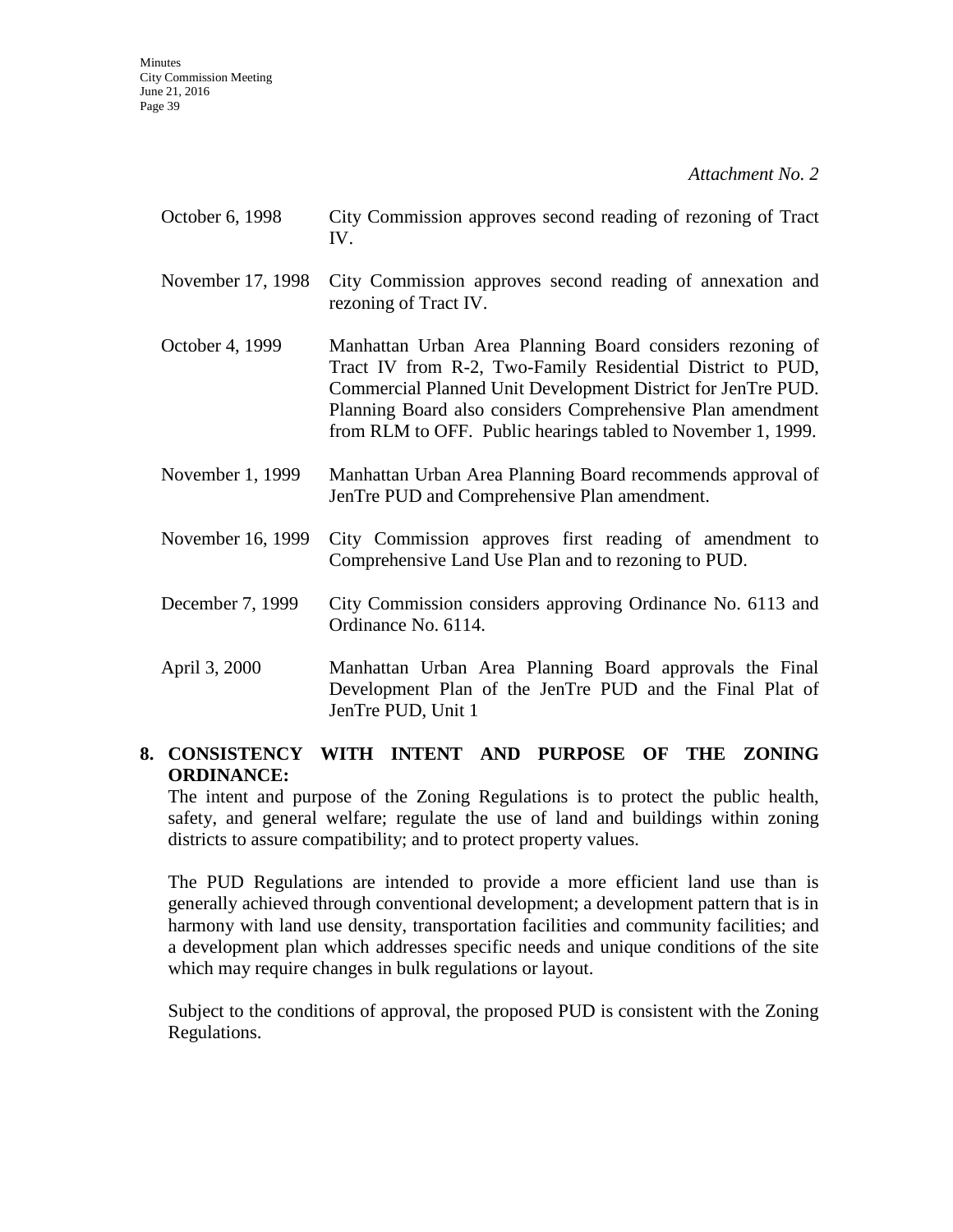- October 6, 1998 City Commission approves second reading of rezoning of Tract IV.
- November 17, 1998 City Commission approves second reading of annexation and rezoning of Tract IV.
- October 4, 1999 Manhattan Urban Area Planning Board considers rezoning of Tract IV from R-2, Two-Family Residential District to PUD, Commercial Planned Unit Development District for JenTre PUD. Planning Board also considers Comprehensive Plan amendment from RLM to OFF. Public hearings tabled to November 1, 1999.
- November 1, 1999 Manhattan Urban Area Planning Board recommends approval of JenTre PUD and Comprehensive Plan amendment.
- November 16, 1999 City Commission approves first reading of amendment to Comprehensive Land Use Plan and to rezoning to PUD.
- December 7, 1999 City Commission considers approving Ordinance No. 6113 and Ordinance No. 6114.
- April 3, 2000 Manhattan Urban Area Planning Board approvals the Final Development Plan of the JenTre PUD and the Final Plat of JenTre PUD, Unit 1

### **8. CONSISTENCY WITH INTENT AND PURPOSE OF THE ZONING ORDINANCE:**

The intent and purpose of the Zoning Regulations is to protect the public health, safety, and general welfare; regulate the use of land and buildings within zoning districts to assure compatibility; and to protect property values.

The PUD Regulations are intended to provide a more efficient land use than is generally achieved through conventional development; a development pattern that is in harmony with land use density, transportation facilities and community facilities; and a development plan which addresses specific needs and unique conditions of the site which may require changes in bulk regulations or layout.

Subject to the conditions of approval, the proposed PUD is consistent with the Zoning Regulations.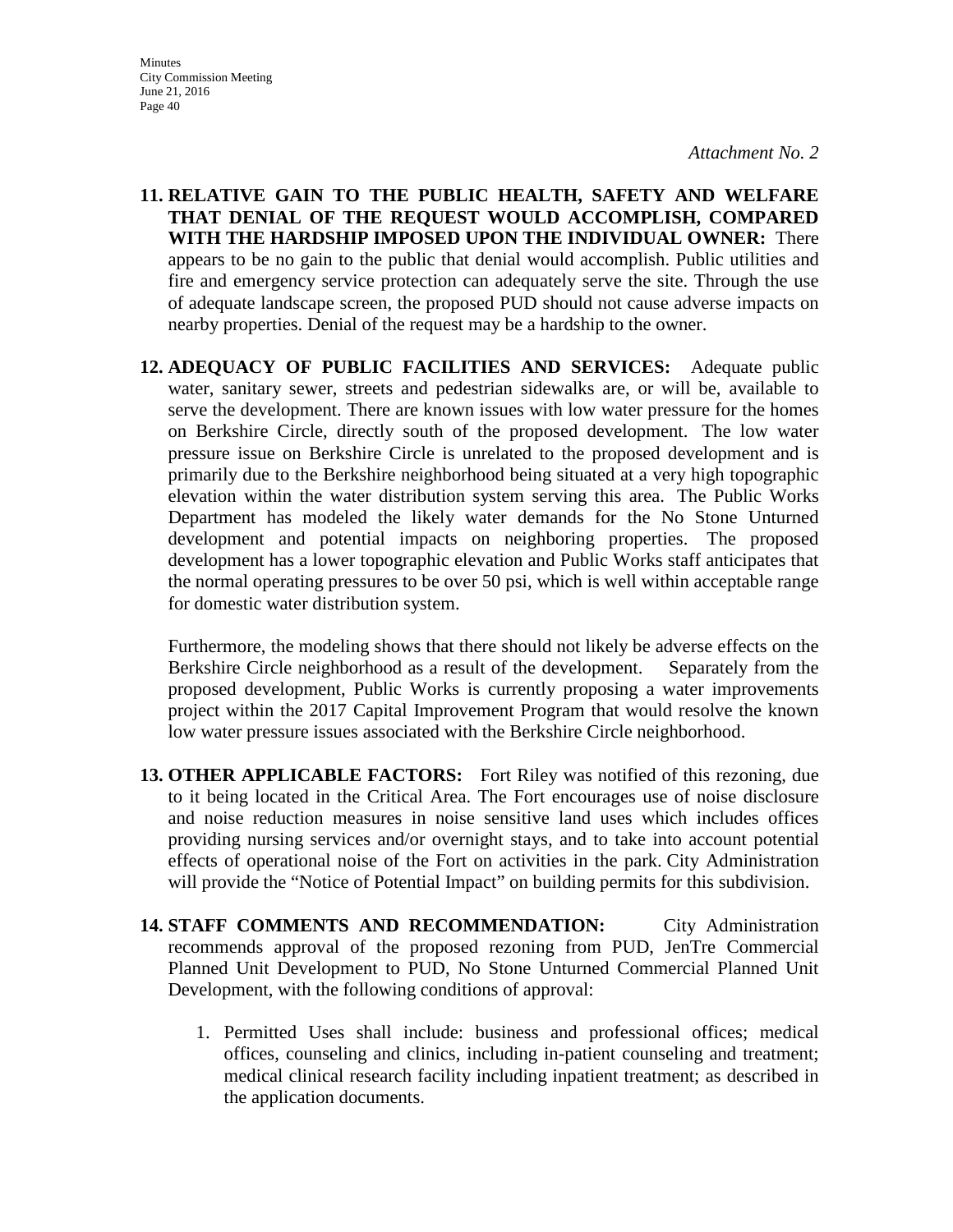**Minutes** City Commission Meeting June 21, 2016 Page 40

*Attachment No. 2* 

- **11. RELATIVE GAIN TO THE PUBLIC HEALTH, SAFETY AND WELFARE THAT DENIAL OF THE REQUEST WOULD ACCOMPLISH, COMPARED WITH THE HARDSHIP IMPOSED UPON THE INDIVIDUAL OWNER:** There appears to be no gain to the public that denial would accomplish. Public utilities and fire and emergency service protection can adequately serve the site. Through the use of adequate landscape screen, the proposed PUD should not cause adverse impacts on nearby properties. Denial of the request may be a hardship to the owner.
- **12. ADEQUACY OF PUBLIC FACILITIES AND SERVICES:** Adequate public water, sanitary sewer, streets and pedestrian sidewalks are, or will be, available to serve the development. There are known issues with low water pressure for the homes on Berkshire Circle, directly south of the proposed development. The low water pressure issue on Berkshire Circle is unrelated to the proposed development and is primarily due to the Berkshire neighborhood being situated at a very high topographic elevation within the water distribution system serving this area. The Public Works Department has modeled the likely water demands for the No Stone Unturned development and potential impacts on neighboring properties. The proposed development has a lower topographic elevation and Public Works staff anticipates that the normal operating pressures to be over 50 psi, which is well within acceptable range for domestic water distribution system.

Furthermore, the modeling shows that there should not likely be adverse effects on the Berkshire Circle neighborhood as a result of the development. Separately from the proposed development, Public Works is currently proposing a water improvements project within the 2017 Capital Improvement Program that would resolve the known low water pressure issues associated with the Berkshire Circle neighborhood.

- **13. OTHER APPLICABLE FACTORS:** Fort Riley was notified of this rezoning, due to it being located in the Critical Area. The Fort encourages use of noise disclosure and noise reduction measures in noise sensitive land uses which includes offices providing nursing services and/or overnight stays, and to take into account potential effects of operational noise of the Fort on activities in the park. City Administration will provide the "Notice of Potential Impact" on building permits for this subdivision.
- **14. STAFF COMMENTS AND RECOMMENDATION:** City Administration recommends approval of the proposed rezoning from PUD, JenTre Commercial Planned Unit Development to PUD, No Stone Unturned Commercial Planned Unit Development, with the following conditions of approval:
	- 1. Permitted Uses shall include: business and professional offices; medical offices, counseling and clinics, including in-patient counseling and treatment; medical clinical research facility including inpatient treatment; as described in the application documents.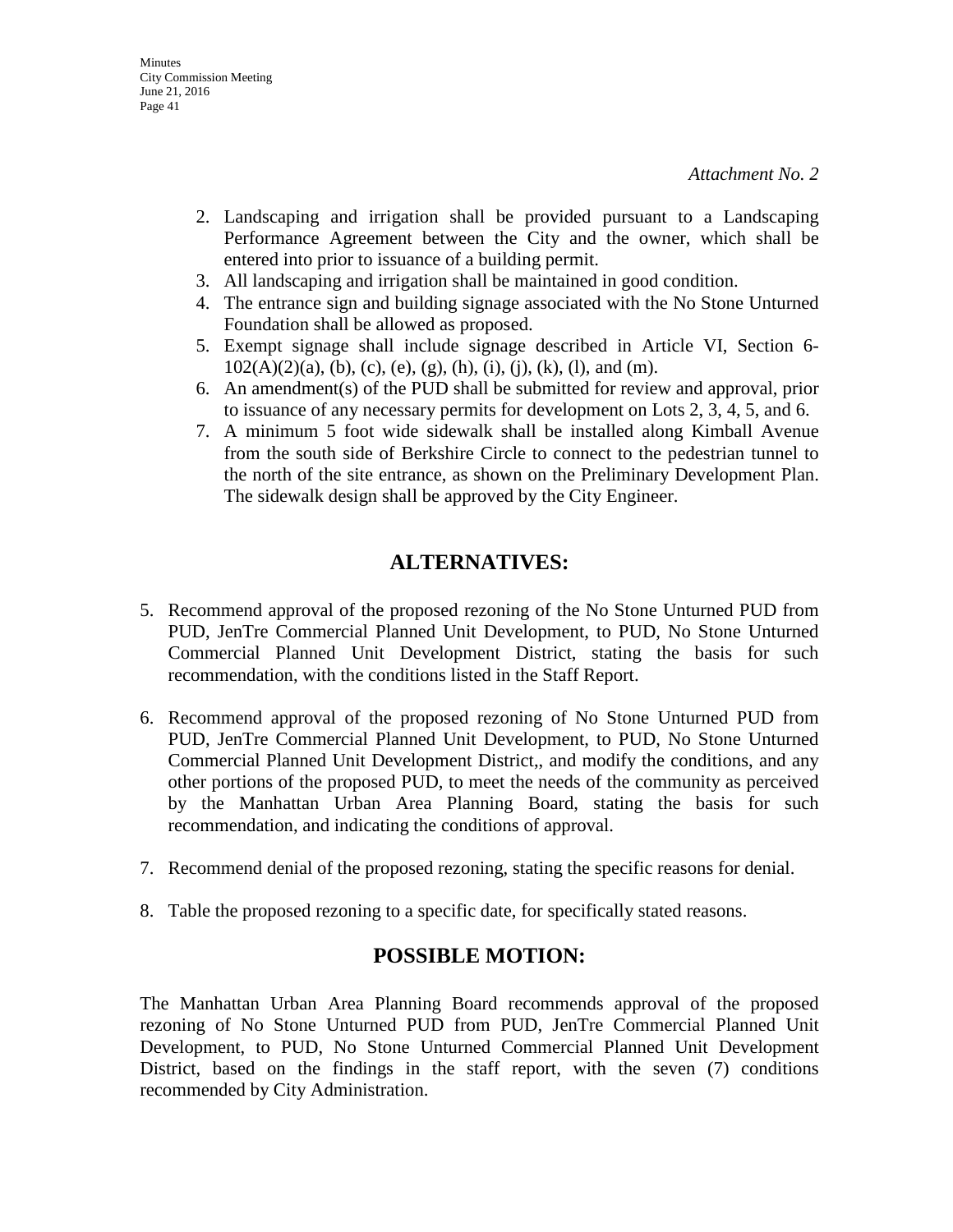- 2. Landscaping and irrigation shall be provided pursuant to a Landscaping Performance Agreement between the City and the owner, which shall be entered into prior to issuance of a building permit.
- 3. All landscaping and irrigation shall be maintained in good condition.
- 4. The entrance sign and building signage associated with the No Stone Unturned Foundation shall be allowed as proposed.
- 5. Exempt signage shall include signage described in Article VI, Section 6-  $102(A)(2)(a)$ , (b), (c), (e), (g), (h), (i), (j), (k), (l), and (m).
- 6. An amendment(s) of the PUD shall be submitted for review and approval, prior to issuance of any necessary permits for development on Lots 2, 3, 4, 5, and 6.
- 7. A minimum 5 foot wide sidewalk shall be installed along Kimball Avenue from the south side of Berkshire Circle to connect to the pedestrian tunnel to the north of the site entrance, as shown on the Preliminary Development Plan. The sidewalk design shall be approved by the City Engineer.

## **ALTERNATIVES:**

- 5. Recommend approval of the proposed rezoning of the No Stone Unturned PUD from PUD, JenTre Commercial Planned Unit Development, to PUD, No Stone Unturned Commercial Planned Unit Development District, stating the basis for such recommendation, with the conditions listed in the Staff Report.
- 6. Recommend approval of the proposed rezoning of No Stone Unturned PUD from PUD, JenTre Commercial Planned Unit Development, to PUD, No Stone Unturned Commercial Planned Unit Development District,, and modify the conditions, and any other portions of the proposed PUD, to meet the needs of the community as perceived by the Manhattan Urban Area Planning Board, stating the basis for such recommendation, and indicating the conditions of approval.
- 7. Recommend denial of the proposed rezoning, stating the specific reasons for denial.
- 8. Table the proposed rezoning to a specific date, for specifically stated reasons.

## **POSSIBLE MOTION:**

The Manhattan Urban Area Planning Board recommends approval of the proposed rezoning of No Stone Unturned PUD from PUD, JenTre Commercial Planned Unit Development, to PUD, No Stone Unturned Commercial Planned Unit Development District, based on the findings in the staff report, with the seven (7) conditions recommended by City Administration.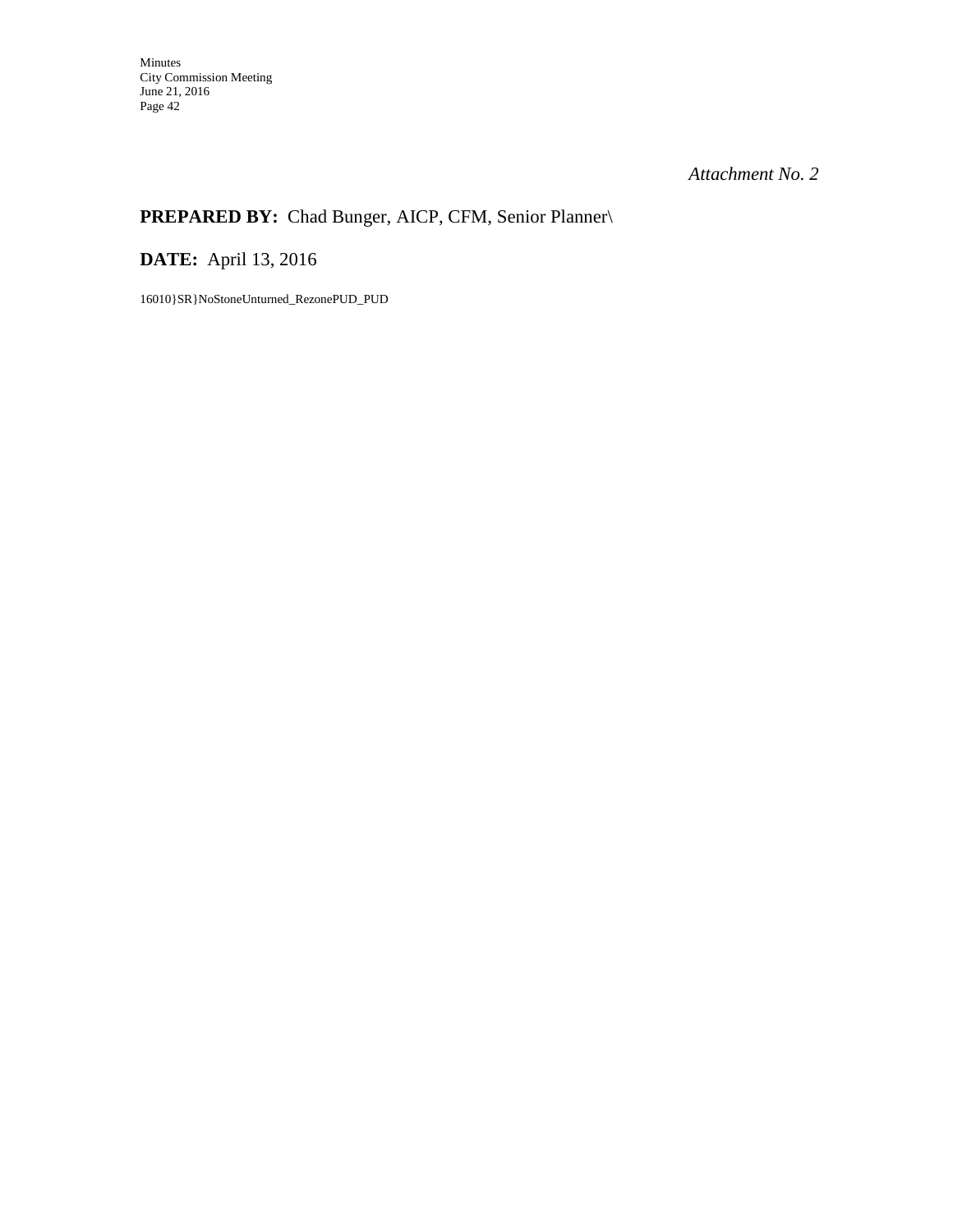## **PREPARED BY:** Chad Bunger, AICP, CFM, Senior Planner\

**DATE:** April 13, 2016

16010}SR}NoStoneUnturned\_RezonePUD\_PUD